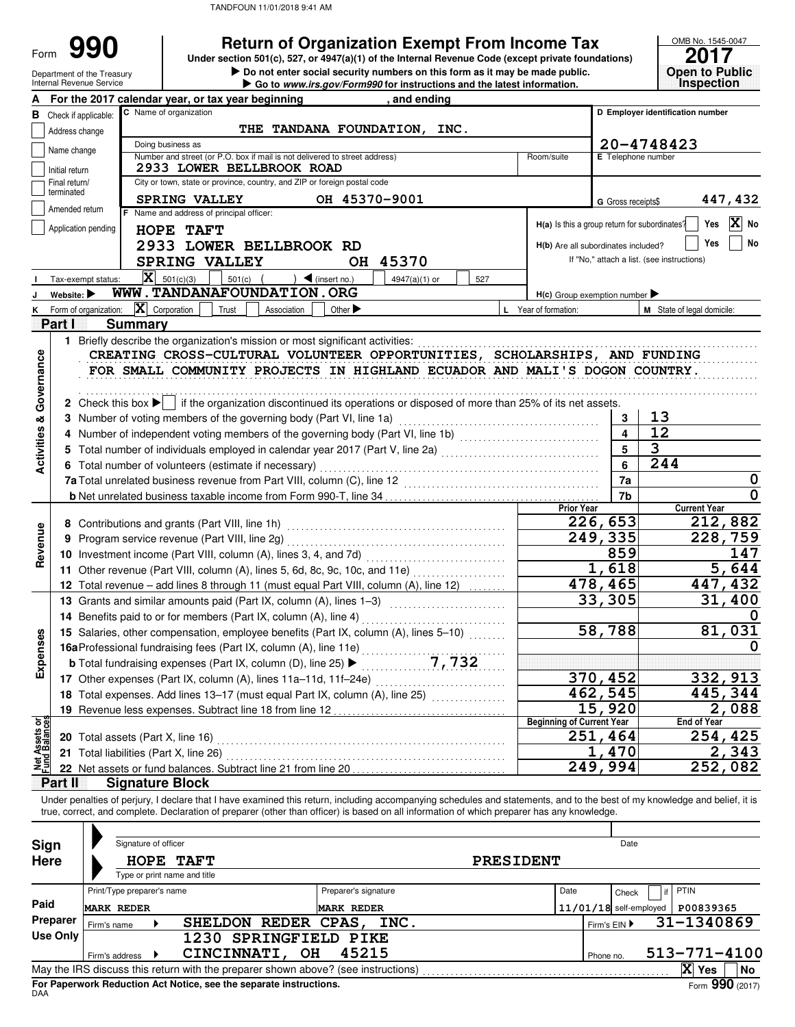Department of the Treasury

Form

|  | <b>Return of Organization Exempt From Income Tax</b> |
|--|------------------------------------------------------|
|--|------------------------------------------------------|

**• Do not enter social security numbers on this form as it may be made public. Open to Public 990 2017 2018 2017 Depending State of Organization Exempt From Income Tax 2017 2017** 

| OMB No. 1545-0047 |  |
|-------------------|--|
| 2017              |  |
|                   |  |
|                   |  |
|                   |  |
|                   |  |
| en to Publ<br>GC. |  |
|                   |  |
|                   |  |
|                   |  |
|                   |  |
|                   |  |

|                                        | Internal Revenue Service       |                   |                            |                                                                               |            |                       |                             | Go to www.irs.gov/Form990 for instructions and the latest information.                                                                                                     |     |                                     |                          |                         |                                               | <b>Inspection</b>    |
|----------------------------------------|--------------------------------|-------------------|----------------------------|-------------------------------------------------------------------------------|------------|-----------------------|-----------------------------|----------------------------------------------------------------------------------------------------------------------------------------------------------------------------|-----|-------------------------------------|--------------------------|-------------------------|-----------------------------------------------|----------------------|
|                                        |                                |                   |                            | For the 2017 calendar year, or tax year beginning                             |            |                       |                             | , and ending                                                                                                                                                               |     |                                     |                          |                         |                                               |                      |
|                                        | <b>B</b> Check if applicable:  |                   |                            | C Name of organization                                                        |            |                       |                             |                                                                                                                                                                            |     |                                     |                          |                         | D Employer identification number              |                      |
|                                        | Address change                 |                   |                            |                                                                               |            |                       |                             | THE TANDANA FOUNDATION, INC.                                                                                                                                               |     |                                     |                          |                         |                                               |                      |
|                                        |                                |                   |                            | Doing business as                                                             |            |                       |                             |                                                                                                                                                                            |     |                                     |                          |                         | 20-4748423                                    |                      |
|                                        | Name change                    |                   |                            | Number and street (or P.O. box if mail is not delivered to street address)    |            |                       |                             |                                                                                                                                                                            |     | Room/suite                          |                          |                         | <b>E</b> Telephone number                     |                      |
|                                        | Initial return                 |                   |                            | 2933 LOWER BELLBROOK ROAD                                                     |            |                       |                             |                                                                                                                                                                            |     |                                     |                          |                         |                                               |                      |
|                                        | Final return/                  |                   |                            | City or town, state or province, country, and ZIP or foreign postal code      |            |                       |                             |                                                                                                                                                                            |     |                                     |                          |                         |                                               |                      |
|                                        | terminated                     |                   |                            | <b>SPRING VALLEY</b>                                                          |            |                       | OH 45370-9001               |                                                                                                                                                                            |     |                                     |                          | G Gross receipts\$      |                                               | 447,432              |
|                                        | Amended return                 |                   |                            | F Name and address of principal officer:                                      |            |                       |                             |                                                                                                                                                                            |     |                                     |                          |                         |                                               |                      |
|                                        | Application pending            |                   |                            | HOPE TAFT                                                                     |            |                       |                             |                                                                                                                                                                            |     |                                     |                          |                         | H(a) Is this a group return for subordinates? | X No<br>Yes          |
|                                        |                                |                   |                            | 2933 LOWER BELLBROOK RD                                                       |            |                       |                             |                                                                                                                                                                            |     | H(b) Are all subordinates included? |                          |                         |                                               | No<br>Yes            |
|                                        |                                |                   |                            | SPRING VALLEY                                                                 |            |                       |                             | OH 45370                                                                                                                                                                   |     |                                     |                          |                         | If "No," attach a list. (see instructions)    |                      |
|                                        |                                |                   |                            |                                                                               |            |                       |                             |                                                                                                                                                                            |     |                                     |                          |                         |                                               |                      |
|                                        | Tax-exempt status:             |                   |                            | $\mathbf{X}$ 501(c)(3)                                                        | $501(c)$ ( |                       | $\bigcup$ (insert no.)      | 4947(a)(1) or                                                                                                                                                              | 527 |                                     |                          |                         |                                               |                      |
|                                        | Website: $\blacktriangleright$ |                   |                            | WWW.TANDANAFOUNDATION.ORG                                                     |            |                       |                             |                                                                                                                                                                            |     | $H(c)$ Group exemption number       |                          |                         |                                               |                      |
| ĸ                                      | Form of organization:          |                   | $ \mathbf{X} $ Corporation |                                                                               | Trust      | Association           | Other $\blacktriangleright$ |                                                                                                                                                                            |     | L Year of formation:                |                          |                         | M State of legal domicile:                    |                      |
|                                        | Part I                         |                   | <b>Summary</b>             |                                                                               |            |                       |                             |                                                                                                                                                                            |     |                                     |                          |                         |                                               |                      |
|                                        |                                |                   |                            | 1 Briefly describe the organization's mission or most significant activities: |            |                       |                             |                                                                                                                                                                            |     |                                     |                          |                         |                                               |                      |
|                                        |                                |                   |                            |                                                                               |            |                       |                             | CREATING CROSS-CULTURAL VOLUNTEER OPPORTUNITIES, SCHOLARSHIPS, AND FUNDING                                                                                                 |     |                                     |                          |                         |                                               |                      |
|                                        |                                |                   |                            |                                                                               |            |                       |                             | FOR SMALL COMMUNITY PROJECTS IN HIGHLAND ECUADOR AND MALI'S DOGON COUNTRY.                                                                                                 |     |                                     |                          |                         |                                               |                      |
| Governance                             |                                |                   |                            |                                                                               |            |                       |                             |                                                                                                                                                                            |     |                                     |                          |                         |                                               |                      |
|                                        |                                |                   |                            |                                                                               |            |                       |                             | 2 Check this box $\blacktriangleright$ if the organization discontinued its operations or disposed of more than 25% of its net assets.                                     |     |                                     |                          |                         |                                               |                      |
|                                        |                                |                   |                            | 3 Number of voting members of the governing body (Part VI, line 1a)           |            |                       |                             |                                                                                                                                                                            |     |                                     |                          | 3                       | 13                                            |                      |
|                                        | 4                              |                   |                            |                                                                               |            |                       |                             | Number of independent voting members of the governing body (Part VI, line 1b) [1] [1] [1] Number of independent voting members of the governing body (Part VI, line 1b)    |     |                                     |                          | $\overline{\mathbf{4}}$ | 12                                            |                      |
|                                        | 5.                             |                   |                            |                                                                               |            |                       |                             | Total number of individuals employed in calendar year 2017 (Part V, line 2a) [[[[[[[[[[[[[[[[[[[[[[[[[[[[[[[[                                                              |     |                                     |                          | $5\phantom{1}$          | 3                                             |                      |
| <b>Activities &amp;</b>                |                                |                   |                            | 6 Total number of volunteers (estimate if necessary)                          |            |                       |                             |                                                                                                                                                                            |     |                                     |                          | 6                       | 244                                           |                      |
|                                        |                                |                   |                            |                                                                               |            |                       |                             |                                                                                                                                                                            |     |                                     |                          | 7a                      |                                               | $\bf{0}$             |
|                                        |                                |                   |                            |                                                                               |            |                       |                             |                                                                                                                                                                            |     |                                     |                          | 7b                      |                                               | $\mathbf 0$          |
|                                        |                                |                   |                            |                                                                               |            |                       |                             |                                                                                                                                                                            |     |                                     | <b>Prior Year</b>        |                         |                                               | <b>Current Year</b>  |
|                                        |                                |                   |                            |                                                                               |            |                       |                             |                                                                                                                                                                            |     |                                     | 226,653                  |                         |                                               | 212,882              |
| Revenue                                | 9                              |                   |                            |                                                                               |            |                       |                             |                                                                                                                                                                            |     |                                     | 249,335                  |                         |                                               | 228,759              |
|                                        |                                |                   |                            |                                                                               |            |                       |                             |                                                                                                                                                                            |     |                                     |                          | 859                     |                                               | 147                  |
|                                        |                                |                   |                            |                                                                               |            |                       |                             | 11 Other revenue (Part VIII, column (A), lines 5, 6d, 8c, 9c, 10c, and 11e)                                                                                                |     |                                     |                          | 1,618                   |                                               | 5,644                |
|                                        |                                |                   |                            |                                                                               |            |                       |                             | 12 Total revenue – add lines 8 through 11 (must equal Part VIII, column (A), line 12)                                                                                      |     |                                     | 478,465                  |                         |                                               | 447,432              |
|                                        |                                |                   |                            |                                                                               |            |                       |                             |                                                                                                                                                                            |     |                                     |                          |                         |                                               | 31,400               |
|                                        |                                |                   |                            |                                                                               |            |                       |                             | 13 Grants and similar amounts paid (Part IX, column (A), lines 1-3)                                                                                                        |     |                                     | 33,305                   |                         |                                               |                      |
|                                        |                                |                   |                            |                                                                               |            |                       |                             | 14 Benefits paid to or for members (Part IX, column (A), line 4)                                                                                                           |     |                                     |                          |                         |                                               |                      |
| enses                                  |                                |                   |                            |                                                                               |            |                       |                             | 15 Salaries, other compensation, employee benefits (Part IX, column (A), lines 5-10)                                                                                       |     |                                     | 58,788                   |                         |                                               | 81,031               |
|                                        |                                |                   |                            |                                                                               |            |                       |                             |                                                                                                                                                                            |     |                                     |                          |                         |                                               |                      |
| Exp                                    |                                |                   |                            |                                                                               |            |                       |                             |                                                                                                                                                                            |     |                                     |                          |                         |                                               |                      |
|                                        |                                |                   |                            | 17 Other expenses (Part IX, column (A), lines 11a-11d, 11f-24e)               |            |                       |                             |                                                                                                                                                                            |     |                                     | 370,452                  |                         |                                               | 332,913              |
|                                        |                                |                   |                            |                                                                               |            |                       |                             | 18 Total expenses. Add lines 13-17 (must equal Part IX, column (A), line 25)                                                                                               |     |                                     | 462,545                  |                         |                                               | 445,344              |
|                                        |                                |                   |                            | 19 Revenue less expenses. Subtract line 18 from line 12                       |            |                       |                             |                                                                                                                                                                            |     |                                     | 15,920                   |                         |                                               | $\overline{2}$ , 088 |
| <b>Net Assets or<br/>Fund Balances</b> |                                |                   |                            |                                                                               |            |                       |                             |                                                                                                                                                                            |     | <b>Beginning of Current Year</b>    |                          |                         |                                               | <b>End of Year</b>   |
|                                        |                                |                   |                            | 20 Total assets (Part X, line 16)                                             |            |                       |                             |                                                                                                                                                                            |     |                                     | 251,464                  |                         |                                               | 254,425              |
|                                        |                                |                   |                            | 21 Total liabilities (Part X, line 26)                                        |            |                       |                             |                                                                                                                                                                            |     |                                     |                          | 1,470                   |                                               | 2,343                |
|                                        |                                |                   |                            | 22 Net assets or fund balances. Subtract line 21 from line 20                 |            |                       |                             |                                                                                                                                                                            |     |                                     | 249,994                  |                         |                                               | 252,082              |
|                                        | Part II                        |                   |                            | <b>Signature Block</b>                                                        |            |                       |                             |                                                                                                                                                                            |     |                                     |                          |                         |                                               |                      |
|                                        |                                |                   |                            |                                                                               |            |                       |                             | Under penalties of perjury, I declare that I have examined this return, including accompanying schedules and statements, and to the best of my knowledge and belief, it is |     |                                     |                          |                         |                                               |                      |
|                                        |                                |                   |                            |                                                                               |            |                       |                             | true, correct, and complete. Declaration of preparer (other than officer) is based on all information of which preparer has any knowledge.                                 |     |                                     |                          |                         |                                               |                      |
|                                        |                                |                   |                            |                                                                               |            |                       |                             |                                                                                                                                                                            |     |                                     |                          |                         |                                               |                      |
| Sign                                   |                                |                   | Signature of officer       |                                                                               |            |                       |                             |                                                                                                                                                                            |     |                                     |                          | Date                    |                                               |                      |
| Here                                   |                                |                   |                            | HOPE TAFT                                                                     |            |                       |                             |                                                                                                                                                                            |     | <b>PRESIDENT</b>                    |                          |                         |                                               |                      |
|                                        |                                |                   |                            | Type or print name and title                                                  |            |                       |                             |                                                                                                                                                                            |     |                                     |                          |                         |                                               |                      |
|                                        |                                |                   | Print/Type preparer's name |                                                                               |            |                       | Preparer's signature        |                                                                                                                                                                            |     | Date                                |                          | Check                   | <b>PTIN</b>                                   |                      |
| Paid                                   |                                | <b>MARK REDER</b> |                            |                                                                               |            |                       | <b>MARK REDER</b>           |                                                                                                                                                                            |     |                                     | $11/01/18$ self-employed |                         |                                               | P00839365            |
|                                        | <b>Preparer</b>                | Firm's name       |                            |                                                                               |            | SHELDON REDER CPAS,   |                             | INC.                                                                                                                                                                       |     |                                     | Firm's EIN ▶             |                         |                                               | 31-1340869           |
|                                        | <b>Use Only</b>                |                   |                            |                                                                               |            | 1230 SPRINGFIELD PIKE |                             |                                                                                                                                                                            |     |                                     |                          |                         |                                               |                      |
|                                        |                                |                   |                            |                                                                               |            | CINCINNATI, OH        | 45215                       |                                                                                                                                                                            |     |                                     |                          |                         |                                               | 513-771-4100         |
|                                        |                                | Firm's address    |                            |                                                                               |            |                       |                             |                                                                                                                                                                            |     |                                     | Phone no.                |                         |                                               |                      |
|                                        |                                |                   |                            |                                                                               |            |                       |                             |                                                                                                                                                                            |     |                                     |                          |                         |                                               | X Yes<br>No          |

| Sign            |                            | Signature of officer |                                                                                   |                    |                      |      |                  |      |              | Date                     |                 |                 |
|-----------------|----------------------------|----------------------|-----------------------------------------------------------------------------------|--------------------|----------------------|------|------------------|------|--------------|--------------------------|-----------------|-----------------|
| <b>Here</b>     |                            | <b>HOPE</b>          | <b>TAFT</b><br>Type or print name and title                                       |                    |                      |      | <b>PRESIDENT</b> |      |              |                          |                 |                 |
|                 | Print/Type preparer's name |                      |                                                                                   |                    | Preparer's signature |      |                  | Date |              | Check                    | PTIN            |                 |
| Paid            | <b>MARK REDER</b>          |                      |                                                                                   |                    | <b>MARK REDER</b>    |      |                  |      |              | $11/01/18$ self-employed | P00839365       |                 |
| <b>Preparer</b> | Firm's name                |                      | <b>SHELDON</b>                                                                    | REDER CPAS,        |                      | INC. |                  |      | Firm's $EIN$ |                          | 31-1340869      |                 |
| Use Only        |                            |                      | 1230.                                                                             | <b>SPRINGFIELD</b> | <b>PIKE</b>          |      |                  |      |              |                          |                 |                 |
|                 | Firm's address             |                      | CINCINNATI,                                                                       | OH                 | 45215                |      |                  |      | Phone no.    |                          | 513-771-4100    |                 |
|                 |                            |                      | May the IRS discuss this return with the preparer shown above? (see instructions) |                    |                      |      |                  |      |              |                          | X<br><b>Yes</b> | No              |
| <b>DAA</b>      |                            |                      | For Paperwork Reduction Act Notice, see the separate instructions.                |                    |                      |      |                  |      |              |                          |                 | Form 990 (2017) |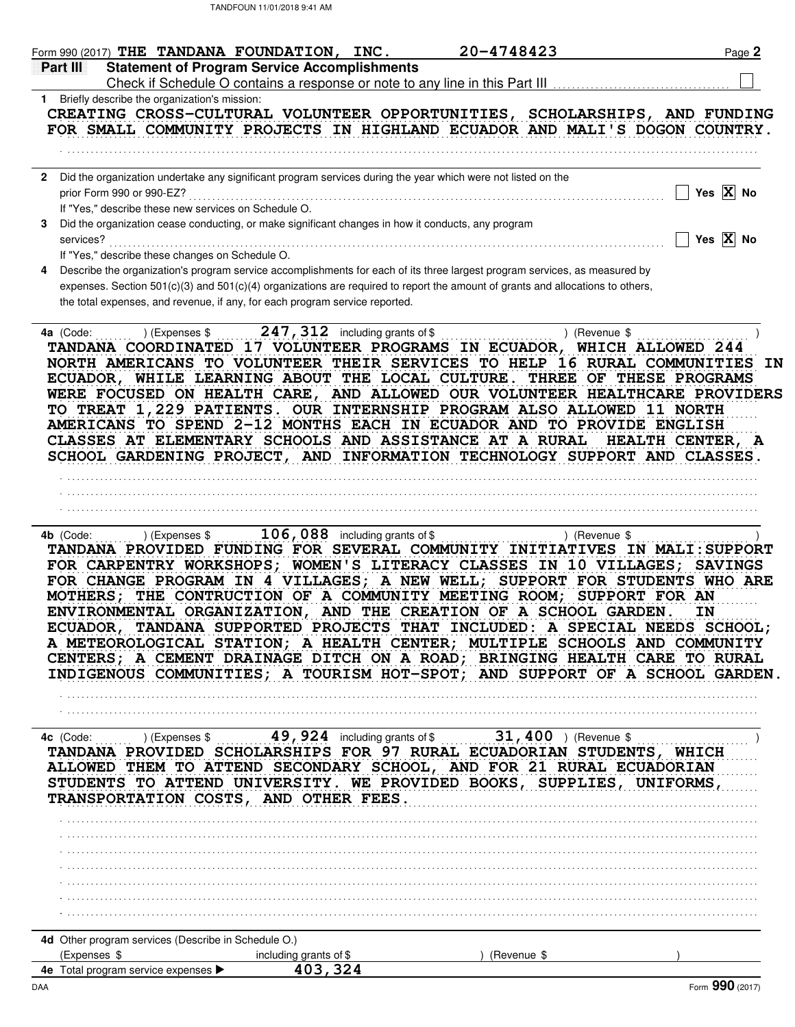| Form 990 (2017) THE TANDANA FOUNDATION, INC.                                                                                                                                                                                                                                                                                                                                                                                                                                                                                                                                                                                                                                                                                            |                                                  | 20-4748423  |               | Page 2                  |
|-----------------------------------------------------------------------------------------------------------------------------------------------------------------------------------------------------------------------------------------------------------------------------------------------------------------------------------------------------------------------------------------------------------------------------------------------------------------------------------------------------------------------------------------------------------------------------------------------------------------------------------------------------------------------------------------------------------------------------------------|--------------------------------------------------|-------------|---------------|-------------------------|
| <b>Statement of Program Service Accomplishments</b><br><b>Part III</b>                                                                                                                                                                                                                                                                                                                                                                                                                                                                                                                                                                                                                                                                  |                                                  |             |               |                         |
| 1 Briefly describe the organization's mission:                                                                                                                                                                                                                                                                                                                                                                                                                                                                                                                                                                                                                                                                                          |                                                  |             |               |                         |
| CREATING CROSS-CULTURAL VOLUNTEER OPPORTUNITIES, SCHOLARSHIPS, AND FUNDING                                                                                                                                                                                                                                                                                                                                                                                                                                                                                                                                                                                                                                                              |                                                  |             |               |                         |
| FOR SMALL COMMUNITY PROJECTS IN HIGHLAND ECUADOR AND MALI'S DOGON COUNTRY.                                                                                                                                                                                                                                                                                                                                                                                                                                                                                                                                                                                                                                                              |                                                  |             |               |                         |
|                                                                                                                                                                                                                                                                                                                                                                                                                                                                                                                                                                                                                                                                                                                                         |                                                  |             |               |                         |
| Did the organization undertake any significant program services during the year which were not listed on the                                                                                                                                                                                                                                                                                                                                                                                                                                                                                                                                                                                                                            |                                                  |             |               |                         |
| prior Form 990 or 990-EZ?<br>If "Yes," describe these new services on Schedule O.                                                                                                                                                                                                                                                                                                                                                                                                                                                                                                                                                                                                                                                       |                                                  |             |               | Yes $X$ No              |
| Did the organization cease conducting, or make significant changes in how it conducts, any program                                                                                                                                                                                                                                                                                                                                                                                                                                                                                                                                                                                                                                      |                                                  |             |               |                         |
| services?                                                                                                                                                                                                                                                                                                                                                                                                                                                                                                                                                                                                                                                                                                                               |                                                  |             |               | Yes $\overline{X}$ No   |
| If "Yes," describe these changes on Schedule O.                                                                                                                                                                                                                                                                                                                                                                                                                                                                                                                                                                                                                                                                                         |                                                  |             |               |                         |
| Describe the organization's program service accomplishments for each of its three largest program services, as measured by<br>expenses. Section 501(c)(3) and 501(c)(4) organizations are required to report the amount of grants and allocations to others,<br>the total expenses, and revenue, if any, for each program service reported.                                                                                                                                                                                                                                                                                                                                                                                             |                                                  |             |               |                         |
| 4a (Code:<br>TANDANA COORDINATED 17 VOLUNTEER PROGRAMS IN ECUADOR, WHICH ALLOWED 244<br>NORTH AMERICANS TO VOLUNTEER THEIR SERVICES TO HELP 16 RURAL COMMUNITIES IN<br>ECUADOR, WHILE LEARNING ABOUT THE LOCAL CULTURE. THREE OF THESE PROGRAMS<br>WERE FOCUSED ON HEALTH CARE, AND ALLOWED OUR VOLUNTEER HEALTHCARE PROVIDERS<br>TO TREAT 1,229 PATIENTS. OUR INTERNSHIP PROGRAM ALSO ALLOWED 11 NORTH<br>AMERICANS TO SPEND 2-12 MONTHS EACH IN ECUADOR AND TO PROVIDE ENGLISH<br>CLASSES AT ELEMENTARY SCHOOLS AND ASSISTANCE AT A RURAL<br>SCHOOL GARDENING PROJECT, AND INFORMATION TECHNOLOGY SUPPORT AND CLASSES.                                                                                                                | ) (Expenses \$ $247, 312$ including grants of \$ |             | ) (Revenue \$ | <b>HEALTH CENTER, A</b> |
|                                                                                                                                                                                                                                                                                                                                                                                                                                                                                                                                                                                                                                                                                                                                         |                                                  |             |               |                         |
|                                                                                                                                                                                                                                                                                                                                                                                                                                                                                                                                                                                                                                                                                                                                         |                                                  |             |               |                         |
|                                                                                                                                                                                                                                                                                                                                                                                                                                                                                                                                                                                                                                                                                                                                         |                                                  |             |               |                         |
|                                                                                                                                                                                                                                                                                                                                                                                                                                                                                                                                                                                                                                                                                                                                         | $106,088$ including grants of \$                 |             | ) (Revenue \$ |                         |
| ) (Expenses \$<br>4b (Code:<br>TANDANA PROVIDED FUNDING FOR SEVERAL COMMUNITY INITIATIVES IN MALI:SUPPORT<br>FOR CARPENTRY WORKSHOPS; WOMEN'S LITERACY CLASSES IN 10 VILLAGES; SAVINGS<br>FOR CHANGE PROGRAM IN 4 VILLAGES; A NEW WELL; SUPPORT FOR STUDENTS WHO ARE<br>MOTHERS; THE CONTRUCTION OF A COMMUNITY MEETING ROOM; SUPPORT FOR AN<br>ENVIRONMENTAL ORGANIZATION, AND THE CREATION OF A SCHOOL GARDEN.<br>ECUADOR, TANDANA SUPPORTED PROJECTS THAT INCLUDED: A SPECIAL NEEDS SCHOOL;<br>A METEOROLOGICAL STATION; A HEALTH CENTER; MULTIPLE SCHOOLS AND COMMUNITY<br>CENTERS; A CEMENT DRAINAGE DITCH ON A ROAD; BRINGING HEALTH CARE TO RURAL<br>INDIGENOUS COMMUNITIES; A TOURISM HOT-SPOT; AND SUPPORT OF A SCHOOL GARDEN. |                                                  |             |               | IN                      |
|                                                                                                                                                                                                                                                                                                                                                                                                                                                                                                                                                                                                                                                                                                                                         |                                                  |             |               |                         |
| 400 (Code:  ) (Expenses \$  49, 924 including grants of \$  31, 400 ) (Revenue \$<br>TANDANA PROVIDED SCHOLARSHIPS FOR 97 RURAL ECUADORIAN STUDENTS, WHICH<br>ALLOWED THEM TO ATTEND SECONDARY SCHOOL, AND FOR 21 RURAL ECUADORIAN<br>STUDENTS TO ATTEND UNIVERSITY. WE PROVIDED BOOKS, SUPPLIES, UNIFORMS,<br>TRANSPORTATION COSTS, AND OTHER FEES.                                                                                                                                                                                                                                                                                                                                                                                    |                                                  |             |               |                         |
|                                                                                                                                                                                                                                                                                                                                                                                                                                                                                                                                                                                                                                                                                                                                         |                                                  |             |               |                         |
|                                                                                                                                                                                                                                                                                                                                                                                                                                                                                                                                                                                                                                                                                                                                         |                                                  |             |               |                         |
|                                                                                                                                                                                                                                                                                                                                                                                                                                                                                                                                                                                                                                                                                                                                         |                                                  |             |               |                         |
|                                                                                                                                                                                                                                                                                                                                                                                                                                                                                                                                                                                                                                                                                                                                         |                                                  |             |               |                         |
|                                                                                                                                                                                                                                                                                                                                                                                                                                                                                                                                                                                                                                                                                                                                         |                                                  |             |               |                         |
|                                                                                                                                                                                                                                                                                                                                                                                                                                                                                                                                                                                                                                                                                                                                         |                                                  |             |               |                         |
|                                                                                                                                                                                                                                                                                                                                                                                                                                                                                                                                                                                                                                                                                                                                         |                                                  |             |               |                         |
| 4d Other program services (Describe in Schedule O.)<br>(Expenses \$<br>4e Total program service expenses >                                                                                                                                                                                                                                                                                                                                                                                                                                                                                                                                                                                                                              | including grants of \$<br>403,324                | (Revenue \$ |               |                         |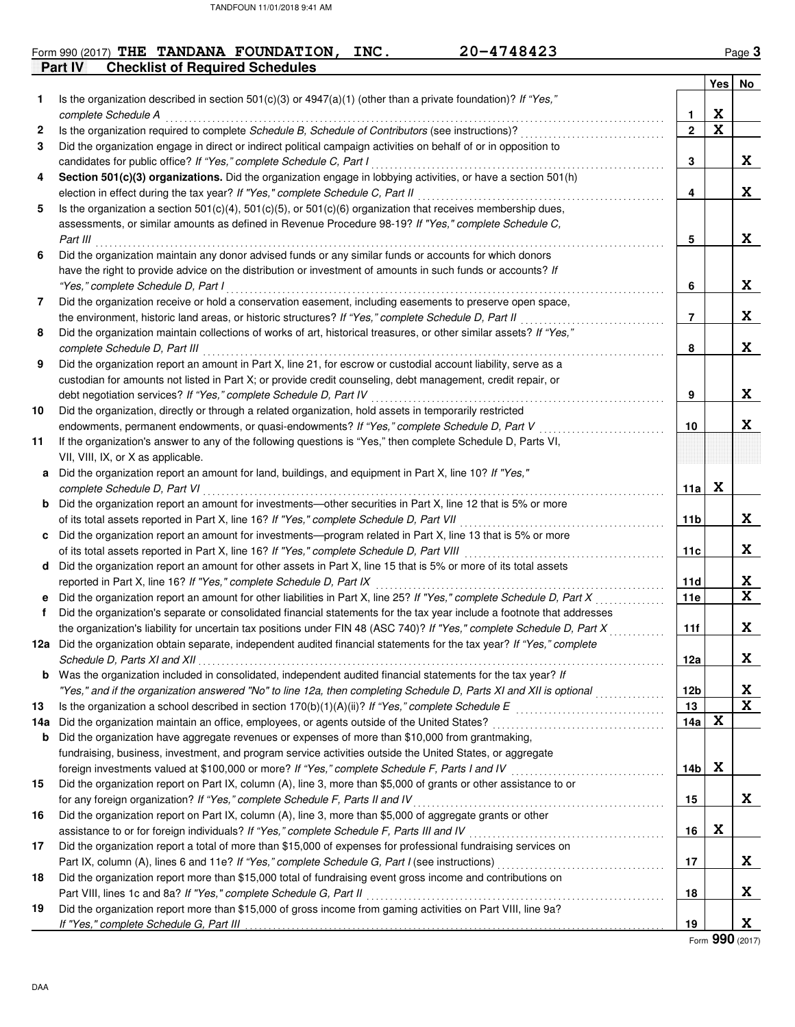#### **Part IV Checklist of Required Schedules** Form 990 (2017) THE TANDANA FOUNDATION, INC. 20-4748423 Page 3

|     |                                                                                                                                                    |              | Yes No                  |             |
|-----|----------------------------------------------------------------------------------------------------------------------------------------------------|--------------|-------------------------|-------------|
| 1.  | Is the organization described in section 501(c)(3) or $4947(a)(1)$ (other than a private foundation)? If "Yes,"                                    |              |                         |             |
|     | complete Schedule A                                                                                                                                | 1            | X                       |             |
| 2   | Is the organization required to complete Schedule B, Schedule of Contributors (see instructions)?                                                  | $\mathbf{2}$ | $\overline{\mathbf{x}}$ |             |
| 3   | Did the organization engage in direct or indirect political campaign activities on behalf of or in opposition to                                   |              |                         |             |
|     | candidates for public office? If "Yes," complete Schedule C, Part I                                                                                | 3            |                         | X           |
| 4   | Section 501(c)(3) organizations. Did the organization engage in lobbying activities, or have a section 501(h)                                      |              |                         |             |
|     | election in effect during the tax year? If "Yes," complete Schedule C, Part II                                                                     | 4            |                         | X           |
| 5   | Is the organization a section 501(c)(4), 501(c)(5), or 501(c)(6) organization that receives membership dues,                                       |              |                         |             |
|     | assessments, or similar amounts as defined in Revenue Procedure 98-19? If "Yes," complete Schedule C,                                              |              |                         |             |
|     | Part III                                                                                                                                           | 5            |                         | X           |
| 6   | Did the organization maintain any donor advised funds or any similar funds or accounts for which donors                                            |              |                         |             |
|     | have the right to provide advice on the distribution or investment of amounts in such funds or accounts? If                                        |              |                         |             |
|     | "Yes," complete Schedule D, Part I                                                                                                                 | 6            |                         | X           |
| 7   | Did the organization receive or hold a conservation easement, including easements to preserve open space,                                          |              |                         |             |
|     | the environment, historic land areas, or historic structures? If "Yes," complete Schedule D, Part II                                               | 7            |                         | X           |
| 8   | Did the organization maintain collections of works of art, historical treasures, or other similar assets? If "Yes,"                                |              |                         |             |
|     | complete Schedule D, Part III                                                                                                                      | 8            |                         | X           |
| 9   | Did the organization report an amount in Part X, line 21, for escrow or custodial account liability, serve as a                                    |              |                         |             |
|     | custodian for amounts not listed in Part X; or provide credit counseling, debt management, credit repair, or                                       |              |                         | X           |
|     | debt negotiation services? If "Yes," complete Schedule D, Part IV                                                                                  | 9            |                         |             |
| 10  | Did the organization, directly or through a related organization, hold assets in temporarily restricted                                            |              |                         |             |
|     | endowments, permanent endowments, or quasi-endowments? If "Yes," complete Schedule D, Part V                                                       | 10           |                         | X           |
| 11  | If the organization's answer to any of the following questions is "Yes," then complete Schedule D, Parts VI,<br>VII, VIII, IX, or X as applicable. |              |                         |             |
|     | Did the organization report an amount for land, buildings, and equipment in Part X, line 10? If "Yes,"                                             |              |                         |             |
| a   | complete Schedule D, Part VI                                                                                                                       | 11a          | X                       |             |
| b   | Did the organization report an amount for investments—other securities in Part X, line 12 that is 5% or more                                       |              |                         |             |
|     | of its total assets reported in Part X, line 16? If "Yes," complete Schedule D, Part VII                                                           | 11b          |                         | X           |
| C   | Did the organization report an amount for investments—program related in Part X, line 13 that is 5% or more                                        |              |                         |             |
|     | of its total assets reported in Part X, line 16? If "Yes," complete Schedule D, Part VIII                                                          | 11c          |                         | X           |
| d   | Did the organization report an amount for other assets in Part X, line 15 that is 5% or more of its total assets                                   |              |                         |             |
|     | reported in Part X, line 16? If "Yes," complete Schedule D, Part IX                                                                                | 11d          |                         | X           |
| е   | Did the organization report an amount for other liabilities in Part X, line 25? If "Yes," complete Schedule D, Part X                              | 11e          |                         | $\mathbf x$ |
| f   | Did the organization's separate or consolidated financial statements for the tax year include a footnote that addresses                            |              |                         |             |
|     | the organization's liability for uncertain tax positions under FIN 48 (ASC 740)? If "Yes," complete Schedule D, Part X                             | 11f          |                         | X           |
|     | 12a Did the organization obtain separate, independent audited financial statements for the tax year? If "Yes," complete                            |              |                         |             |
|     | Schedule D, Parts XI and XII                                                                                                                       | 12a          |                         | X           |
|     | <b>b</b> Was the organization included in consolidated, independent audited financial statements for the tax year? If                              |              |                         |             |
|     | "Yes," and if the organization answered "No" to line 12a, then completing Schedule D, Parts XI and XII is optional                                 | 12b          |                         | X           |
| 13  |                                                                                                                                                    | 13           |                         | $\mathbf x$ |
| 14а | Did the organization maintain an office, employees, or agents outside of the United States?                                                        | 14a          | X                       |             |
| b   | Did the organization have aggregate revenues or expenses of more than \$10,000 from grantmaking,                                                   |              |                         |             |
|     | fundraising, business, investment, and program service activities outside the United States, or aggregate                                          |              |                         |             |
|     | foreign investments valued at \$100,000 or more? If "Yes," complete Schedule F, Parts I and IV                                                     | 14b          | X                       |             |
| 15  | Did the organization report on Part IX, column (A), line 3, more than \$5,000 of grants or other assistance to or                                  |              |                         |             |
|     | for any foreign organization? If "Yes," complete Schedule F, Parts II and IV                                                                       | 15           |                         | X           |
| 16  | Did the organization report on Part IX, column (A), line 3, more than \$5,000 of aggregate grants or other                                         |              |                         |             |
|     | assistance to or for foreign individuals? If "Yes," complete Schedule F, Parts III and IV                                                          | 16           | X                       |             |
| 17  | Did the organization report a total of more than \$15,000 of expenses for professional fundraising services on                                     |              |                         |             |
|     |                                                                                                                                                    | 17           |                         | X           |
| 18  | Did the organization report more than \$15,000 total of fundraising event gross income and contributions on                                        |              |                         |             |
|     | Part VIII, lines 1c and 8a? If "Yes," complete Schedule G, Part II                                                                                 | 18           |                         | X           |
| 19  | Did the organization report more than \$15,000 of gross income from gaming activities on Part VIII, line 9a?                                       |              |                         |             |
|     |                                                                                                                                                    | 19           |                         | X           |

Form **990** (2017)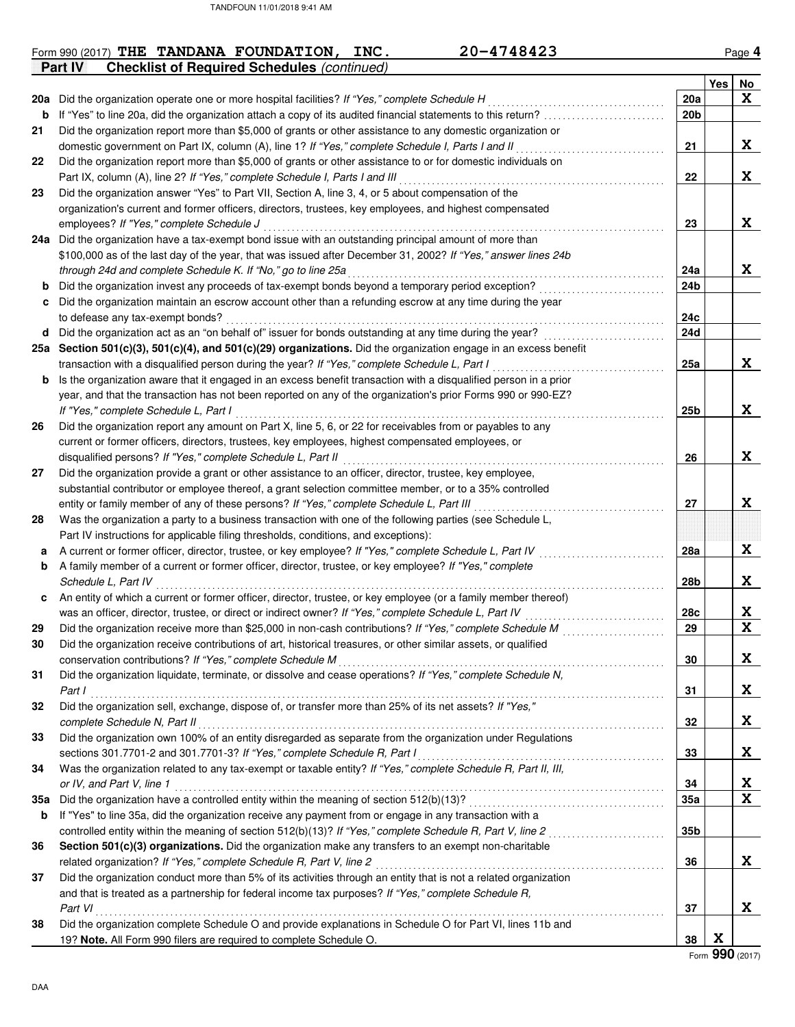|     | 20-4748423<br>Form 990 (2017) THE TANDANA FOUNDATION, INC.                                                                                                               |                   |     | Page 4                  |
|-----|--------------------------------------------------------------------------------------------------------------------------------------------------------------------------|-------------------|-----|-------------------------|
|     | <b>Checklist of Required Schedules (continued)</b><br><b>Part IV</b>                                                                                                     |                   |     |                         |
|     |                                                                                                                                                                          |                   | Yes | No                      |
|     | 20a Did the organization operate one or more hospital facilities? If "Yes," complete Schedule H                                                                          | 20a               |     | X                       |
| b   |                                                                                                                                                                          | 20 <sub>b</sub>   |     |                         |
| 21  | Did the organization report more than \$5,000 of grants or other assistance to any domestic organization or                                                              |                   |     |                         |
|     | domestic government on Part IX, column (A), line 1? If "Yes," complete Schedule I, Parts I and II                                                                        | 21                |     | X                       |
| 22  | Did the organization report more than \$5,000 of grants or other assistance to or for domestic individuals on                                                            |                   |     |                         |
|     | Part IX, column (A), line 2? If "Yes," complete Schedule I, Parts I and III                                                                                              | 22                |     | X                       |
| 23  | Did the organization answer "Yes" to Part VII, Section A, line 3, 4, or 5 about compensation of the                                                                      |                   |     |                         |
|     | organization's current and former officers, directors, trustees, key employees, and highest compensated                                                                  |                   |     |                         |
|     | employees? If "Yes," complete Schedule J                                                                                                                                 | 23                |     | X                       |
|     | 24a Did the organization have a tax-exempt bond issue with an outstanding principal amount of more than                                                                  |                   |     |                         |
|     | \$100,000 as of the last day of the year, that was issued after December 31, 2002? If "Yes," answer lines 24b                                                            |                   |     |                         |
|     | through 24d and complete Schedule K. If "No," go to line 25a                                                                                                             | 24a               |     | X                       |
| b   | Did the organization invest any proceeds of tax-exempt bonds beyond a temporary period exception?                                                                        | 24b               |     |                         |
| c   | Did the organization maintain an escrow account other than a refunding escrow at any time during the year                                                                |                   |     |                         |
|     | to defease any tax-exempt bonds?                                                                                                                                         | 24c<br><b>24d</b> |     |                         |
|     | d Did the organization act as an "on behalf of" issuer for bonds outstanding at any time during the year?                                                                |                   |     |                         |
|     | 25a Section 501(c)(3), 501(c)(4), and 501(c)(29) organizations. Did the organization engage in an excess benefit                                                         |                   |     | X                       |
|     | transaction with a disqualified person during the year? If "Yes," complete Schedule L, Part I                                                                            | 25a               |     |                         |
| b   | Is the organization aware that it engaged in an excess benefit transaction with a disqualified person in a prior                                                         |                   |     |                         |
|     | year, and that the transaction has not been reported on any of the organization's prior Forms 990 or 990-EZ?                                                             |                   |     | X                       |
|     | If "Yes," complete Schedule L, Part I                                                                                                                                    | 25b               |     |                         |
| 26  | Did the organization report any amount on Part X, line 5, 6, or 22 for receivables from or payables to any                                                               |                   |     |                         |
|     | current or former officers, directors, trustees, key employees, highest compensated employees, or                                                                        |                   |     | X                       |
|     | disqualified persons? If "Yes," complete Schedule L, Part II<br>Did the organization provide a grant or other assistance to an officer, director, trustee, key employee, | 26                |     |                         |
| 27  | substantial contributor or employee thereof, a grant selection committee member, or to a 35% controlled                                                                  |                   |     |                         |
|     | entity or family member of any of these persons? If "Yes," complete Schedule L, Part III                                                                                 | 27                |     | X                       |
| 28  | Was the organization a party to a business transaction with one of the following parties (see Schedule L,                                                                |                   |     |                         |
|     | Part IV instructions for applicable filing thresholds, conditions, and exceptions):                                                                                      |                   |     |                         |
| а   | A current or former officer, director, trustee, or key employee? If "Yes," complete Schedule L, Part IV                                                                  | 28a               |     | X                       |
| b   | A family member of a current or former officer, director, trustee, or key employee? If "Yes," complete                                                                   |                   |     |                         |
|     | Schedule L, Part IV                                                                                                                                                      | 28b               |     | X                       |
| c   | An entity of which a current or former officer, director, trustee, or key employee (or a family member thereof)                                                          |                   |     |                         |
|     | was an officer, director, trustee, or direct or indirect owner? If "Yes," complete Schedule L, Part IV                                                                   | 28c               |     | X                       |
| 29  |                                                                                                                                                                          | 29                |     | $\overline{\mathbf{x}}$ |
| 30  | Did the organization receive contributions of art, historical treasures, or other similar assets, or qualified                                                           |                   |     |                         |
|     | conservation contributions? If "Yes," complete Schedule M                                                                                                                | 30                |     | X                       |
| 31  | Did the organization liquidate, terminate, or dissolve and cease operations? If "Yes," complete Schedule N,                                                              |                   |     |                         |
|     | Part I                                                                                                                                                                   | 31                |     | X                       |
| 32  | Did the organization sell, exchange, dispose of, or transfer more than 25% of its net assets? If "Yes,"                                                                  |                   |     |                         |
|     | complete Schedule N, Part II                                                                                                                                             | 32                |     | X                       |
| 33  | Did the organization own 100% of an entity disregarded as separate from the organization under Regulations                                                               |                   |     |                         |
|     | sections 301.7701-2 and 301.7701-3? If "Yes," complete Schedule R, Part I                                                                                                | 33                |     | X                       |
| 34  | Was the organization related to any tax-exempt or taxable entity? If "Yes," complete Schedule R, Part II, III,                                                           |                   |     |                         |
|     | or IV, and Part V, line 1                                                                                                                                                | 34                |     | X                       |
| 35а |                                                                                                                                                                          | 35a               |     | X                       |
| b   | If "Yes" to line 35a, did the organization receive any payment from or engage in any transaction with a                                                                  |                   |     |                         |
|     | controlled entity within the meaning of section 512(b)(13)? If "Yes," complete Schedule R, Part V, line 2                                                                | 35b               |     |                         |
| 36  | Section 501(c)(3) organizations. Did the organization make any transfers to an exempt non-charitable                                                                     |                   |     |                         |
|     | related organization? If "Yes," complete Schedule R, Part V, line 2                                                                                                      | 36                |     | X                       |
| 37  | Did the organization conduct more than 5% of its activities through an entity that is not a related organization                                                         |                   |     |                         |
|     | and that is treated as a partnership for federal income tax purposes? If "Yes," complete Schedule R,                                                                     |                   |     |                         |
|     | Part VI                                                                                                                                                                  | 37                |     | X                       |
| 38  | Did the organization complete Schedule O and provide explanations in Schedule O for Part VI, lines 11b and                                                               |                   |     |                         |
|     | 19? Note. All Form 990 filers are required to complete Schedule O.                                                                                                       | 38                | X   |                         |

Form **990** (2017)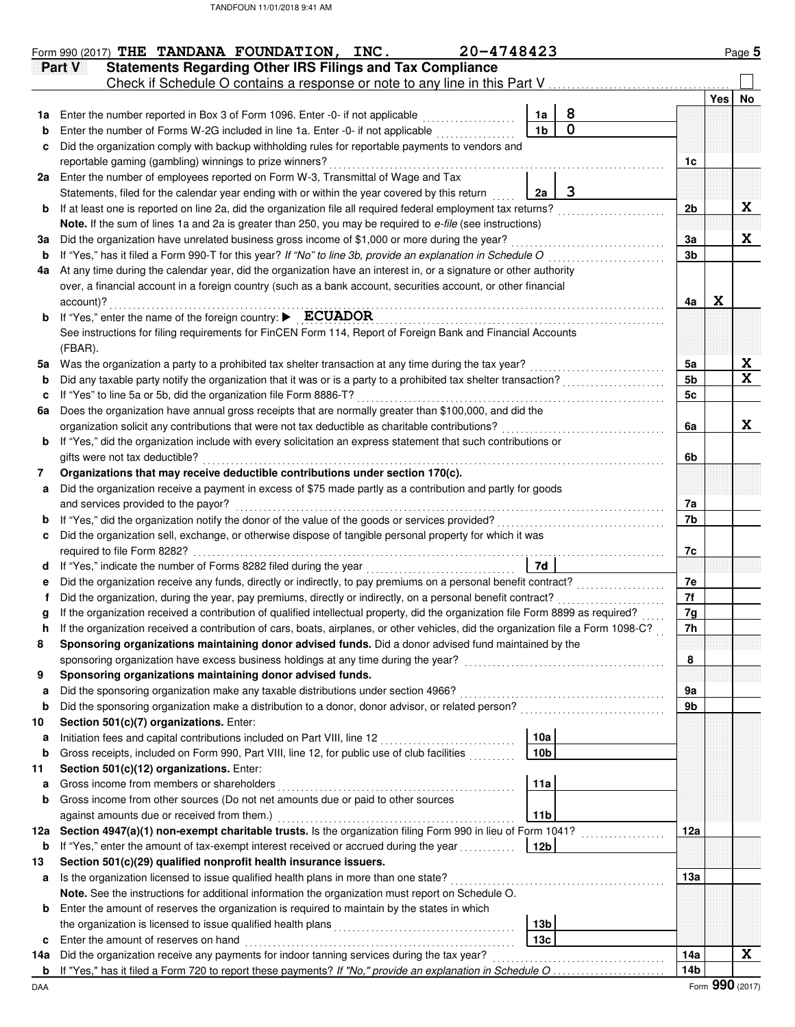|        | 20-4748423<br>Form 990 (2017) THE TANDANA FOUNDATION, INC.                                                                                                                                        |                      |                                                      |     |     | Page 5      |
|--------|---------------------------------------------------------------------------------------------------------------------------------------------------------------------------------------------------|----------------------|------------------------------------------------------|-----|-----|-------------|
|        | <b>Statements Regarding Other IRS Filings and Tax Compliance</b><br>Part V                                                                                                                        |                      |                                                      |     |     |             |
|        | Check if Schedule O contains a response or note to any line in this Part V                                                                                                                        |                      |                                                      |     |     |             |
|        |                                                                                                                                                                                                   |                      |                                                      |     | Yes | No          |
| 1a     | Enter the number reported in Box 3 of Form 1096. Enter -0- if not applicable                                                                                                                      | 1a<br>1 <sub>b</sub> | 8<br>$\mathbf 0$                                     |     |     |             |
| b<br>c | Enter the number of Forms W-2G included in line 1a. Enter -0- if not applicable<br>Did the organization comply with backup withholding rules for reportable payments to vendors and               |                      |                                                      |     |     |             |
|        | reportable gaming (gambling) winnings to prize winners?                                                                                                                                           |                      |                                                      | 1c  |     |             |
|        | 2a Enter the number of employees reported on Form W-3, Transmittal of Wage and Tax                                                                                                                |                      |                                                      |     |     |             |
|        | Statements, filed for the calendar year ending with or within the year covered by this return                                                                                                     | 2a                   | 3                                                    |     |     |             |
| b      | If at least one is reported on line 2a, did the organization file all required federal employment tax returns?                                                                                    |                      |                                                      | 2b  |     | X           |
|        | Note. If the sum of lines 1a and 2a is greater than 250, you may be required to e-file (see instructions)                                                                                         |                      |                                                      |     |     |             |
| За     | Did the organization have unrelated business gross income of \$1,000 or more during the year?                                                                                                     |                      |                                                      | За  |     | X           |
| b      | If "Yes," has it filed a Form 990-T for this year? If "No" to line 3b, provide an explanation in Schedule O                                                                                       |                      |                                                      | 3b  |     |             |
| 4a     | At any time during the calendar year, did the organization have an interest in, or a signature or other authority                                                                                 |                      |                                                      |     |     |             |
|        | over, a financial account in a foreign country (such as a bank account, securities account, or other financial                                                                                    |                      |                                                      |     |     |             |
|        | account)?                                                                                                                                                                                         |                      |                                                      | 4a  | X   |             |
| b      | If "Yes," enter the name of the foreign country: ▶ ECUADOR                                                                                                                                        |                      |                                                      |     |     |             |
|        | See instructions for filing requirements for FinCEN Form 114, Report of Foreign Bank and Financial Accounts                                                                                       |                      |                                                      |     |     |             |
|        | (FBAR).                                                                                                                                                                                           |                      |                                                      |     |     |             |
| 5а     | Was the organization a party to a prohibited tax shelter transaction at any time during the tax year?                                                                                             |                      |                                                      | 5a  |     | X           |
| b      | Did any taxable party notify the organization that it was or is a party to a prohibited tax shelter transaction?                                                                                  |                      |                                                      | 5b  |     | X           |
| c      | If "Yes" to line 5a or 5b, did the organization file Form 8886-T?                                                                                                                                 |                      |                                                      | 5c  |     |             |
| 6a     | Does the organization have annual gross receipts that are normally greater than \$100,000, and did the                                                                                            |                      |                                                      |     |     |             |
|        | organization solicit any contributions that were not tax deductible as charitable contributions?                                                                                                  |                      |                                                      | 6a  |     | X           |
| b      | If "Yes," did the organization include with every solicitation an express statement that such contributions or                                                                                    |                      |                                                      |     |     |             |
|        | gifts were not tax deductible?                                                                                                                                                                    |                      |                                                      | 6b  |     |             |
| 7      | Organizations that may receive deductible contributions under section 170(c).                                                                                                                     |                      |                                                      |     |     |             |
| а      | Did the organization receive a payment in excess of \$75 made partly as a contribution and partly for goods                                                                                       |                      |                                                      |     |     |             |
|        | and services provided to the payor?                                                                                                                                                               |                      |                                                      | 7a  |     |             |
| b      | If "Yes," did the organization notify the donor of the value of the goods or services provided?                                                                                                   |                      |                                                      | 7b  |     |             |
|        | Did the organization sell, exchange, or otherwise dispose of tangible personal property for which it was<br>required to file Form 8282?                                                           |                      |                                                      |     |     |             |
|        | If "Yes," indicate the number of Forms 8282 filed during the year<br>[[[CODSTERET]]                                                                                                               | 7d                   |                                                      | 7c  |     |             |
|        | Did the organization receive any funds, directly or indirectly, to pay premiums on a personal benefit contract?                                                                                   |                      |                                                      | 7e  |     |             |
|        | Did the organization, during the year, pay premiums, directly or indirectly, on a personal benefit contract?                                                                                      |                      |                                                      | 7f  |     |             |
|        | If the organization received a contribution of qualified intellectual property, did the organization file Form 8899 as required?                                                                  |                      |                                                      | 7g  |     |             |
| n      | If the organization received a contribution of cars, boats, airplanes, or other vehicles, did the organization file a Form 1098-C?                                                                |                      |                                                      | 7h  |     |             |
| 8      | Sponsoring organizations maintaining donor advised funds. Did a donor advised fund maintained by the                                                                                              |                      |                                                      |     |     |             |
|        | sponsoring organization have excess business holdings at any time during the year?                                                                                                                |                      | <u> 1986 - Johann Stoff, Amerikaansk politiker (</u> | 8   |     |             |
| 9      | Sponsoring organizations maintaining donor advised funds.                                                                                                                                         |                      |                                                      |     |     |             |
| a      | Did the sponsoring organization make any taxable distributions under section 4966?                                                                                                                |                      |                                                      | 9a  |     |             |
| b      | Did the sponsoring organization make a distribution to a donor, donor advisor, or related person?                                                                                                 |                      |                                                      | 9b  |     |             |
| 10     | Section 501(c)(7) organizations. Enter:                                                                                                                                                           |                      |                                                      |     |     |             |
| а      | Initiation fees and capital contributions included on Part VIII, line 12                                                                                                                          | 10a                  |                                                      |     |     |             |
| b      | Gross receipts, included on Form 990, Part VIII, line 12, for public use of club facilities                                                                                                       | 10 <sub>b</sub>      |                                                      |     |     |             |
| 11     | Section 501(c)(12) organizations. Enter:                                                                                                                                                          |                      |                                                      |     |     |             |
| а      | Gross income from members or shareholders                                                                                                                                                         | 11a                  |                                                      |     |     |             |
| b      | Gross income from other sources (Do not net amounts due or paid to other sources                                                                                                                  |                      |                                                      |     |     |             |
|        | against amounts due or received from them.)                                                                                                                                                       | 11 <sub>b</sub>      |                                                      |     |     |             |
| 12a    | Section 4947(a)(1) non-exempt charitable trusts. Is the organization filing Form 990 in lieu of Form 1041?                                                                                        |                      |                                                      | 12a |     |             |
| b      | If "Yes," enter the amount of tax-exempt interest received or accrued during the year [[[[[[[[[[[[[[[[[[[]]]]]                                                                                    | 12 <sub>b</sub>      |                                                      |     |     |             |
| 13     | Section 501(c)(29) qualified nonprofit health insurance issuers.                                                                                                                                  |                      |                                                      |     |     |             |
| а      | Is the organization licensed to issue qualified health plans in more than one state?                                                                                                              |                      |                                                      | 13а |     |             |
| b      | Note. See the instructions for additional information the organization must report on Schedule O.<br>Enter the amount of reserves the organization is required to maintain by the states in which |                      |                                                      |     |     |             |
|        | the organization is licensed to issue qualified health plans                                                                                                                                      | 13b                  |                                                      |     |     |             |
| c      | Enter the amount of reserves on hand                                                                                                                                                              | 13 <sub>c</sub>      |                                                      |     |     |             |
| 14a    | Did the organization receive any payments for indoor tanning services during the tax year?                                                                                                        |                      | <u> 1999 - Johann Stoff, martin a</u>                | 14a |     | $\mathbf x$ |
|        | <b>b</b> If "Yes," has it filed a Form 720 to report these payments? If "No," provide an explanation in Schedule O                                                                                |                      |                                                      | 14b |     |             |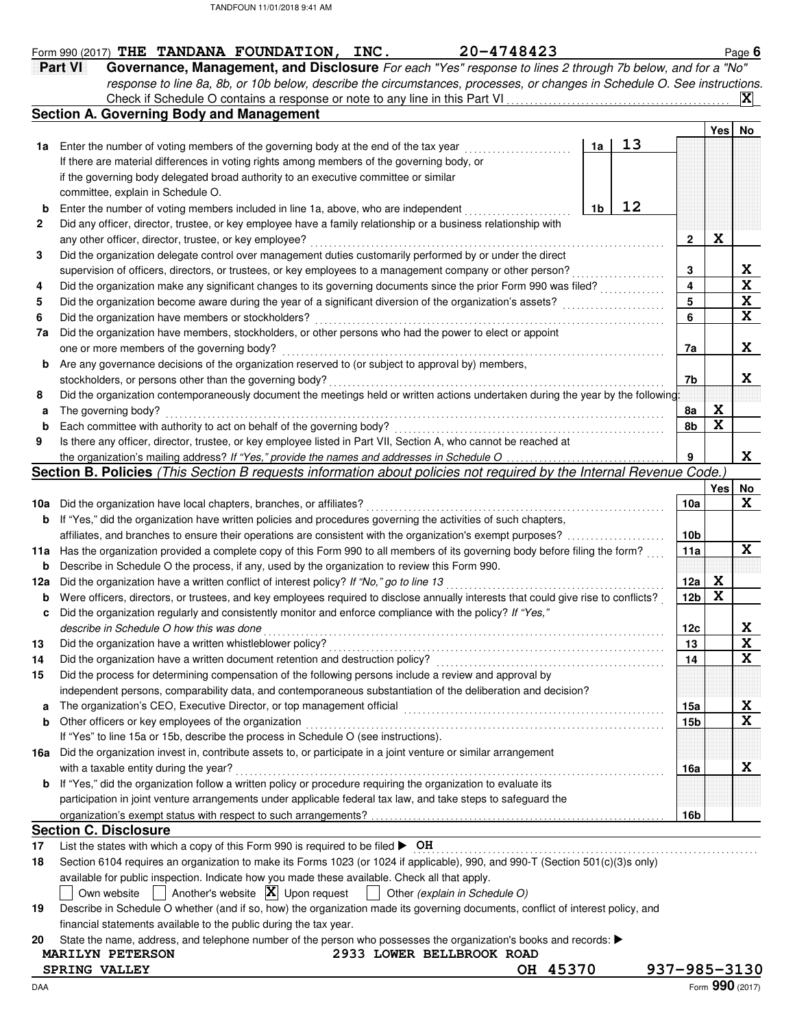|                                | Part VI<br>Governance, Management, and Disclosure For each "Yes" response to lines 2 through 7b below, and for a "No"                                                                                                               |                |    |                 |      |  |
|--------------------------------|-------------------------------------------------------------------------------------------------------------------------------------------------------------------------------------------------------------------------------------|----------------|----|-----------------|------|--|
|                                | response to line 8a, 8b, or 10b below, describe the circumstances, processes, or changes in Schedule O. See instructions.                                                                                                           |                |    |                 |      |  |
|                                |                                                                                                                                                                                                                                     |                |    |                 |      |  |
|                                | <b>Section A. Governing Body and Management</b>                                                                                                                                                                                     |                |    |                 |      |  |
|                                |                                                                                                                                                                                                                                     |                |    |                 | Yesl |  |
|                                | 1a Enter the number of voting members of the governing body at the end of the tax year                                                                                                                                              | 1a             | 13 |                 |      |  |
|                                | If there are material differences in voting rights among members of the governing body, or                                                                                                                                          |                |    |                 |      |  |
|                                | if the governing body delegated broad authority to an executive committee or similar                                                                                                                                                |                |    |                 |      |  |
|                                | committee, explain in Schedule O.                                                                                                                                                                                                   |                |    |                 |      |  |
| b                              | Enter the number of voting members included in line 1a, above, who are independent                                                                                                                                                  | 1 <sub>b</sub> | 12 |                 |      |  |
|                                | Did any officer, director, trustee, or key employee have a family relationship or a business relationship with                                                                                                                      |                |    |                 |      |  |
|                                | any other officer, director, trustee, or key employee?                                                                                                                                                                              |                |    | $\mathbf 2$     | X    |  |
|                                | Did the organization delegate control over management duties customarily performed by or under the direct                                                                                                                           |                |    |                 |      |  |
|                                | supervision of officers, directors, or trustees, or key employees to a management company or other person?                                                                                                                          |                |    | 3               |      |  |
|                                |                                                                                                                                                                                                                                     |                |    | 4               |      |  |
|                                |                                                                                                                                                                                                                                     |                |    | 5               |      |  |
|                                | Did the organization have members or stockholders?                                                                                                                                                                                  |                |    | 6               |      |  |
| 7a                             | Did the organization have members, stockholders, or other persons who had the power to elect or appoint                                                                                                                             |                |    |                 |      |  |
|                                | one or more members of the governing body?                                                                                                                                                                                          |                |    | 7a              |      |  |
| b                              | Are any governance decisions of the organization reserved to (or subject to approval by) members,                                                                                                                                   |                |    |                 |      |  |
|                                | stockholders, or persons other than the governing body?                                                                                                                                                                             |                |    | 7b              |      |  |
|                                | Did the organization contemporaneously document the meetings held or written actions undertaken during the year by the following                                                                                                    |                |    |                 |      |  |
| a                              | The governing body?                                                                                                                                                                                                                 |                |    | 8a              | X    |  |
| b                              | Each committee with authority to act on behalf of the governing body?                                                                                                                                                               |                |    | 8b              | X    |  |
|                                |                                                                                                                                                                                                                                     |                |    |                 |      |  |
|                                |                                                                                                                                                                                                                                     |                |    |                 |      |  |
|                                | Is there any officer, director, trustee, or key employee listed in Part VII, Section A, who cannot be reached at                                                                                                                    |                |    |                 |      |  |
|                                |                                                                                                                                                                                                                                     |                |    | 9               |      |  |
|                                | Section B. Policies (This Section B requests information about policies not required by the Internal Revenue Code.)                                                                                                                 |                |    |                 |      |  |
|                                |                                                                                                                                                                                                                                     |                |    |                 | Yesl |  |
|                                | Did the organization have local chapters, branches, or affiliates?                                                                                                                                                                  |                |    | 10a             |      |  |
|                                | If "Yes," did the organization have written policies and procedures governing the activities of such chapters,                                                                                                                      |                |    |                 |      |  |
|                                |                                                                                                                                                                                                                                     |                |    | 10 <sub>b</sub> |      |  |
|                                | 11a Has the organization provided a complete copy of this Form 990 to all members of its governing body before filing the form?                                                                                                     |                |    | 11a             |      |  |
|                                | Describe in Schedule O the process, if any, used by the organization to review this Form 990.                                                                                                                                       |                |    |                 |      |  |
|                                | Did the organization have a written conflict of interest policy? If "No," go to line 13                                                                                                                                             |                |    | 12a             | X    |  |
|                                | Were officers, directors, or trustees, and key employees required to disclose annually interests that could give rise to conflicts?                                                                                                 |                |    | 12 <sub>b</sub> | X    |  |
|                                | Did the organization regularly and consistently monitor and enforce compliance with the policy? If "Yes,"                                                                                                                           |                |    |                 |      |  |
|                                | describe in Schedule O how this was done <i>comparison contained a series</i> of the series of the series of the series of the series of the series of the series of the series of the series of the series of the series of the se |                |    | 12c             |      |  |
|                                |                                                                                                                                                                                                                                     |                |    | 13              |      |  |
|                                |                                                                                                                                                                                                                                     |                |    | 14              |      |  |
| 10a<br>b<br>b<br>12a<br>b<br>c | Did the process for determining compensation of the following persons include a review and approval by                                                                                                                              |                |    |                 |      |  |
|                                | independent persons, comparability data, and contemporaneous substantiation of the deliberation and decision?                                                                                                                       |                |    |                 |      |  |
|                                |                                                                                                                                                                                                                                     |                |    | 15a             |      |  |
|                                | Other officers or key employees of the organization                                                                                                                                                                                 |                |    | 15b             |      |  |
|                                | If "Yes" to line 15a or 15b, describe the process in Schedule O (see instructions).                                                                                                                                                 |                |    |                 |      |  |
|                                | 16a Did the organization invest in, contribute assets to, or participate in a joint venture or similar arrangement                                                                                                                  |                |    |                 |      |  |
|                                | with a taxable entity during the year?                                                                                                                                                                                              |                |    | 16a             |      |  |
| a<br>b<br>b                    | If "Yes," did the organization follow a written policy or procedure requiring the organization to evaluate its                                                                                                                      |                |    |                 |      |  |
|                                | participation in joint venture arrangements under applicable federal tax law, and take steps to safeguard the                                                                                                                       |                |    |                 |      |  |
|                                |                                                                                                                                                                                                                                     |                |    | 16b             |      |  |
|                                | <b>Section C. Disclosure</b>                                                                                                                                                                                                        |                |    |                 |      |  |
|                                | List the states with which a copy of this Form 990 is required to be filed $\triangleright$ OH<br>Section 6104 requires an organization to make its Forms 1023 (or 1024 if applicable), 990, and 990-T (Section 501(c)(3)s only)    |                |    |                 |      |  |

|                                                                   |  | 19 Describe in Schedule O whether (and if so, how) the organization made its governing documents, conflict of interest policy, and |  |
|-------------------------------------------------------------------|--|------------------------------------------------------------------------------------------------------------------------------------|--|
| financial statements available to the public during the tax year. |  |                                                                                                                                    |  |

20 State the name, address<br>MARILYN PETERSON State the name, address, and telephone number of the person who possesses the organization's books and records:

2933 LOWER BELLBROOK ROAD<br>OH 45370

**SPRING VALLEY OH 45370 937-985-3130**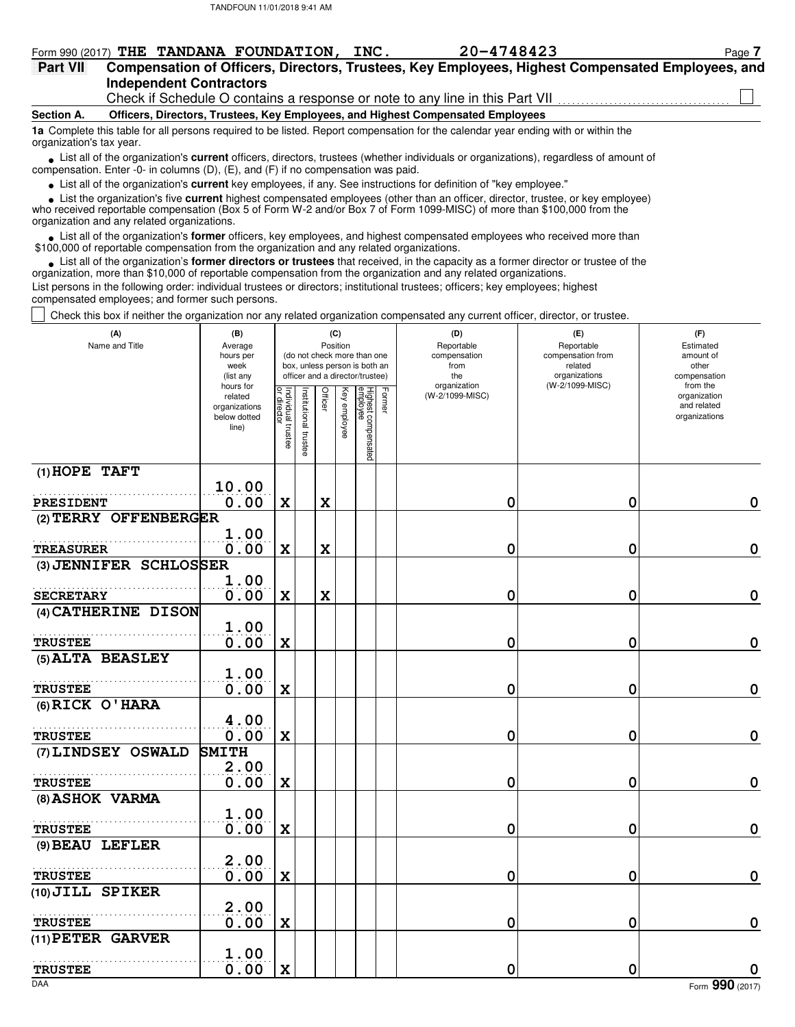|  |                         | Form 990 (2017) THE TANDANA FOUNDATION, INC. |  | 20-4748423                                                                                                |  | Page 7 |
|--|-------------------------|----------------------------------------------|--|-----------------------------------------------------------------------------------------------------------|--|--------|
|  |                         |                                              |  | Part VII Compensation of Officers, Directors, Trustees, Key Employees, Highest Compensated Employees, and |  |        |
|  | Independent Contractors |                                              |  |                                                                                                           |  |        |

Check if Schedule O contains a response or note to any line in this Part VII

**Section A. Officers, Directors, Trustees, Key Employees, and Highest Compensated Employees**

**1a** Complete this table for all persons required to be listed. Report compensation for the calendar year ending with or within the organization's tax year.

■ List all of the organization's **current** officers, directors, trustees (whether individuals or organizations), regardless of amount of the organization Fritary of amount of compensation. Enter -0- in columns (D), (E), and (F) if no compensation was paid.

List all of the organization's **current** key employees, if any. See instructions for definition of "key employee." **•**

■ List the organization's five **current** highest compensated employees (other than an officer, director, trustee, or key employee)<br> **•** Preceived reportable compensation (Box 5 of Form W-2 and/or Box 7 of Form 1099-MISC)

who received reportable compensation (Box 5 of Form W-2 and/or Box 7 of Form 1099-MISC) of more than \$100,000 from the organization and any related organizations.

• List all of the organization's **former** officers, key employees, and highest compensated employees who received more than<br>00,000 of reportable compensation from the organization and any related organizations \$100,000 of reportable compensation from the organization and any related organizations.

• List all of the organization's **former directors or trustees** that received, in the capacity as a former director or trustee of the anization more than \$10,000 of reportable compensation from the organization and any rel organization, more than \$10,000 of reportable compensation from the organization and any related organizations. List persons in the following order: individual trustees or directors; institutional trustees; officers; key employees; highest compensated employees; and former such persons.

Check this box if neither the organization nor any related organization compensated any current officer, director, or trustee.

| (A)<br>Name and Title  | (B)<br>Average<br>hours per<br>week<br>(list any               |                                   |                       |             | (C)<br>Position | (do not check more than one<br>box, unless person is both an<br>officer and a director/trustee) |        | (D)<br>Reportable<br>compensation<br>from<br>the | (E)<br>Reportable<br>compensation from<br>related<br>organizations | (F)<br>Estimated<br>amount of<br>other<br>compensation   |
|------------------------|----------------------------------------------------------------|-----------------------------------|-----------------------|-------------|-----------------|-------------------------------------------------------------------------------------------------|--------|--------------------------------------------------|--------------------------------------------------------------------|----------------------------------------------------------|
|                        | hours for<br>related<br>organizations<br>below dotted<br>line) | Individual trustee<br>or director | Institutional trustee | Officer     | Key employee    | Highest compensated<br>employee                                                                 | Former | organization<br>(W-2/1099-MISC)                  | (W-2/1099-MISC)                                                    | from the<br>organization<br>and related<br>organizations |
| $(1)$ HOPE TAFT        |                                                                |                                   |                       |             |                 |                                                                                                 |        |                                                  |                                                                    |                                                          |
| <b>PRESIDENT</b>       | 10.00<br>0.00                                                  | $\mathbf x$                       |                       | $\mathbf x$ |                 |                                                                                                 |        | 0                                                | 0                                                                  | 0                                                        |
| (2) TERRY OFFENBERGER  |                                                                |                                   |                       |             |                 |                                                                                                 |        |                                                  |                                                                    |                                                          |
| <b>TREASURER</b>       | 1.00<br>0.00                                                   | $\mathbf x$                       |                       | $\mathbf x$ |                 |                                                                                                 |        | 0                                                | 0                                                                  | $\mathbf 0$                                              |
| (3) JENNIFER SCHLOSSER |                                                                |                                   |                       |             |                 |                                                                                                 |        |                                                  |                                                                    |                                                          |
| <b>SECRETARY</b>       | 1.00<br>0.00                                                   | $\mathbf x$                       |                       | $\mathbf x$ |                 |                                                                                                 |        | 0                                                | 0                                                                  | $\mathbf 0$                                              |
| (4) CATHERINE DISON    |                                                                |                                   |                       |             |                 |                                                                                                 |        |                                                  |                                                                    |                                                          |
| <b>TRUSTEE</b>         | 1.00<br>0.00                                                   | $\mathbf x$                       |                       |             |                 |                                                                                                 |        | 0                                                | 0                                                                  | $\mathbf 0$                                              |
| (5) ALTA BEASLEY       |                                                                |                                   |                       |             |                 |                                                                                                 |        |                                                  |                                                                    |                                                          |
| <b>TRUSTEE</b>         | 1.00<br>0.00                                                   | $\mathbf x$                       |                       |             |                 |                                                                                                 |        | 0                                                | 0                                                                  | $\mathbf 0$                                              |
| (6) RICK O'HARA        |                                                                |                                   |                       |             |                 |                                                                                                 |        |                                                  |                                                                    |                                                          |
| <b>TRUSTEE</b>         | 4.00<br>0.00                                                   | $\mathbf x$                       |                       |             |                 |                                                                                                 |        | 0                                                | 0                                                                  | $\mathbf 0$                                              |
| (7) LINDSEY OSWALD     | <b>SMITH</b>                                                   |                                   |                       |             |                 |                                                                                                 |        |                                                  |                                                                    |                                                          |
| <b>TRUSTEE</b>         | 2.00<br>0.00                                                   | $\mathbf x$                       |                       |             |                 |                                                                                                 |        | 0                                                | 0                                                                  | $\mathbf 0$                                              |
| (8) ASHOK VARMA        |                                                                |                                   |                       |             |                 |                                                                                                 |        |                                                  |                                                                    |                                                          |
| <b>TRUSTEE</b>         | 1.00<br>0.00                                                   | $\mathbf x$                       |                       |             |                 |                                                                                                 |        | 0                                                | 0                                                                  | $\mathbf 0$                                              |
| (9) BEAU LEFLER        |                                                                |                                   |                       |             |                 |                                                                                                 |        |                                                  |                                                                    |                                                          |
| <b>TRUSTEE</b>         | 2.00                                                           |                                   |                       |             |                 |                                                                                                 |        |                                                  |                                                                    | $\pmb{0}$                                                |
| (10) JILL SPIKER       | 0.00                                                           | $\mathbf x$                       |                       |             |                 |                                                                                                 |        | 0                                                | 0                                                                  |                                                          |
|                        | 2.00                                                           |                                   |                       |             |                 |                                                                                                 |        |                                                  |                                                                    |                                                          |
| <b>TRUSTEE</b>         | 0.00                                                           | $\mathbf x$                       |                       |             |                 |                                                                                                 |        | 0                                                | 0                                                                  | $\mathbf 0$                                              |
| (11) PETER GARVER      |                                                                |                                   |                       |             |                 |                                                                                                 |        |                                                  |                                                                    |                                                          |
| <b>TRUSTEE</b>         | 1.00<br>0.00                                                   | $\mathbf x$                       |                       |             |                 |                                                                                                 |        | 0                                                | 0                                                                  | $\mathbf 0$                                              |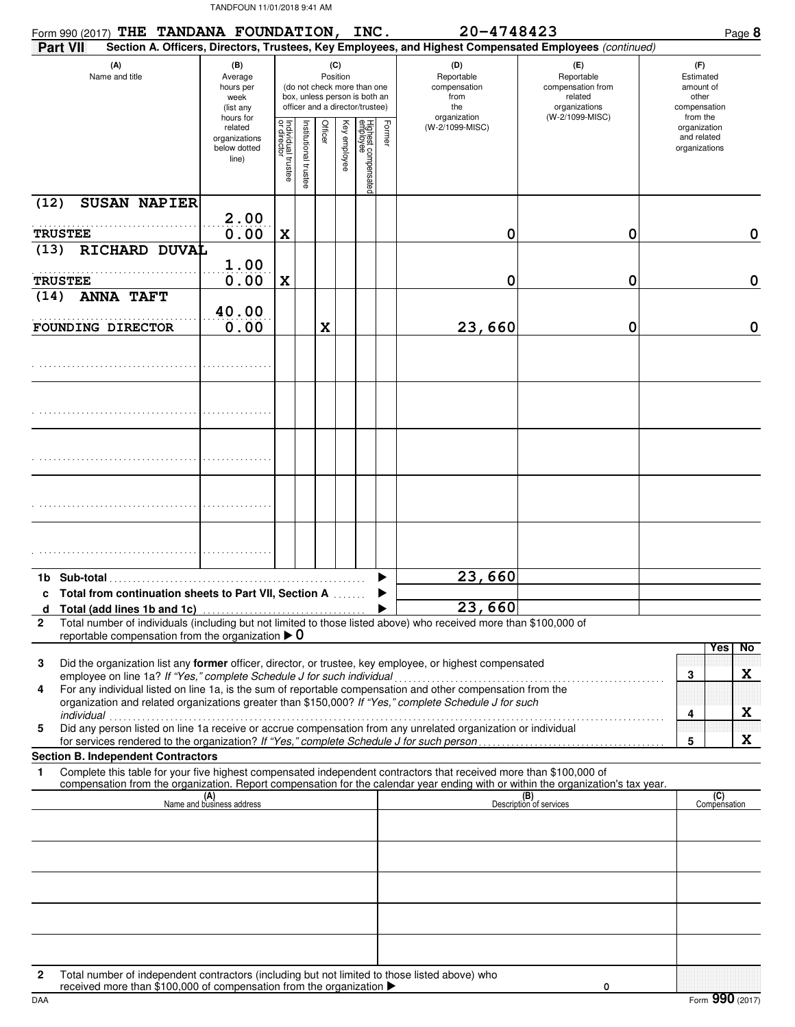| Form 990 (2017) THE TANDANA FOUNDATION, INC.                                     |                |                                                                      |                                                                                                                                                                        |                     |         |              |                                 |                                                                  | 20-4748423                                                                                                                                                                                                              |                                                                                       | Page 8                                                             |
|----------------------------------------------------------------------------------|----------------|----------------------------------------------------------------------|------------------------------------------------------------------------------------------------------------------------------------------------------------------------|---------------------|---------|--------------|---------------------------------|------------------------------------------------------------------|-------------------------------------------------------------------------------------------------------------------------------------------------------------------------------------------------------------------------|---------------------------------------------------------------------------------------|--------------------------------------------------------------------|
| <b>Part VII</b>                                                                  |                |                                                                      |                                                                                                                                                                        |                     |         |              |                                 |                                                                  | Section A. Officers, Directors, Trustees, Key Employees, and Highest Compensated Employees (continued)                                                                                                                  |                                                                                       |                                                                    |
| (A)                                                                              | Name and title |                                                                      | (B)<br>(C)<br>Position<br>Average<br>(do not check more than one<br>hours per<br>box, unless person is both an<br>week<br>officer and a director/trustee)<br>(list any |                     |         |              |                                 | (D)<br>Reportable<br>compensation<br>from<br>the<br>organization |                                                                                                                                                                                                                         | (E)<br>Reportable<br>compensation from<br>related<br>organizations<br>(W-2/1099-MISC) | (F)<br>Estimated<br>amount of<br>other<br>compensation<br>from the |
|                                                                                  |                | hours for<br>related<br>organizations<br>below dotted<br>line)       | Individual trustee<br>or director                                                                                                                                      | nstitutional truste | Officer | Key employee | Highest compensated<br>employee | Former                                                           | (W-2/1099-MISC)                                                                                                                                                                                                         |                                                                                       | organization<br>and related<br>organizations                       |
| <b>SUSAN NAPIER</b><br>(12)                                                      |                |                                                                      |                                                                                                                                                                        |                     |         |              |                                 |                                                                  |                                                                                                                                                                                                                         |                                                                                       |                                                                    |
| <b>TRUSTEE</b>                                                                   |                | 2.00<br>0.00                                                         | X                                                                                                                                                                      |                     |         |              |                                 |                                                                  | 0                                                                                                                                                                                                                       | 0                                                                                     | 0                                                                  |
| RICHARD DUVAL<br>(13)                                                            |                |                                                                      |                                                                                                                                                                        |                     |         |              |                                 |                                                                  |                                                                                                                                                                                                                         |                                                                                       |                                                                    |
| <b>TRUSTEE</b>                                                                   |                | 1.00<br>0.00                                                         | X                                                                                                                                                                      |                     |         |              |                                 |                                                                  | 0                                                                                                                                                                                                                       | 0                                                                                     | 0                                                                  |
| <b>ANNA TAFT</b><br>(14)                                                         |                |                                                                      |                                                                                                                                                                        |                     |         |              |                                 |                                                                  |                                                                                                                                                                                                                         |                                                                                       |                                                                    |
| FOUNDING DIRECTOR                                                                |                | 40.00<br>0.00                                                        |                                                                                                                                                                        |                     | X       |              |                                 |                                                                  | 23,660                                                                                                                                                                                                                  | 0                                                                                     | $\mathbf 0$                                                        |
|                                                                                  |                |                                                                      |                                                                                                                                                                        |                     |         |              |                                 |                                                                  |                                                                                                                                                                                                                         |                                                                                       |                                                                    |
|                                                                                  |                |                                                                      |                                                                                                                                                                        |                     |         |              |                                 |                                                                  |                                                                                                                                                                                                                         |                                                                                       |                                                                    |
|                                                                                  |                |                                                                      |                                                                                                                                                                        |                     |         |              |                                 |                                                                  |                                                                                                                                                                                                                         |                                                                                       |                                                                    |
|                                                                                  |                |                                                                      |                                                                                                                                                                        |                     |         |              |                                 |                                                                  |                                                                                                                                                                                                                         |                                                                                       |                                                                    |
|                                                                                  |                |                                                                      |                                                                                                                                                                        |                     |         |              |                                 |                                                                  |                                                                                                                                                                                                                         |                                                                                       |                                                                    |
|                                                                                  |                |                                                                      |                                                                                                                                                                        |                     |         |              |                                 |                                                                  |                                                                                                                                                                                                                         |                                                                                       |                                                                    |
| Total from continuation sheets to Part VII, Section A                            |                |                                                                      |                                                                                                                                                                        |                     |         |              |                                 |                                                                  | 23,660                                                                                                                                                                                                                  |                                                                                       |                                                                    |
| Total (add lines 1b and 1c)<br>d                                                 |                |                                                                      |                                                                                                                                                                        |                     |         |              |                                 |                                                                  | 23,660                                                                                                                                                                                                                  |                                                                                       |                                                                    |
| $\mathbf{2}$<br>reportable compensation from the organization $\triangleright$ 0 |                |                                                                      |                                                                                                                                                                        |                     |         |              |                                 |                                                                  | Total number of individuals (including but not limited to those listed above) who received more than \$100,000 of                                                                                                       |                                                                                       |                                                                    |
| 3<br>employee on line 1a? If "Yes," complete Schedule J for such individual<br>4 |                |                                                                      |                                                                                                                                                                        |                     |         |              |                                 |                                                                  | Did the organization list any former officer, director, or trustee, key employee, or highest compensated<br>For any individual listed on line 1a, is the sum of reportable compensation and other compensation from the |                                                                                       | No<br><b>Yes</b><br>X<br>3                                         |
| individual                                                                       |                |                                                                      |                                                                                                                                                                        |                     |         |              |                                 |                                                                  | organization and related organizations greater than \$150,000? If "Yes," complete Schedule J for such                                                                                                                   |                                                                                       | X<br>4                                                             |
| 5                                                                                |                |                                                                      |                                                                                                                                                                        |                     |         |              |                                 |                                                                  | Did any person listed on line 1a receive or accrue compensation from any unrelated organization or individual<br>for services rendered to the organization? If "Yes," complete Schedule J for such person               |                                                                                       | X<br>5                                                             |
| <b>Section B. Independent Contractors</b><br>1                                   |                |                                                                      |                                                                                                                                                                        |                     |         |              |                                 |                                                                  | Complete this table for your five highest compensated independent contractors that received more than \$100,000 of                                                                                                      |                                                                                       |                                                                    |
|                                                                                  |                |                                                                      |                                                                                                                                                                        |                     |         |              |                                 |                                                                  | compensation from the organization. Report compensation for the calendar year ending with or within the organization's tax year.                                                                                        |                                                                                       |                                                                    |
|                                                                                  |                | (A)<br>Name and business address                                     |                                                                                                                                                                        |                     |         |              |                                 |                                                                  |                                                                                                                                                                                                                         | (B)<br>Description of services                                                        | (C)<br>Compensation                                                |
|                                                                                  |                |                                                                      |                                                                                                                                                                        |                     |         |              |                                 |                                                                  |                                                                                                                                                                                                                         |                                                                                       |                                                                    |
|                                                                                  |                |                                                                      |                                                                                                                                                                        |                     |         |              |                                 |                                                                  |                                                                                                                                                                                                                         |                                                                                       |                                                                    |
|                                                                                  |                |                                                                      |                                                                                                                                                                        |                     |         |              |                                 |                                                                  |                                                                                                                                                                                                                         |                                                                                       |                                                                    |
|                                                                                  |                |                                                                      |                                                                                                                                                                        |                     |         |              |                                 |                                                                  |                                                                                                                                                                                                                         |                                                                                       |                                                                    |
| 2                                                                                |                | received more than \$100,000 of compensation from the organization ▶ |                                                                                                                                                                        |                     |         |              |                                 |                                                                  | Total number of independent contractors (including but not limited to those listed above) who                                                                                                                           | 0                                                                                     |                                                                    |

DAA Form **990** (2017)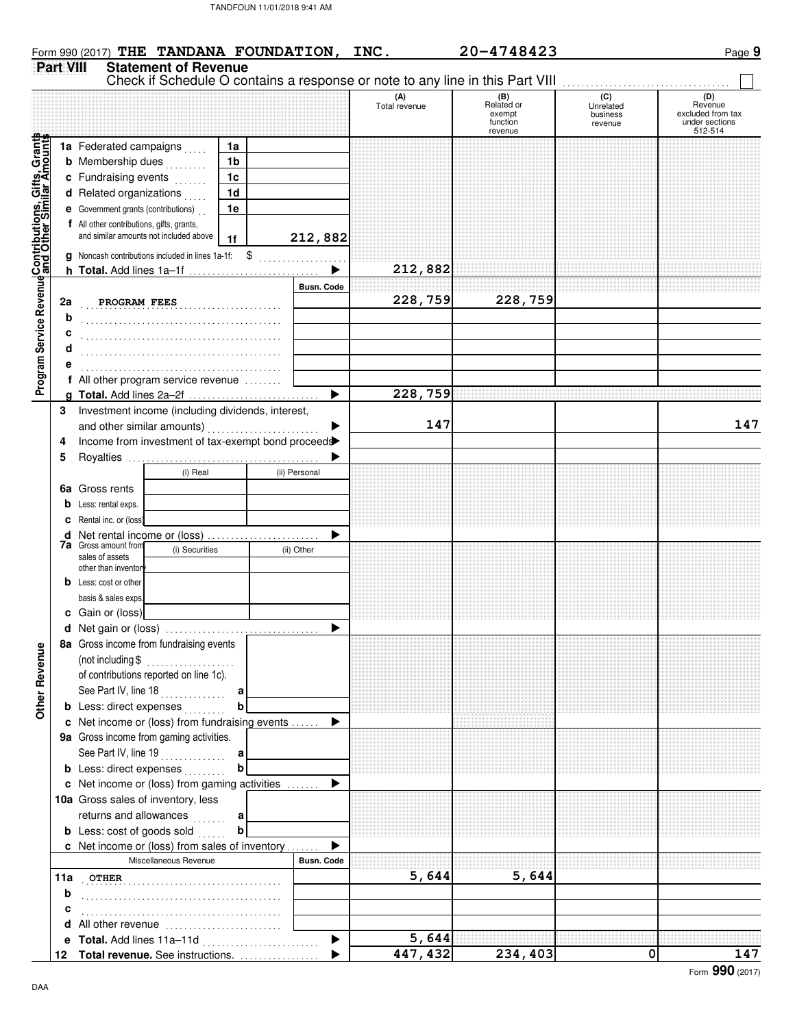| TANDFOUN 11/01/2018 9:41 AM |  |
|-----------------------------|--|
|                             |  |



|--|--|

|                                                                                                          | <b>Part VIII</b> | <b>Statement of Revenue</b>                                                         |                |                |                   |                      | Check if Schedule O contains a response or note to any line in this Part VIII |                                         |                                                       |  |
|----------------------------------------------------------------------------------------------------------|------------------|-------------------------------------------------------------------------------------|----------------|----------------|-------------------|----------------------|-------------------------------------------------------------------------------|-----------------------------------------|-------------------------------------------------------|--|
|                                                                                                          |                  |                                                                                     |                |                |                   | (A)<br>Total revenue | (B)<br>Related or<br>exempt<br>function                                       | (C)<br>Unrelated<br>business<br>revenue | (D)<br>Revenue<br>excluded from tax<br>under sections |  |
|                                                                                                          |                  | 1a Federated campaigns                                                              |                | 1a             |                   |                      | revenue                                                                       |                                         | 512-514                                               |  |
|                                                                                                          |                  | <b>b</b> Membership dues                                                            |                | 1 <sub>b</sub> |                   |                      |                                                                               |                                         |                                                       |  |
|                                                                                                          |                  |                                                                                     | a sa salars    | 1 <sub>c</sub> |                   |                      |                                                                               |                                         |                                                       |  |
|                                                                                                          |                  | c Fundraising events                                                                |                |                |                   |                      |                                                                               |                                         |                                                       |  |
|                                                                                                          |                  | d Related organizations                                                             |                | 1 <sub>d</sub> |                   |                      |                                                                               |                                         |                                                       |  |
|                                                                                                          |                  | <b>e</b> Government grants (contributions)                                          |                | 1e             |                   |                      |                                                                               |                                         |                                                       |  |
|                                                                                                          |                  | f All other contributions, gifts, grants,<br>and similar amounts not included above |                |                |                   |                      |                                                                               |                                         |                                                       |  |
|                                                                                                          |                  |                                                                                     |                | 1 <sub>f</sub> | 212,882           |                      |                                                                               |                                         |                                                       |  |
|                                                                                                          |                  | <b>g</b> Noncash contributions included in lines 1a-1f:                             |                | \$             |                   |                      |                                                                               |                                         |                                                       |  |
|                                                                                                          |                  |                                                                                     |                |                |                   | 212,882              |                                                                               |                                         |                                                       |  |
| Program Service RevenueContributions, Gifts, Grants<br>Program Service Revenue and Other Similar Amounts |                  |                                                                                     |                |                | <b>Busn. Code</b> |                      |                                                                               |                                         |                                                       |  |
|                                                                                                          | 2a               | PROGRAM FEES                                                                        |                |                |                   | 228,759              | 228,759                                                                       |                                         |                                                       |  |
|                                                                                                          | b                |                                                                                     |                |                |                   |                      |                                                                               |                                         |                                                       |  |
|                                                                                                          |                  |                                                                                     |                |                |                   |                      |                                                                               |                                         |                                                       |  |
|                                                                                                          |                  |                                                                                     |                |                |                   |                      |                                                                               |                                         |                                                       |  |
|                                                                                                          |                  |                                                                                     |                |                |                   |                      |                                                                               |                                         |                                                       |  |
|                                                                                                          |                  | f All other program service revenue                                                 |                |                |                   |                      |                                                                               |                                         |                                                       |  |
|                                                                                                          |                  |                                                                                     |                |                | ▶                 | 228,759              |                                                                               |                                         |                                                       |  |
|                                                                                                          | 3                | Investment income (including dividends, interest,                                   |                |                |                   |                      |                                                                               |                                         |                                                       |  |
|                                                                                                          |                  | and other similar amounts)                                                          |                |                |                   | 147                  |                                                                               |                                         | 147                                                   |  |
|                                                                                                          | 4                | Income from investment of tax-exempt bond proceed                                   |                |                |                   |                      |                                                                               |                                         |                                                       |  |
|                                                                                                          | 5                |                                                                                     |                |                |                   |                      |                                                                               |                                         |                                                       |  |
|                                                                                                          |                  |                                                                                     | (i) Real       |                | (ii) Personal     |                      |                                                                               |                                         |                                                       |  |
|                                                                                                          | 6a               | Gross rents                                                                         |                |                |                   |                      |                                                                               |                                         |                                                       |  |
|                                                                                                          | b                | Less: rental exps.                                                                  |                |                |                   |                      |                                                                               |                                         |                                                       |  |
|                                                                                                          | c                | Rental inc. or (loss)                                                               |                |                |                   |                      |                                                                               |                                         |                                                       |  |
|                                                                                                          | d                | Net rental income or (loss)                                                         |                |                |                   |                      |                                                                               |                                         |                                                       |  |
|                                                                                                          |                  | <b>7a</b> Gross amount from                                                         | (i) Securities |                | (ii) Other        |                      |                                                                               |                                         |                                                       |  |
|                                                                                                          |                  | sales of assets<br>other than inventor                                              |                |                |                   |                      |                                                                               |                                         |                                                       |  |
|                                                                                                          | b                | Less: cost or other                                                                 |                |                |                   |                      |                                                                               |                                         |                                                       |  |
|                                                                                                          |                  | basis & sales exps.                                                                 |                |                |                   |                      |                                                                               |                                         |                                                       |  |
|                                                                                                          |                  | c Gain or (loss)                                                                    |                |                |                   |                      |                                                                               |                                         |                                                       |  |
|                                                                                                          |                  |                                                                                     |                |                |                   |                      |                                                                               |                                         |                                                       |  |
|                                                                                                          |                  | 8a Gross income from fundraising events                                             |                |                |                   |                      |                                                                               |                                         |                                                       |  |
|                                                                                                          |                  | (not including \$                                                                   |                |                |                   |                      |                                                                               |                                         |                                                       |  |
|                                                                                                          |                  | of contributions reported on line 1c).                                              |                |                |                   |                      |                                                                               |                                         |                                                       |  |
|                                                                                                          |                  | See Part IV, line 18                                                                |                | a              |                   |                      |                                                                               |                                         |                                                       |  |
| Other Revenue                                                                                            |                  | <b>b</b> Less: direct expenses                                                      |                | b              |                   |                      |                                                                               |                                         |                                                       |  |
|                                                                                                          |                  | c Net income or (loss) from fundraising events                                      |                |                |                   |                      |                                                                               |                                         |                                                       |  |
|                                                                                                          |                  | 9a Gross income from gaming activities.                                             |                |                |                   |                      |                                                                               |                                         |                                                       |  |
|                                                                                                          |                  | See Part IV, line 19                                                                |                | a              |                   |                      |                                                                               |                                         |                                                       |  |
|                                                                                                          |                  | <b>b</b> Less: direct expenses                                                      |                | b              |                   |                      |                                                                               |                                         |                                                       |  |
|                                                                                                          |                  | c Net income or (loss) from gaming activities                                       |                |                |                   |                      |                                                                               |                                         |                                                       |  |
|                                                                                                          |                  | 10a Gross sales of inventory, less                                                  |                |                |                   |                      |                                                                               |                                         |                                                       |  |
|                                                                                                          |                  | returns and allowances                                                              |                | a              |                   |                      |                                                                               |                                         |                                                       |  |
|                                                                                                          |                  | <b>b</b> Less: cost of goods sold                                                   |                | b              |                   |                      |                                                                               |                                         |                                                       |  |
|                                                                                                          |                  | c Net income or (loss) from sales of inventory                                      |                |                |                   |                      |                                                                               |                                         |                                                       |  |
|                                                                                                          |                  | Miscellaneous Revenue                                                               |                |                | <b>Busn. Code</b> |                      |                                                                               |                                         |                                                       |  |
|                                                                                                          |                  |                                                                                     |                |                |                   | 5,644                | 5,644                                                                         |                                         |                                                       |  |
|                                                                                                          | 11a              | <b>OTHER</b>                                                                        |                |                |                   |                      |                                                                               |                                         |                                                       |  |
|                                                                                                          | b                |                                                                                     |                |                |                   |                      |                                                                               |                                         |                                                       |  |
|                                                                                                          | c                |                                                                                     |                |                |                   |                      |                                                                               |                                         |                                                       |  |
|                                                                                                          | d                | All other revenue                                                                   |                |                |                   |                      |                                                                               |                                         |                                                       |  |
|                                                                                                          | e                | Total. Add lines 11a-11d                                                            |                |                |                   | 5,644                |                                                                               |                                         |                                                       |  |
|                                                                                                          | 12               | Total revenue. See instructions.                                                    |                |                |                   | 447,432              | 234,403                                                                       | 0                                       | 147                                                   |  |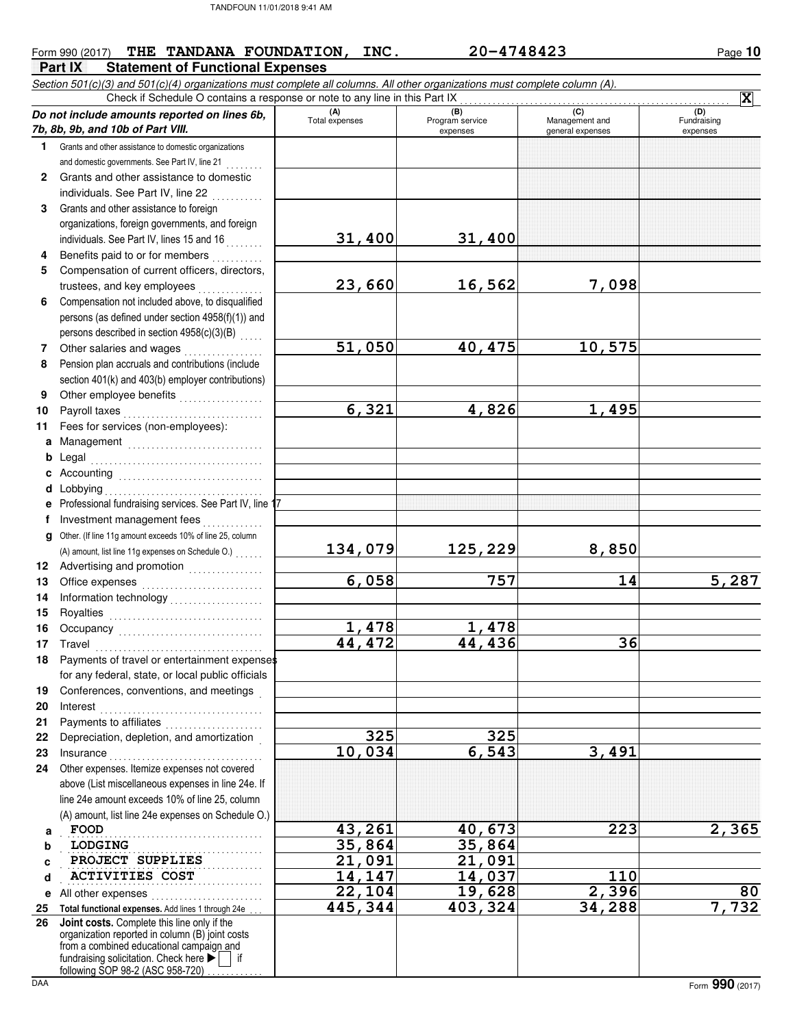| Form 990 (2017) | THE . | TANDANA FOUNDATION,                     | INC. | 20-4748423 | 10<br>Page |
|-----------------|-------|-----------------------------------------|------|------------|------------|
| Part IX         |       | <b>Statement of Functional Expenses</b> |      |            |            |

Section 501(c)(3) and 501(c)(4) organizations must complete all columns. All other organizations must complete column (A). **Do not include amounts reported on lines 6b, 7b, 8b, 9b, and 10b of Part VIII. 1 2 3 4 5 6 7 8 9 10 11 a** Management .............................. **b** Legal **c** Accounting . . . . . . . . . . . . . . . . . . . . . . . . . . . . . . . **d** Lobbying . . . . . . . . . . . . . . . . . . . . . . . . . . . . . . . . . . **e f g** Other. (If line 11g amount exceeds 10% of line 25, column **12** Advertising and promotion . . . . . . . . . . . . . . **13 14 15 16 17 18 19 20 21 22 23 24 a b c d e** All other expenses . . . . . . . . . . . . . . . . . . . . . . . . **25 Total functional expenses.** Add lines 1 through 24e . . . **26** Grants and other assistance to domestic organizations and domestic governments. See Part IV, line 21 **.** . . . . . . . Grants and other assistance to domestic individuals. See Part IV, line 22 Grants and other assistance to foreign organizations, foreign governments, and foreign individuals. See Part IV, lines 15 and 16 Benefits paid to or for members . . . . . . . . . . Compensation of current officers, directors, trustees, and key employees . . . . . . . Compensation not included above, to disqualified persons (as defined under section 4958(f)(1)) and persons described in section  $4958(c)(3)(B)$  ..... Other salaries and wages . . . . . . . . . . . . . . . . . Pension plan accruals and contributions (include section 401(k) and 403(b) employer contributions) Other employee benefits . . . . . . . . . . . . . . . . . Payroll taxes . . . . . . . . . . . . . . . . . . . . . . . . . . . . . . Fees for services (non-employees): . . . . . . . . . . . . . . . . . . . . . . . . . . . . . . . . . . . . . Professional fundraising services. See Part IV, line 1 Investment management fees .............. Office expenses ........................... Information technology . . . . . . . . . . . . . . . . . . . . Royalties . . . . . . . . . . . . . . . . . . . . . . . . . . . . . . . . . Occupancy . . . . . . . . . . . . . . . . . . . . . . . . . . . . . . . Travel . . . . . . . . . . . . . . . . . . . . . . . . . . . . . . . . . . . . Payments of travel or entertainment expenses for any federal, state, or local public officials Conferences, conventions, and meetings . Interest . . . . . . . . . . . . . . . . . . . . . . . . . . . . . . . . . . . Payments to affiliates ...................... Depreciation, depletion, and amortization . Insurance . . . . . . . . . . . . . . . . . . . . . . . . . . . . . . . . . Other expenses. Itemize expenses not covered above (List miscellaneous expenses in line 24e. If line 24e amount exceeds 10% of line 25, column (A) amount, list line 24e expenses on Schedule O.)<br>
FOOD fundraising solicitation. Check here  $\blacktriangleright$  if organization reported in column (B) joint costs from a combined educational campaign and following SOP 98-2 (ASC 958-720) **(A) (B) (C) (D)** Total expenses Program service Management and expenses **general expenses** (D)<br>Fundraising expenses . . . . . . . . . . . . . . . . . . . . . . . . . . . . . . . . . . . . . . . . . . . **PROJECT SUPPLIES** 21,091 21,091 . . . . . . . . . . . . . . . . . . . . . . . . . . . . . . . . . . . . . . . . . . . **ACTIVITIES COST 14,147 14,037 110** Check if Schedule O contains a response or note to any line in this Part IX ........<br> **amounts reported on lines 6b**,  $\begin{array}{|l|l|}\n\hline\n\text{(A)} & \text{(B)} & \text{(B)} \\
\hline\n\text{Total expenses} & \text{Program service}\n\hline\n\end{array}$ **Joint costs.** Complete this line only if the (A) amount, list line 11g expenses on Schedule O.) . . . . . . **X 31,400 31,400 23,660 16,562 7,098 51,050 40,475 10,575 6,321 4,826 1,495 134,079 125,229 8,850 6,058 757 14 5,287 1,478 1,478 44,472 44,436 36 325 325 10,034 6,543 3,491 FOOD 43,261 40,673 223 2,365 LODGING** 35,864 35,864 **22,104 19,628 2,396 80 445,344 403,324 34,288 7,732**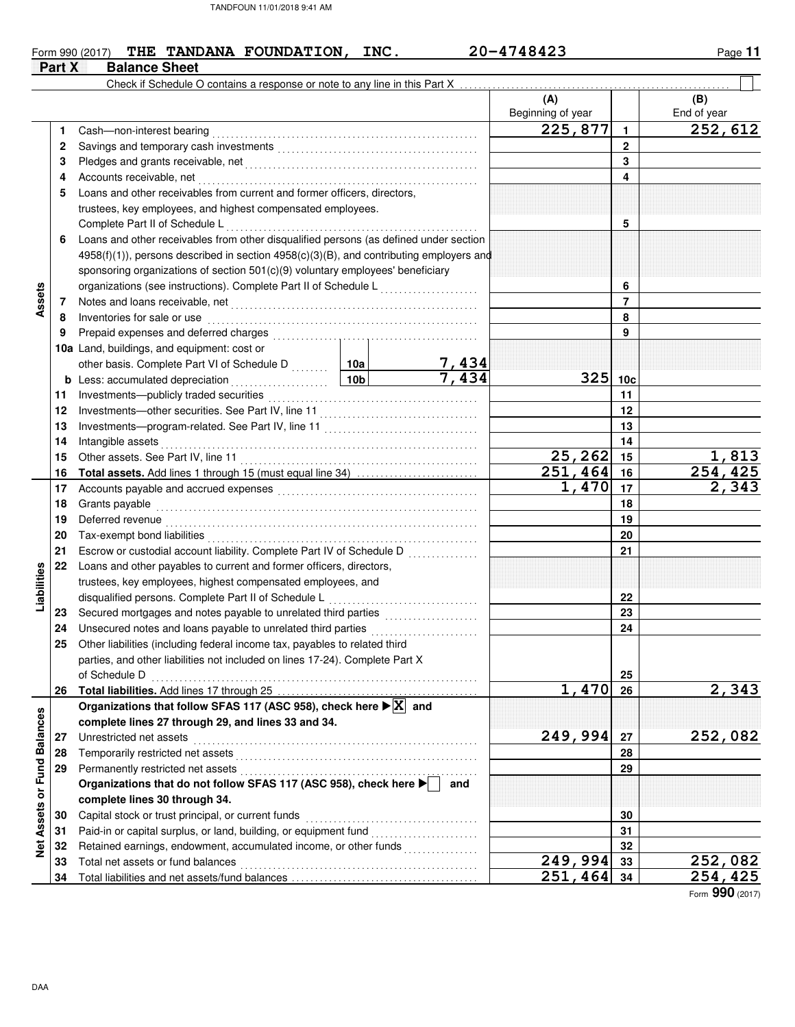## Form 990 (2017) **THE TANDANA FOUNDATION, INC.** 20-4748423 Page 11 **Part X** Balance Sheet **(A) (B)** Check if Schedule O contains a response or note to any line in this Part X

|                             |    |                                                                                                                                                                                                                                      |                       | (A)                       |                 | (B)                    |
|-----------------------------|----|--------------------------------------------------------------------------------------------------------------------------------------------------------------------------------------------------------------------------------------|-----------------------|---------------------------|-----------------|------------------------|
|                             |    |                                                                                                                                                                                                                                      |                       | Beginning of year         |                 | End of year            |
|                             | 1. |                                                                                                                                                                                                                                      |                       | 225,877                   | $\mathbf{1}$    | 252,612                |
|                             | 2  |                                                                                                                                                                                                                                      |                       |                           | $\mathbf{2}$    |                        |
|                             | 3  |                                                                                                                                                                                                                                      |                       |                           | 3               |                        |
|                             | 4  |                                                                                                                                                                                                                                      |                       |                           | 4               |                        |
|                             | 5  | Loans and other receivables from current and former officers, directors,                                                                                                                                                             |                       |                           |                 |                        |
|                             |    | trustees, key employees, and highest compensated employees.                                                                                                                                                                          |                       |                           |                 |                        |
|                             |    | Complete Part II of Schedule L                                                                                                                                                                                                       |                       |                           | 5               |                        |
|                             | 6  | Loans and other receivables from other disqualified persons (as defined under section                                                                                                                                                |                       |                           |                 |                        |
|                             |    | 4958(f)(1)), persons described in section 4958(c)(3)(B), and contributing employers and                                                                                                                                              |                       |                           |                 |                        |
|                             |    | sponsoring organizations of section 501(c)(9) voluntary employees' beneficiary                                                                                                                                                       |                       |                           |                 |                        |
|                             |    | organizations (see instructions). Complete Part II of Schedule L <sub></sub>                                                                                                                                                         |                       |                           | 6               |                        |
| Assets                      | 7  |                                                                                                                                                                                                                                      |                       |                           | $\overline{7}$  |                        |
|                             | 8  |                                                                                                                                                                                                                                      |                       |                           | 8               |                        |
|                             | 9  |                                                                                                                                                                                                                                      |                       |                           | 9               |                        |
|                             |    | 10a Land, buildings, and equipment: cost or                                                                                                                                                                                          |                       |                           |                 |                        |
|                             |    | other basis. Complete Part VI of Schedule D  10a                                                                                                                                                                                     | $\frac{7,434}{7,434}$ |                           |                 |                        |
|                             |    |                                                                                                                                                                                                                                      |                       | 325                       | 10 <sub>c</sub> |                        |
|                             | 11 |                                                                                                                                                                                                                                      |                       |                           | 11              |                        |
|                             | 12 |                                                                                                                                                                                                                                      |                       |                           | 12              |                        |
|                             | 13 |                                                                                                                                                                                                                                      |                       |                           | 13              |                        |
|                             | 14 |                                                                                                                                                                                                                                      |                       |                           | 14              |                        |
|                             | 15 |                                                                                                                                                                                                                                      |                       | $25, 262$ 15              |                 | 1,813                  |
|                             | 16 |                                                                                                                                                                                                                                      |                       | $\overline{251}$ , 464 16 |                 | $\overline{254}$ , 425 |
|                             | 17 | Accounts payable and accrued expenses [11] [11] Accounts payable and accrued expenses [11] [11] Accounts and accrued expenses [11] $\frac{1}{2}$                                                                                     |                       | 1,470                     | 17              | 2,343                  |
|                             | 18 | Grants payable                                                                                                                                                                                                                       |                       |                           | 18              |                        |
|                             | 19 | Deferred revenue <b>contract and the contract of the contract of the contract of the contract of the contract of the contract of the contract of the contract of the contract of the contract of the contract of the contract of</b> |                       |                           | 19              |                        |
|                             | 20 |                                                                                                                                                                                                                                      |                       |                           | 20              |                        |
|                             | 21 |                                                                                                                                                                                                                                      |                       |                           | 21              |                        |
|                             | 22 | Loans and other payables to current and former officers, directors,                                                                                                                                                                  |                       |                           |                 |                        |
| Liabilities                 |    | trustees, key employees, highest compensated employees, and                                                                                                                                                                          |                       |                           |                 |                        |
|                             |    |                                                                                                                                                                                                                                      |                       |                           | 22              |                        |
|                             | 23 |                                                                                                                                                                                                                                      |                       |                           | 23              |                        |
|                             | 24 |                                                                                                                                                                                                                                      |                       |                           | 24              |                        |
|                             | 25 | Other liabilities (including federal income tax, payables to related third                                                                                                                                                           |                       |                           |                 |                        |
|                             |    | parties, and other liabilities not included on lines 17-24). Complete Part X                                                                                                                                                         |                       |                           |                 |                        |
|                             |    | of Schedule D                                                                                                                                                                                                                        |                       |                           | 25              |                        |
|                             | 26 |                                                                                                                                                                                                                                      |                       | 1,470                     | 26              | 2,343                  |
|                             |    | Organizations that follow SFAS 117 (ASC 958), check here $\blacktriangleright$ $\boxed{\text{X}}$ and                                                                                                                                |                       |                           |                 |                        |
|                             |    | complete lines 27 through 29, and lines 33 and 34.                                                                                                                                                                                   |                       |                           |                 |                        |
|                             | 27 | Unrestricted net assets                                                                                                                                                                                                              |                       | 249,994                   | 27              | 252,082                |
|                             | 28 | Temporarily restricted net assets [[11][11] Temporarily restricted net assets [[11][11] Temporarily restricted net assets [[11][11] Temporarily restricted net assets [[11][11] Temporarily restricted net assets in the state       |                       |                           | 28              |                        |
|                             | 29 |                                                                                                                                                                                                                                      |                       |                           | 29              |                        |
|                             |    | Organizations that do not follow SFAS 117 (ASC 958), check here                                                                                                                                                                      | and                   |                           |                 |                        |
|                             |    | complete lines 30 through 34.                                                                                                                                                                                                        |                       |                           |                 |                        |
| Net Assets or Fund Balances | 30 | Capital stock or trust principal, or current funds                                                                                                                                                                                   |                       |                           | 30              |                        |
|                             | 31 | Paid-in or capital surplus, or land, building, or equipment fund [[[[[[[[[[[[[[[[[[[[[[[[[[[[[[[[[[[                                                                                                                                 |                       |                           | 31              |                        |
|                             | 32 | Retained earnings, endowment, accumulated income, or other funds                                                                                                                                                                     |                       |                           | 32              |                        |
|                             | 33 | Total net assets or fund balances                                                                                                                                                                                                    |                       | 249,994                   | 33              | 252,082                |
|                             | 34 |                                                                                                                                                                                                                                      |                       | 251,464                   | 34              | 254,425                |

Form **990** (2017)

ヿ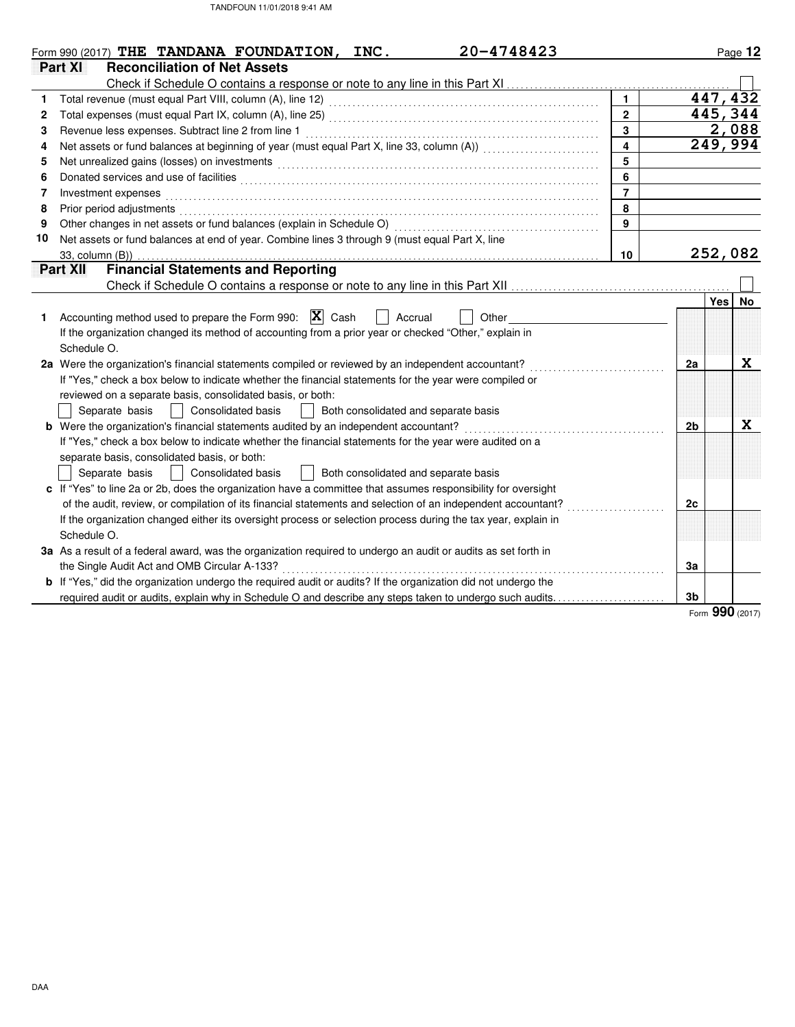|    | 20-4748423<br>Form 990 $(2017)$ THE TANDANA FOUNDATION,<br>INC.                                                                                                                                                                |                |                | Page 12                 |
|----|--------------------------------------------------------------------------------------------------------------------------------------------------------------------------------------------------------------------------------|----------------|----------------|-------------------------|
|    | Part XI<br><b>Reconciliation of Net Assets</b>                                                                                                                                                                                 |                |                |                         |
|    |                                                                                                                                                                                                                                |                |                |                         |
| 1. |                                                                                                                                                                                                                                | $\mathbf{1}$   |                | 447,432                 |
| 2  |                                                                                                                                                                                                                                | $\overline{2}$ |                | 445, 344                |
| 3  | Revenue less expenses. Subtract line 2 from line 1                                                                                                                                                                             | 3              |                | $\frac{2,088}{249,994}$ |
| 4  |                                                                                                                                                                                                                                | $\overline{4}$ |                |                         |
| 5  |                                                                                                                                                                                                                                | 5              |                |                         |
| 6  |                                                                                                                                                                                                                                | 6              |                |                         |
| 7  | Investment expenses                                                                                                                                                                                                            | $\overline{7}$ |                |                         |
| 8  | Prior period adjustments [11, 12] and the contract of the contract of the contract of the contract of the contract of the contract of the contract of the contract of the contract of the contract of the contract of the cont | 8              |                |                         |
| 9  |                                                                                                                                                                                                                                | $\mathbf{q}$   |                |                         |
| 10 | Net assets or fund balances at end of year. Combine lines 3 through 9 (must equal Part X, line                                                                                                                                 |                |                |                         |
|    | 33, column (B))                                                                                                                                                                                                                | 10             |                | 252,082                 |
|    | <b>Financial Statements and Reporting</b><br>Part XII                                                                                                                                                                          |                |                |                         |
|    |                                                                                                                                                                                                                                |                |                |                         |
|    |                                                                                                                                                                                                                                |                |                | Yes No                  |
| 1. | Accounting method used to prepare the Form 990: $ \mathbf{X} $ Cash<br>Accrual<br>Other                                                                                                                                        |                |                |                         |
|    | If the organization changed its method of accounting from a prior year or checked "Other," explain in                                                                                                                          |                |                |                         |
|    | Schedule O.                                                                                                                                                                                                                    |                |                |                         |
|    | 2a Were the organization's financial statements compiled or reviewed by an independent accountant?                                                                                                                             |                | 2a             | X                       |
|    | If "Yes," check a box below to indicate whether the financial statements for the year were compiled or                                                                                                                         |                |                |                         |
|    | reviewed on a separate basis, consolidated basis, or both:                                                                                                                                                                     |                |                |                         |
|    | Consolidated basis<br>Separate basis<br>$\perp$<br>Both consolidated and separate basis                                                                                                                                        |                |                |                         |
|    | <b>b</b> Were the organization's financial statements audited by an independent accountant?                                                                                                                                    |                | 2 <sub>b</sub> | X                       |
|    | If "Yes," check a box below to indicate whether the financial statements for the year were audited on a                                                                                                                        |                |                |                         |
|    | separate basis, consolidated basis, or both:                                                                                                                                                                                   |                |                |                         |
|    | Both consolidated and separate basis<br>Separate basis<br><b>Consolidated basis</b>                                                                                                                                            |                |                |                         |
|    | c If "Yes" to line 2a or 2b, does the organization have a committee that assumes responsibility for oversight                                                                                                                  |                |                |                         |
|    | of the audit, review, or compilation of its financial statements and selection of an independent accountant?                                                                                                                   |                | 2c             |                         |
|    | If the organization changed either its oversight process or selection process during the tax year, explain in                                                                                                                  |                |                |                         |
|    | Schedule O.                                                                                                                                                                                                                    |                |                |                         |
|    | 3a As a result of a federal award, was the organization required to undergo an audit or audits as set forth in                                                                                                                 |                |                |                         |
|    | the Single Audit Act and OMB Circular A-133?                                                                                                                                                                                   |                | За             |                         |
|    | de la calcada de la c<br>b If "Yes," did the organization undergo the required audit or audits? If the organization did not undergo the                                                                                        |                |                |                         |
|    | required audit or audits, explain why in Schedule O and describe any steps taken to undergo such audits                                                                                                                        |                | 3 <sub>b</sub> |                         |

Form **990** (2017)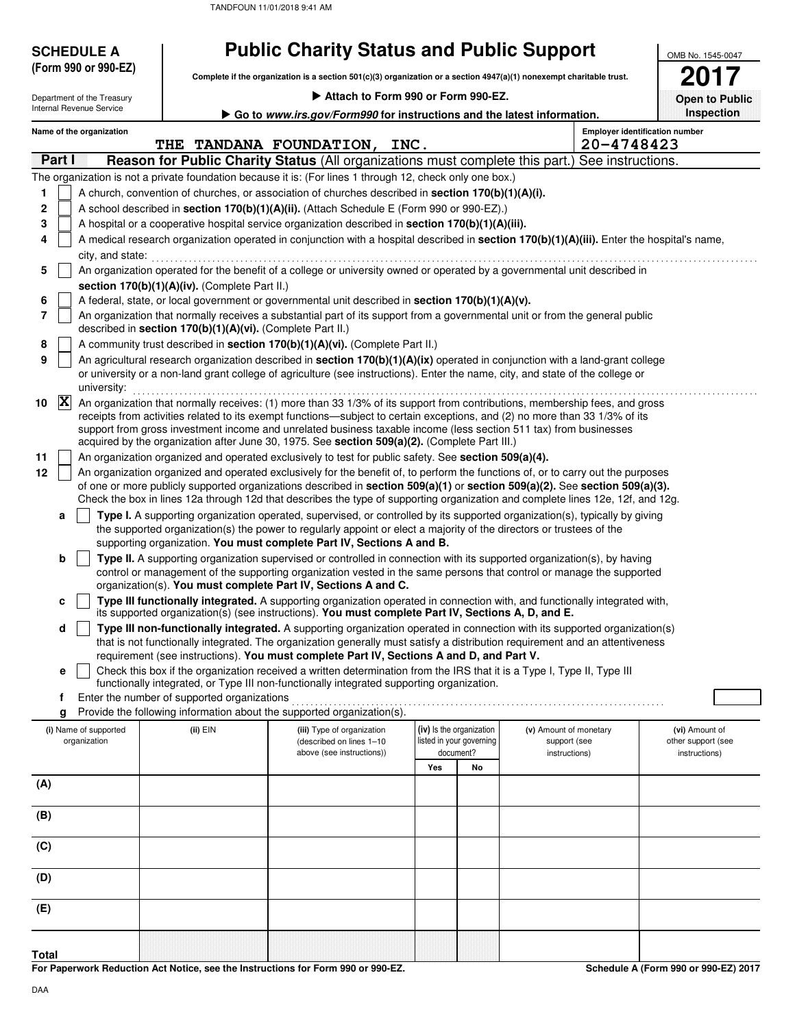| <b>SCHEDULE A</b>          |                                                                                                      | <b>Public Charity Status and Public Support</b>                                                                                                                                                                                                                |     |                                       |                               |                                                     | OMB No. 1545-0047                   |
|----------------------------|------------------------------------------------------------------------------------------------------|----------------------------------------------------------------------------------------------------------------------------------------------------------------------------------------------------------------------------------------------------------------|-----|---------------------------------------|-------------------------------|-----------------------------------------------------|-------------------------------------|
| (Form 990 or 990-EZ)       |                                                                                                      | Complete if the organization is a section 501(c)(3) organization or a section 4947(a)(1) nonexempt charitable trust.                                                                                                                                           |     |                                       |                               |                                                     |                                     |
| Department of the Treasury |                                                                                                      | Attach to Form 990 or Form 990-EZ.                                                                                                                                                                                                                             |     |                                       |                               |                                                     | <b>Open to Public</b>               |
| Internal Revenue Service   |                                                                                                      | Go to www.irs.gov/Form990 for instructions and the latest information.                                                                                                                                                                                         |     |                                       |                               |                                                     | Inspection                          |
| Name of the organization   |                                                                                                      | THE TANDANA FOUNDATION, INC.                                                                                                                                                                                                                                   |     |                                       |                               | <b>Employer identification number</b><br>20-4748423 |                                     |
| Partill                    |                                                                                                      | <b>Reason for Public Charity Status (All organizations must complete this part.) See instructions.</b>                                                                                                                                                         |     |                                       |                               |                                                     |                                     |
|                            |                                                                                                      | The organization is not a private foundation because it is: (For lines 1 through 12, check only one box.)                                                                                                                                                      |     |                                       |                               |                                                     |                                     |
| 1                          |                                                                                                      | A church, convention of churches, or association of churches described in section 170(b)(1)(A)(i).                                                                                                                                                             |     |                                       |                               |                                                     |                                     |
| 2                          |                                                                                                      | A school described in section 170(b)(1)(A)(ii). (Attach Schedule E (Form 990 or 990-EZ).)                                                                                                                                                                      |     |                                       |                               |                                                     |                                     |
| 3                          |                                                                                                      | A hospital or a cooperative hospital service organization described in section 170(b)(1)(A)(iii).                                                                                                                                                              |     |                                       |                               |                                                     |                                     |
| 4                          |                                                                                                      | A medical research organization operated in conjunction with a hospital described in section 170(b)(1)(A)(iii). Enter the hospital's name,                                                                                                                     |     |                                       |                               |                                                     |                                     |
| city, and state:           |                                                                                                      |                                                                                                                                                                                                                                                                |     |                                       |                               |                                                     |                                     |
| 5                          | section 170(b)(1)(A)(iv). (Complete Part II.)                                                        | An organization operated for the benefit of a college or university owned or operated by a governmental unit described in                                                                                                                                      |     |                                       |                               |                                                     |                                     |
| 6                          |                                                                                                      | A federal, state, or local government or governmental unit described in section 170(b)(1)(A)(v).                                                                                                                                                               |     |                                       |                               |                                                     |                                     |
| 7                          | described in section 170(b)(1)(A)(vi). (Complete Part II.)                                           | An organization that normally receives a substantial part of its support from a governmental unit or from the general public                                                                                                                                   |     |                                       |                               |                                                     |                                     |
| 8                          |                                                                                                      | A community trust described in section 170(b)(1)(A)(vi). (Complete Part II.)                                                                                                                                                                                   |     |                                       |                               |                                                     |                                     |
| 9                          |                                                                                                      | An agricultural research organization described in section 170(b)(1)(A)(ix) operated in conjunction with a land-grant college                                                                                                                                  |     |                                       |                               |                                                     |                                     |
| university:                |                                                                                                      | or university or a non-land grant college of agriculture (see instructions). Enter the name, city, and state of the college or                                                                                                                                 |     |                                       |                               |                                                     |                                     |
| $ \mathbf{X} $<br>10       |                                                                                                      | An organization that normally receives: (1) more than 33 1/3% of its support from contributions, membership fees, and gross                                                                                                                                    |     |                                       |                               |                                                     |                                     |
|                            |                                                                                                      | receipts from activities related to its exempt functions—subject to certain exceptions, and (2) no more than 33 1/3% of its<br>support from gross investment income and unrelated business taxable income (less section 511 tax) from businesses               |     |                                       |                               |                                                     |                                     |
|                            |                                                                                                      | acquired by the organization after June 30, 1975. See section 509(a)(2). (Complete Part III.)                                                                                                                                                                  |     |                                       |                               |                                                     |                                     |
| 11                         | An organization organized and operated exclusively to test for public safety. See section 509(a)(4). |                                                                                                                                                                                                                                                                |     |                                       |                               |                                                     |                                     |
| 12                         |                                                                                                      | An organization organized and operated exclusively for the benefit of, to perform the functions of, or to carry out the purposes                                                                                                                               |     |                                       |                               |                                                     |                                     |
|                            |                                                                                                      | of one or more publicly supported organizations described in section 509(a)(1) or section 509(a)(2). See section 509(a)(3).<br>Check the box in lines 12a through 12d that describes the type of supporting organization and complete lines 12e, 12f, and 12g. |     |                                       |                               |                                                     |                                     |
| a                          |                                                                                                      | Type I. A supporting organization operated, supervised, or controlled by its supported organization(s), typically by giving                                                                                                                                    |     |                                       |                               |                                                     |                                     |
|                            |                                                                                                      | the supported organization(s) the power to regularly appoint or elect a majority of the directors or trustees of the<br>supporting organization. You must complete Part IV, Sections A and B.                                                                  |     |                                       |                               |                                                     |                                     |
| b                          |                                                                                                      | Type II. A supporting organization supervised or controlled in connection with its supported organization(s), by having<br>control or management of the supporting organization vested in the same persons that control or manage the supported                |     |                                       |                               |                                                     |                                     |
|                            |                                                                                                      | organization(s). You must complete Part IV, Sections A and C.                                                                                                                                                                                                  |     |                                       |                               |                                                     |                                     |
| c                          |                                                                                                      | Type III functionally integrated. A supporting organization operated in connection with, and functionally integrated with,<br>its supported organization(s) (see instructions). You must complete Part IV, Sections A, D, and E.                               |     |                                       |                               |                                                     |                                     |
| d                          |                                                                                                      | Type III non-functionally integrated. A supporting organization operated in connection with its supported organization(s)                                                                                                                                      |     |                                       |                               |                                                     |                                     |
|                            |                                                                                                      | that is not functionally integrated. The organization generally must satisfy a distribution requirement and an attentiveness<br>requirement (see instructions). You must complete Part IV, Sections A and D, and Part V.                                       |     |                                       |                               |                                                     |                                     |
| е                          |                                                                                                      | Check this box if the organization received a written determination from the IRS that it is a Type I, Type II, Type III                                                                                                                                        |     |                                       |                               |                                                     |                                     |
|                            |                                                                                                      | functionally integrated, or Type III non-functionally integrated supporting organization.                                                                                                                                                                      |     |                                       |                               |                                                     |                                     |
| f<br>g                     | Enter the number of supported organizations                                                          | Provide the following information about the supported organization(s).                                                                                                                                                                                         |     |                                       |                               |                                                     |                                     |
| (i) Name of supported      | (ii) EIN                                                                                             | (iii) Type of organization                                                                                                                                                                                                                                     |     | (iv) Is the organization              | (v) Amount of monetary        |                                                     | (vi) Amount of                      |
| organization               |                                                                                                      | (described on lines 1-10<br>above (see instructions))                                                                                                                                                                                                          |     | listed in your governing<br>document? | support (see<br>instructions) |                                                     | other support (see<br>instructions) |
|                            |                                                                                                      |                                                                                                                                                                                                                                                                | Yes | No                                    |                               |                                                     |                                     |
| (A)                        |                                                                                                      |                                                                                                                                                                                                                                                                |     |                                       |                               |                                                     |                                     |
| (B)                        |                                                                                                      |                                                                                                                                                                                                                                                                |     |                                       |                               |                                                     |                                     |
| (C)                        |                                                                                                      |                                                                                                                                                                                                                                                                |     |                                       |                               |                                                     |                                     |
| (D)                        |                                                                                                      |                                                                                                                                                                                                                                                                |     |                                       |                               |                                                     |                                     |
| (E)                        |                                                                                                      |                                                                                                                                                                                                                                                                |     |                                       |                               |                                                     |                                     |
|                            |                                                                                                      |                                                                                                                                                                                                                                                                |     |                                       |                               |                                                     |                                     |
|                            |                                                                                                      |                                                                                                                                                                                                                                                                |     |                                       |                               |                                                     |                                     |
| <b>Total</b>               |                                                                                                      |                                                                                                                                                                                                                                                                |     |                                       |                               |                                                     |                                     |

**For Paperwork Reduction Act Notice, see the Instructions for Form 990 or 990-EZ.**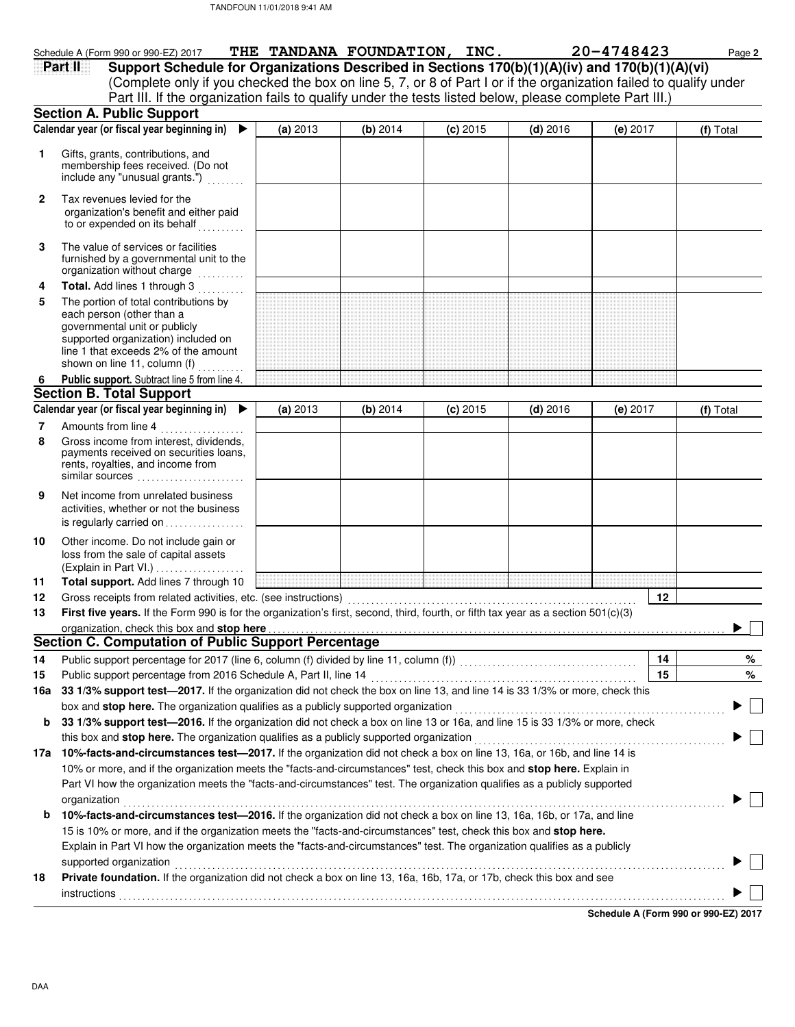|              | Schedule A (Form 990 or 990-EZ) 2017                                                                                               | THE TANDANA FOUNDATION, INC. |          |            |            | 20-4748423 | Page 2    |
|--------------|------------------------------------------------------------------------------------------------------------------------------------|------------------------------|----------|------------|------------|------------|-----------|
|              | Support Schedule for Organizations Described in Sections 170(b)(1)(A)(iv) and 170(b)(1)(A)(vi)<br>Part II                          |                              |          |            |            |            |           |
|              | (Complete only if you checked the box on line 5, 7, or 8 of Part I or if the organization failed to qualify under                  |                              |          |            |            |            |           |
|              | Part III. If the organization fails to qualify under the tests listed below, please complete Part III.)                            |                              |          |            |            |            |           |
|              | <b>Section A. Public Support</b>                                                                                                   |                              |          |            |            |            |           |
|              | Calendar year (or fiscal year beginning in) $\blacktriangleright$                                                                  | (a) 2013                     | (b) 2014 | $(c)$ 2015 | $(d)$ 2016 | $(e)$ 2017 | (f) Total |
| 1            | Gifts, grants, contributions, and                                                                                                  |                              |          |            |            |            |           |
|              | membership fees received. (Do not                                                                                                  |                              |          |            |            |            |           |
|              | include any "unusual grants.")                                                                                                     |                              |          |            |            |            |           |
| $\mathbf{2}$ | Tax revenues levied for the                                                                                                        |                              |          |            |            |            |           |
|              | organization's benefit and either paid                                                                                             |                              |          |            |            |            |           |
|              | to or expended on its behalf                                                                                                       |                              |          |            |            |            |           |
| 3            | The value of services or facilities                                                                                                |                              |          |            |            |            |           |
|              | furnished by a governmental unit to the                                                                                            |                              |          |            |            |            |           |
|              | organization without charge<br>.                                                                                                   |                              |          |            |            |            |           |
| 4            | Total. Add lines 1 through 3                                                                                                       |                              |          |            |            |            |           |
| 5            | The portion of total contributions by                                                                                              |                              |          |            |            |            |           |
|              | each person (other than a                                                                                                          |                              |          |            |            |            |           |
|              | governmental unit or publicly<br>supported organization) included on                                                               |                              |          |            |            |            |           |
|              | line 1 that exceeds 2% of the amount                                                                                               |                              |          |            |            |            |           |
|              | shown on line 11, column (f)                                                                                                       |                              |          |            |            |            |           |
| 6            | Public support. Subtract line 5 from line 4.                                                                                       |                              |          |            |            |            |           |
|              | <b>Section B. Total Support</b>                                                                                                    |                              |          |            |            |            |           |
|              | Calendar year (or fiscal year beginning in)                                                                                        | (a) 2013                     | (b) 2014 | $(c)$ 2015 | $(d)$ 2016 | $(e)$ 2017 | (f) Total |
| 7            | Amounts from line 4                                                                                                                |                              |          |            |            |            |           |
| 8            | Gross income from interest, dividends,                                                                                             |                              |          |            |            |            |           |
|              | payments received on securities loans,                                                                                             |                              |          |            |            |            |           |
|              | rents, royalties, and income from<br>similar sources                                                                               |                              |          |            |            |            |           |
|              | Net income from unrelated business                                                                                                 |                              |          |            |            |            |           |
| 9            | activities, whether or not the business                                                                                            |                              |          |            |            |            |           |
|              | is regularly carried on                                                                                                            |                              |          |            |            |            |           |
| 10           | Other income. Do not include gain or                                                                                               |                              |          |            |            |            |           |
|              | loss from the sale of capital assets                                                                                               |                              |          |            |            |            |           |
|              | (Explain in Part VI.)                                                                                                              |                              |          |            |            |            |           |
| 11           | Total support. Add lines 7 through 10                                                                                              |                              |          |            |            |            |           |
| 12           | Gross receipts from related activities, etc. (see instructions)                                                                    |                              |          |            |            | 12         |           |
| 13           | First five years. If the Form 990 is for the organization's first, second, third, fourth, or fifth tax year as a section 501(c)(3) |                              |          |            |            |            |           |
|              |                                                                                                                                    |                              |          |            |            |            |           |
|              | <b>Section C. Computation of Public Support Percentage</b>                                                                         |                              |          |            |            |            |           |
| 14           | Public support percentage for 2017 (line 6, column (f) divided by line 11, column (f)) [[[[[[[[[[[[[[[[[[[[[[                      |                              |          |            |            | 14         | %         |
| 15           | Public support percentage from 2016 Schedule A, Part II, line 14                                                                   |                              |          |            |            | 15         | %         |
| 16а          | 33 1/3% support test-2017. If the organization did not check the box on line 13, and line 14 is 33 1/3% or more, check this        |                              |          |            |            |            |           |
|              | box and stop here. The organization qualifies as a publicly supported organization                                                 |                              |          |            |            |            |           |
| b            | 33 1/3% support test-2016. If the organization did not check a box on line 13 or 16a, and line 15 is 33 1/3% or more, check        |                              |          |            |            |            |           |
|              | this box and stop here. The organization qualifies as a publicly supported organization                                            |                              |          |            |            |            |           |
|              | 17a 10%-facts-and-circumstances test-2017. If the organization did not check a box on line 13, 16a, or 16b, and line 14 is         |                              |          |            |            |            |           |
|              | 10% or more, and if the organization meets the "facts-and-circumstances" test, check this box and stop here. Explain in            |                              |          |            |            |            |           |
|              | Part VI how the organization meets the "facts-and-circumstances" test. The organization qualifies as a publicly supported          |                              |          |            |            |            |           |
|              | organization                                                                                                                       |                              |          |            |            |            |           |
| b            | 10%-facts-and-circumstances test-2016. If the organization did not check a box on line 13, 16a, 16b, or 17a, and line              |                              |          |            |            |            |           |
|              | 15 is 10% or more, and if the organization meets the "facts-and-circumstances" test, check this box and stop here.                 |                              |          |            |            |            |           |
|              | Explain in Part VI how the organization meets the "facts-and-circumstances" test. The organization qualifies as a publicly         |                              |          |            |            |            |           |
|              | supported organization                                                                                                             |                              |          |            |            |            |           |
| 18           | Private foundation. If the organization did not check a box on line 13, 16a, 16b, 17a, or 17b, check this box and see              |                              |          |            |            |            |           |
|              | instructions                                                                                                                       |                              |          |            |            |            |           |
|              |                                                                                                                                    |                              |          |            |            |            |           |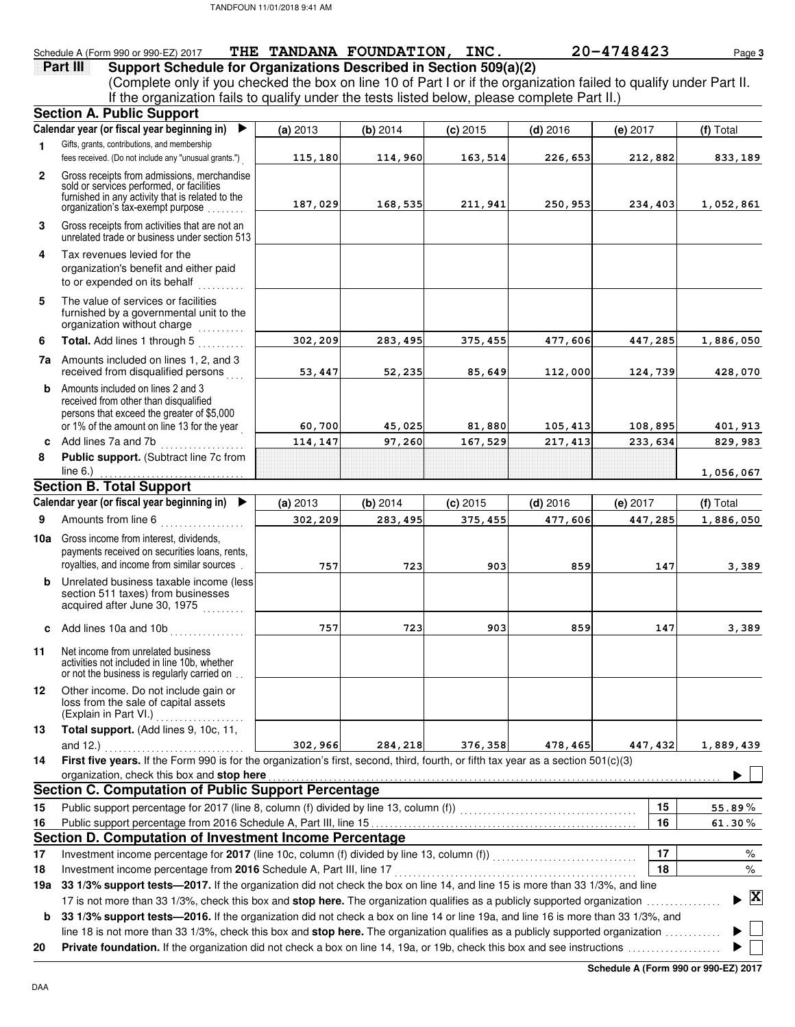### Schedule A (Form 990 or 990-EZ) 2017 **THE TANDANA FOUNDATION, INC.** 20-4748423 Page 3

**Part III** Support Schedule for Organizations Described in Section 509(a)(2) (Complete only if you checked the box on line 10 of Part I or if the organization failed to qualify under Part II. If the organization fails to qualify under the tests listed below, please complete Part II.)

|                 | <b>Section A. Public Support</b>                                                                                                                                                                                                                                         |          |          |            |            |          |              |
|-----------------|--------------------------------------------------------------------------------------------------------------------------------------------------------------------------------------------------------------------------------------------------------------------------|----------|----------|------------|------------|----------|--------------|
|                 | Calendar year (or fiscal year beginning in)<br>▶                                                                                                                                                                                                                         | (a) 2013 | (b) 2014 | $(c)$ 2015 | $(d)$ 2016 | (e) 2017 | (f) Total    |
| $\mathbf{1}$    | Gifts, grants, contributions, and membership                                                                                                                                                                                                                             |          |          |            |            |          |              |
|                 | fees received. (Do not include any "unusual grants.")                                                                                                                                                                                                                    | 115,180  | 114,960  | 163,514    | 226,653    | 212,882  | 833,189      |
| $\mathbf{2}$    | Gross receipts from admissions, merchandise                                                                                                                                                                                                                              |          |          |            |            |          |              |
|                 | sold or services performed, or facilities<br>furnished in any activity that is related to the                                                                                                                                                                            |          |          |            |            |          |              |
|                 | organization's tax-exempt purpose                                                                                                                                                                                                                                        | 187,029  | 168,535  | 211,941    | 250,953    | 234,403  | 1,052,861    |
| 3               | Gross receipts from activities that are not an<br>unrelated trade or business under section 513                                                                                                                                                                          |          |          |            |            |          |              |
| 4               | Tax revenues levied for the<br>organization's benefit and either paid<br>to or expended on its behalf                                                                                                                                                                    |          |          |            |            |          |              |
| 5               | The value of services or facilities<br>furnished by a governmental unit to the<br>organization without charge                                                                                                                                                            |          |          |            |            |          |              |
| 6               | Total. Add lines 1 through 5                                                                                                                                                                                                                                             | 302,209  | 283,495  | 375,455    | 477,606    | 447,285  | 1,886,050    |
| 7a              | Amounts included on lines 1, 2, and 3<br>received from disqualified persons                                                                                                                                                                                              | 53,447   | 52,235   | 85,649     | 112,000    | 124,739  | 428,070      |
| b               | Amounts included on lines 2 and 3<br>received from other than disqualified<br>persons that exceed the greater of \$5,000<br>or 1% of the amount on line 13 for the year                                                                                                  | 60,700   | 45,025   | 81,880     | 105,413    | 108,895  | 401,913      |
| C               | Add lines 7a and 7b                                                                                                                                                                                                                                                      | 114, 147 | 97,260   | 167,529    | 217, 413   | 233,634  | 829,983      |
| 8               | Public support. (Subtract line 7c from                                                                                                                                                                                                                                   |          |          |            |            |          |              |
|                 | line $6.$ )                                                                                                                                                                                                                                                              |          |          |            |            |          | 1,056,067    |
|                 | <b>Section B. Total Support</b>                                                                                                                                                                                                                                          |          |          |            |            |          |              |
|                 | Calendar year (or fiscal year beginning in)<br>▶                                                                                                                                                                                                                         | (a) 2013 | (b) 2014 | $(c)$ 2015 | $(d)$ 2016 | (e) 2017 | (f) Total    |
| 9               | Amounts from line 6                                                                                                                                                                                                                                                      | 302,209  | 283,495  | 375,455    | 477,606    | 447,285  | 1,886,050    |
| 10a             | Gross income from interest, dividends,<br>payments received on securities loans, rents,                                                                                                                                                                                  |          |          |            |            |          |              |
|                 | royalties, and income from similar sources.                                                                                                                                                                                                                              | 757      | 723      | 903        | 859        | 147      | 3,389        |
| b               | Unrelated business taxable income (less<br>section 511 taxes) from businesses<br>acquired after June 30, 1975                                                                                                                                                            |          |          |            |            |          |              |
|                 | c Add lines 10a and 10b $\ldots$                                                                                                                                                                                                                                         | 757      | 723      | 903        | 859        | 147      | 3,389        |
| 11              | Net income from unrelated business<br>activities not included in line 10b, whether<br>or not the business is regularly carried on                                                                                                                                        |          |          |            |            |          |              |
| 12 <sub>2</sub> | Other income. Do not include gain or<br>loss from the sale of capital assets<br>(Explain in Part VI.)                                                                                                                                                                    |          |          |            |            |          |              |
| 13              | Total support. (Add lines 9, 10c, 11,                                                                                                                                                                                                                                    |          |          |            |            |          |              |
|                 | and $12.$ )<br>.                                                                                                                                                                                                                                                         | 302,966  | 284,218  | 376,358    | 478,465    | 447,432  | 1,889,439    |
| 14              | First five years. If the Form 990 is for the organization's first, second, third, fourth, or fifth tax year as a section 501(c)(3)                                                                                                                                       |          |          |            |            |          |              |
|                 | organization, check this box and stop here                                                                                                                                                                                                                               |          |          |            |            |          |              |
|                 | <b>Section C. Computation of Public Support Percentage</b>                                                                                                                                                                                                               |          |          |            |            |          |              |
| 15              | Public support percentage for 2017 (line 8, column (f) divided by line 13, column (f)) [[[[[[[[[[[[[[[[[[[[[[                                                                                                                                                            |          |          |            |            | 15       | 55.89%       |
| 16              |                                                                                                                                                                                                                                                                          |          |          |            |            | 16       | 61.30%       |
| 17              | Section D. Computation of Investment Income Percentage                                                                                                                                                                                                                   |          |          |            |            | 17       |              |
| 18              | Investment income percentage for 2017 (line 10c, column (f) divided by line 13, column (f))<br>[[10] Investment income percentage for 2017 (line 10c, column (f) divided by line 13, column (f))<br>Investment income percentage from 2016 Schedule A, Part III, line 17 |          |          |            |            | 18       | %<br>$\%$    |
| 19a             | 33 1/3% support tests-2017. If the organization did not check the box on line 14, and line 15 is more than 33 1/3%, and line                                                                                                                                             |          |          |            |            |          |              |
|                 | 17 is not more than 33 1/3%, check this box and stop here. The organization qualifies as a publicly supported organization                                                                                                                                               |          |          |            |            |          | $\mathbf{X}$ |
| b               | 33 1/3% support tests-2016. If the organization did not check a box on line 14 or line 19a, and line 16 is more than 33 1/3%, and                                                                                                                                        |          |          |            |            |          |              |
|                 | line 18 is not more than 33 1/3%, check this box and stop here. The organization qualifies as a publicly supported organization                                                                                                                                          |          |          |            |            |          |              |
| 20              |                                                                                                                                                                                                                                                                          |          |          |            |            |          |              |
|                 |                                                                                                                                                                                                                                                                          |          |          |            |            |          |              |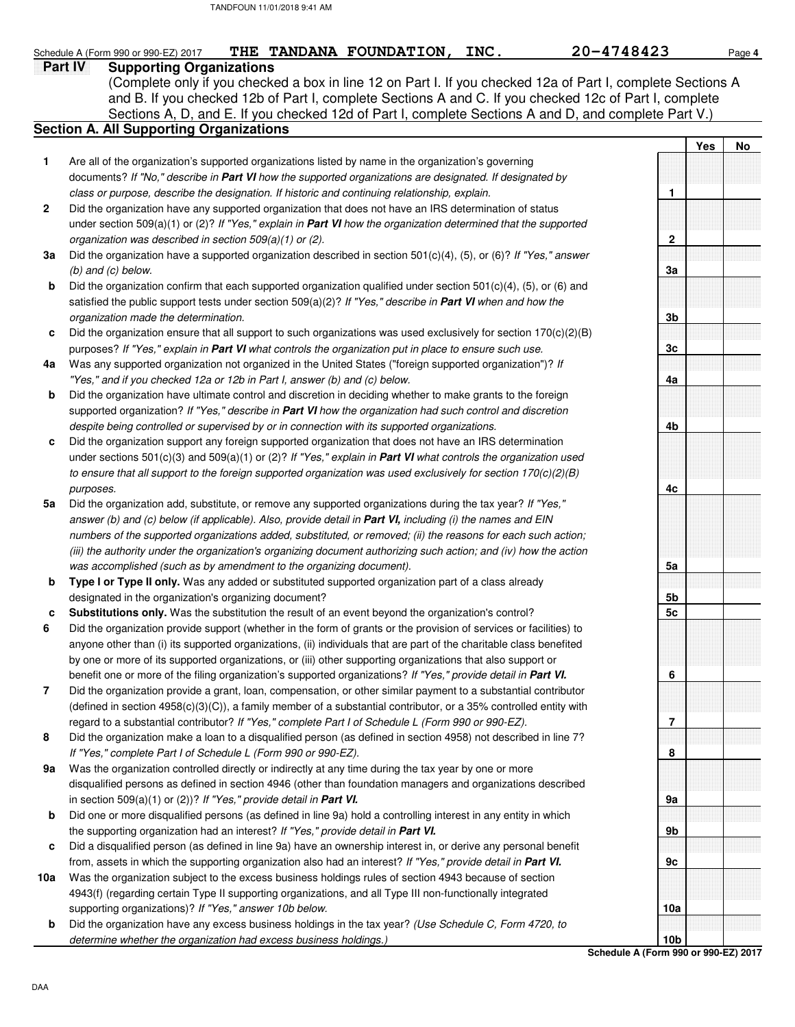|              | 20-4748423<br>THE TANDANA FOUNDATION,<br>INC.<br>Schedule A (Form 990 or 990-EZ) 2017                                                                                                                     |                |     | Page 4    |
|--------------|-----------------------------------------------------------------------------------------------------------------------------------------------------------------------------------------------------------|----------------|-----|-----------|
|              | Part IV<br><b>Supporting Organizations</b>                                                                                                                                                                |                |     |           |
|              | (Complete only if you checked a box in line 12 on Part I. If you checked 12a of Part I, complete Sections A                                                                                               |                |     |           |
|              | and B. If you checked 12b of Part I, complete Sections A and C. If you checked 12c of Part I, complete                                                                                                    |                |     |           |
|              | Sections A, D, and E. If you checked 12d of Part I, complete Sections A and D, and complete Part V.)                                                                                                      |                |     |           |
|              | <b>Section A. All Supporting Organizations</b>                                                                                                                                                            |                |     |           |
|              |                                                                                                                                                                                                           |                | Yes | <b>No</b> |
| 1            | Are all of the organization's supported organizations listed by name in the organization's governing                                                                                                      |                |     |           |
|              | documents? If "No," describe in Part VI how the supported organizations are designated. If designated by<br>class or purpose, describe the designation. If historic and continuing relationship, explain. | 1              |     |           |
| $\mathbf{2}$ | Did the organization have any supported organization that does not have an IRS determination of status                                                                                                    |                |     |           |
|              | under section 509(a)(1) or (2)? If "Yes," explain in <b>Part VI</b> how the organization determined that the supported                                                                                    |                |     |           |
|              | organization was described in section 509(a)(1) or (2).                                                                                                                                                   | $\mathbf{2}$   |     |           |
| 3a           | Did the organization have a supported organization described in section $501(c)(4)$ , $(5)$ , or $(6)$ ? If "Yes," answer                                                                                 |                |     |           |
|              | $(b)$ and $(c)$ below.                                                                                                                                                                                    | 3a             |     |           |
| b            | Did the organization confirm that each supported organization qualified under section $501(c)(4)$ , $(5)$ , or $(6)$ and                                                                                  |                |     |           |
|              | satisfied the public support tests under section $509(a)(2)$ ? If "Yes," describe in <b>Part VI</b> when and how the                                                                                      |                |     |           |
|              | organization made the determination.                                                                                                                                                                      | 3b             |     |           |
| c            | Did the organization ensure that all support to such organizations was used exclusively for section $170(c)(2)(B)$                                                                                        |                |     |           |
|              | purposes? If "Yes," explain in Part VI what controls the organization put in place to ensure such use.                                                                                                    | 3 <sub>c</sub> |     |           |
| 4a           | Was any supported organization not organized in the United States ("foreign supported organization")? If                                                                                                  |                |     |           |
|              | "Yes," and if you checked 12a or 12b in Part I, answer (b) and (c) below.                                                                                                                                 | 4a             |     |           |
| b            | Did the organization have ultimate control and discretion in deciding whether to make grants to the foreign                                                                                               |                |     |           |
|              | supported organization? If "Yes," describe in Part VI how the organization had such control and discretion                                                                                                |                |     |           |
|              | despite being controlled or supervised by or in connection with its supported organizations.                                                                                                              | 4b             |     |           |
| c            | Did the organization support any foreign supported organization that does not have an IRS determination                                                                                                   |                |     |           |
|              | under sections 501(c)(3) and 509(a)(1) or (2)? If "Yes," explain in <b>Part VI</b> what controls the organization used                                                                                    |                |     |           |

**5a** Did the organization add, substitute, or remove any supported organizations during the tax year? If "Yes," to ensure that all support to the foreign supported organization was used exclusively for section 170(c)(2)(B) purposes. answer (b) and (c) below (if applicable). Also, provide detail in **Part VI,** including (i) the names and EIN numbers of the supported organizations added, substituted, or removed; (ii) the reasons for each such action; (iii) the authority under the organization's organizing document authorizing such action; and (iv) how the action was accomplished (such as by amendment to the organizing document).

- **b Type I or Type II only.** Was any added or substituted supported organization part of a class already designated in the organization's organizing document?
- **c Substitutions only.** Was the substitution the result of an event beyond the organization's control?
- **6** Did the organization provide support (whether in the form of grants or the provision of services or facilities) to anyone other than (i) its supported organizations, (ii) individuals that are part of the charitable class benefited by one or more of its supported organizations, or (iii) other supporting organizations that also support or benefit one or more of the filing organization's supported organizations? If "Yes," provide detail in **Part VI.**
- **7** Did the organization provide a grant, loan, compensation, or other similar payment to a substantial contributor (defined in section 4958(c)(3)(C)), a family member of a substantial contributor, or a 35% controlled entity with regard to a substantial contributor? If "Yes," complete Part I of Schedule L (Form 990 or 990-EZ).
- **8** Did the organization make a loan to a disqualified person (as defined in section 4958) not described in line 7? If "Yes," complete Part I of Schedule L (Form 990 or 990-EZ).
- **9a** Was the organization controlled directly or indirectly at any time during the tax year by one or more disqualified persons as defined in section 4946 (other than foundation managers and organizations described in section 509(a)(1) or (2))? If "Yes," provide detail in **Part VI.**
- **b** Did one or more disqualified persons (as defined in line 9a) hold a controlling interest in any entity in which the supporting organization had an interest? If "Yes," provide detail in **Part VI.**
- **c** Did a disqualified person (as defined in line 9a) have an ownership interest in, or derive any personal benefit from, assets in which the supporting organization also had an interest? If "Yes," provide detail in **Part VI.**
- **10a** Was the organization subject to the excess business holdings rules of section 4943 because of section 4943(f) (regarding certain Type II supporting organizations, and all Type III non-functionally integrated supporting organizations)? If "Yes," answer 10b below.
- **b** Did the organization have any excess business holdings in the tax year? (Use Schedule C, Form 4720, to determine whether the organization had excess business holdings.)

**Schedule A (Form 990 or 990-EZ) 2017 10b**

**4c**

**5a**

**5b 5c**

**6**

**7**

**8**

**9a**

**9b**

**9c**

**10a**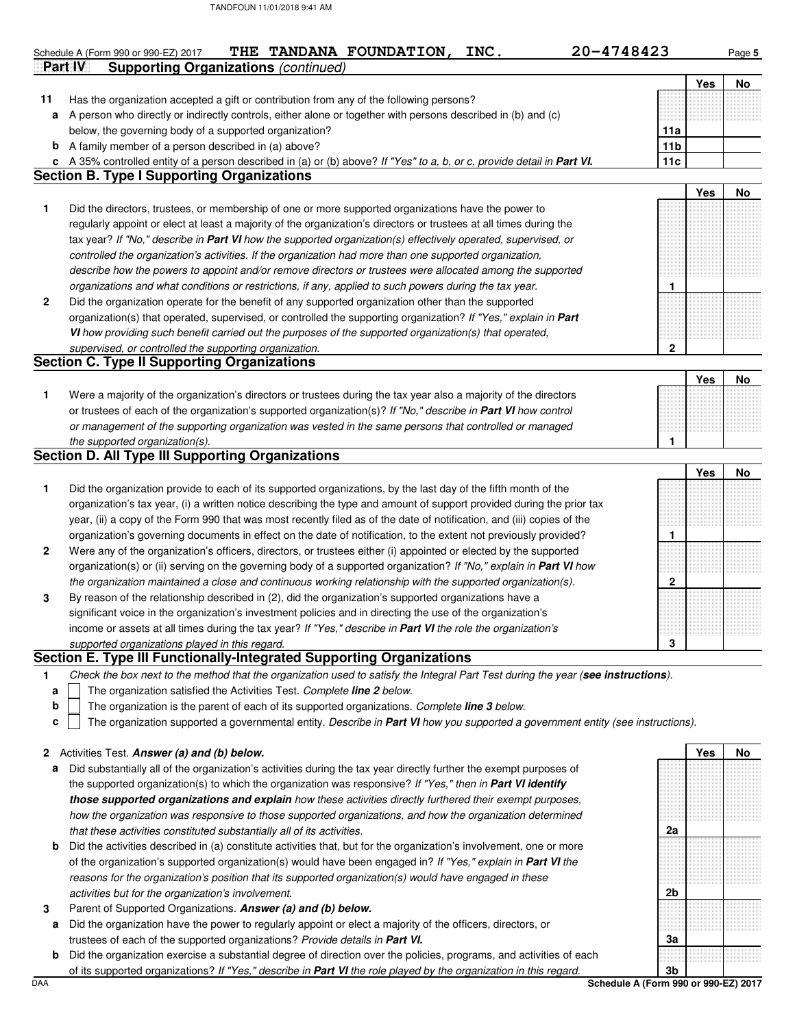|              | 20-4748423<br>THE TANDANA FOUNDATION,<br>INC.<br>Schedule A (Form 990 or 990-EZ) 2017                                             |                 |     | Page 5 |
|--------------|-----------------------------------------------------------------------------------------------------------------------------------|-----------------|-----|--------|
|              | Part IV<br><b>Supporting Organizations (continued)</b>                                                                            |                 | Yes | No     |
| 11           | Has the organization accepted a gift or contribution from any of the following persons?                                           |                 |     |        |
| a            | A person who directly or indirectly controls, either alone or together with persons described in (b) and (c)                      |                 |     |        |
|              | below, the governing body of a supported organization?                                                                            | 11a             |     |        |
|              | <b>b</b> A family member of a person described in (a) above?                                                                      | 11 <sub>b</sub> |     |        |
| c            | A 35% controlled entity of a person described in (a) or (b) above? If "Yes" to a, b, or c, provide detail in Part VI.             | 11c             |     |        |
|              | <b>Section B. Type I Supporting Organizations</b>                                                                                 |                 |     |        |
|              |                                                                                                                                   |                 | Yes | No     |
| 1            | Did the directors, trustees, or membership of one or more supported organizations have the power to                               |                 |     |        |
|              | regularly appoint or elect at least a majority of the organization's directors or trustees at all times during the                |                 |     |        |
|              | tax year? If "No," describe in Part VI how the supported organization(s) effectively operated, supervised, or                     |                 |     |        |
|              | controlled the organization's activities. If the organization had more than one supported organization,                           |                 |     |        |
|              | describe how the powers to appoint and/or remove directors or trustees were allocated among the supported                         |                 |     |        |
|              | organizations and what conditions or restrictions, if any, applied to such powers during the tax year.                            | 1               |     |        |
| $\mathbf{2}$ | Did the organization operate for the benefit of any supported organization other than the supported                               |                 |     |        |
|              | organization(s) that operated, supervised, or controlled the supporting organization? If "Yes," explain in Part                   |                 |     |        |
|              | VI how providing such benefit carried out the purposes of the supported organization(s) that operated,                            |                 |     |        |
|              | supervised, or controlled the supporting organization.                                                                            | $\mathbf 2$     |     |        |
|              | <b>Section C. Type II Supporting Organizations</b>                                                                                |                 |     |        |
|              |                                                                                                                                   |                 | Yes | No     |
| 1            | Were a majority of the organization's directors or trustees during the tax year also a majority of the directors                  |                 |     |        |
|              | or trustees of each of the organization's supported organization(s)? If "No," describe in <b>Part VI</b> how control              |                 |     |        |
|              | or management of the supporting organization was vested in the same persons that controlled or managed                            |                 |     |        |
|              | the supported organization(s).                                                                                                    | 1               |     |        |
|              | <b>Section D. All Type III Supporting Organizations</b>                                                                           |                 |     |        |
|              |                                                                                                                                   |                 | Yes | No     |
| 1            | Did the organization provide to each of its supported organizations, by the last day of the fifth month of the                    |                 |     |        |
|              | organization's tax year, (i) a written notice describing the type and amount of support provided during the prior tax             |                 |     |        |
|              | year, (ii) a copy of the Form 990 that was most recently filed as of the date of notification, and (iii) copies of the            |                 |     |        |
|              | organization's governing documents in effect on the date of notification, to the extent not previously provided?                  | $\mathbf{1}$    |     |        |
| $\mathbf{2}$ | Were any of the organization's officers, directors, or trustees either (i) appointed or elected by the supported                  |                 |     |        |
|              | organization(s) or (ii) serving on the governing body of a supported organization? If "No," explain in Part VI how                |                 |     |        |
|              | the organization maintained a close and continuous working relationship with the supported organization(s).                       | $\mathbf{2}$    |     |        |
| 3            | By reason of the relationship described in (2), did the organization's supported organizations have a                             |                 |     |        |
|              | significant voice in the organization's investment policies and in directing the use of the organization's                        |                 |     |        |
|              | income or assets at all times during the tax year? If "Yes," describe in Part VI the role the organization's                      |                 |     |        |
|              | supported organizations played in this regard.                                                                                    | 3               |     |        |
|              | Section E. Type III Functionally-Integrated Supporting Organizations                                                              |                 |     |        |
| 1            | Check the box next to the method that the organization used to satisfy the Integral Part Test during the year (see instructions). |                 |     |        |
| a            | The organization satisfied the Activities Test. Complete <b>line 2</b> below.                                                     |                 |     |        |

The organization is the parent of each of its supported organizations. Complete **line 3** below. **b**

The organization supported a governmental entity. Describe in **Part VI** how you supported a government entity (see instructions). **c**

|  |  |  | 2 Activities Test. Answer (a) and (b) below. |  |  |  |  |
|--|--|--|----------------------------------------------|--|--|--|--|
|--|--|--|----------------------------------------------|--|--|--|--|

- **a** Did substantially all of the organization's activities during the tax year directly further the exempt purposes of the supported organization(s) to which the organization was responsive? If "Yes," then in **Part VI identify those supported organizations and explain** how these activities directly furthered their exempt purposes, how the organization was responsive to those supported organizations, and how the organization determined that these activities constituted substantially all of its activities.
- **b** Did the activities described in (a) constitute activities that, but for the organization's involvement, one or more of the organization's supported organization(s) would have been engaged in? If "Yes," explain in **Part VI** the reasons for the organization's position that its supported organization(s) would have engaged in these activities but for the organization's involvement.
- **3** Parent of Supported Organizations. **Answer (a) and (b) below.**
	- **a** Did the organization have the power to regularly appoint or elect a majority of the officers, directors, or trustees of each of the supported organizations? Provide details in **Part VI.**
- DAA **Schedule A (Form 990 or 990-EZ) 2017 b** Did the organization exercise a substantial degree of direction over the policies, programs, and activities of each of its supported organizations? If "Yes," describe in **Part VI** the role played by the organization in this regard.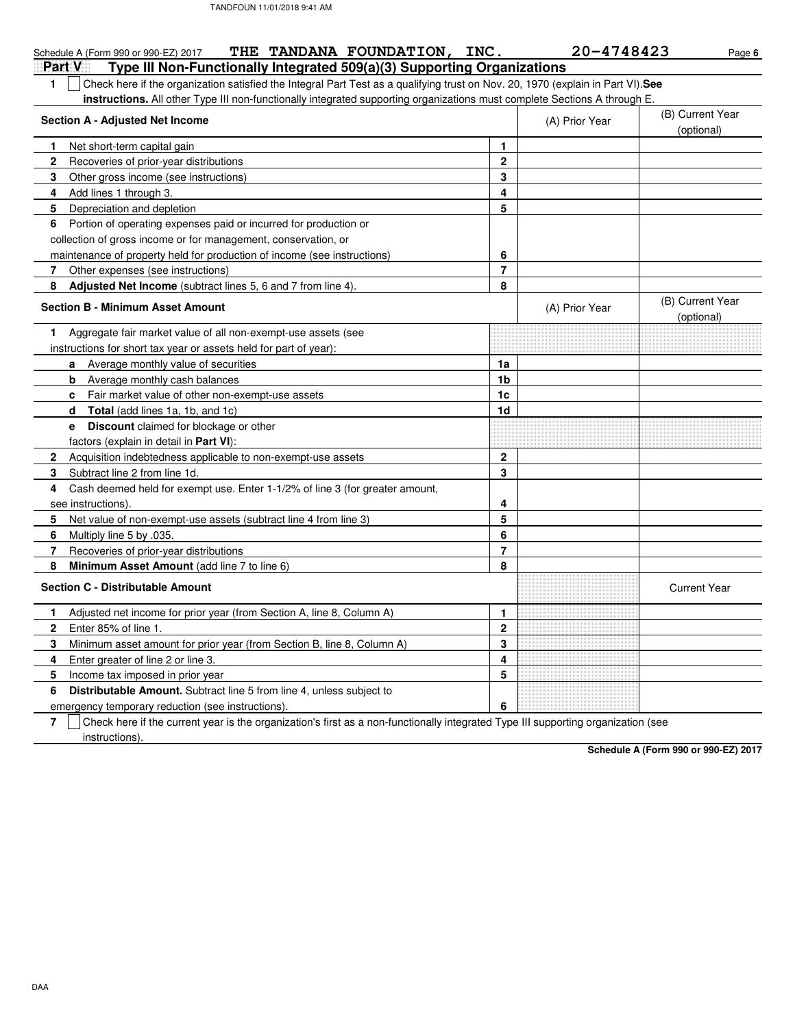| THE TANDANA FOUNDATION, INC.<br>Schedule A (Form 990 or 990-EZ) 2017                                                                   |                | 20-4748423     | Page 6                         |
|----------------------------------------------------------------------------------------------------------------------------------------|----------------|----------------|--------------------------------|
| Type III Non-Functionally Integrated 509(a)(3) Supporting Organizations<br>Part V                                                      |                |                |                                |
| Check here if the organization satisfied the Integral Part Test as a qualifying trust on Nov. 20, 1970 (explain in Part VI). See<br>1. |                |                |                                |
| instructions. All other Type III non-functionally integrated supporting organizations must complete Sections A through E.              |                |                |                                |
| Section A - Adjusted Net Income                                                                                                        |                | (A) Prior Year | (B) Current Year               |
|                                                                                                                                        |                |                | (optional)                     |
| Net short-term capital gain<br>$\mathbf{1}$                                                                                            | 1              |                |                                |
| $\mathbf 2$<br>Recoveries of prior-year distributions                                                                                  | $\mathbf{2}$   |                |                                |
| 3<br>Other gross income (see instructions)                                                                                             | 3              |                |                                |
| Add lines 1 through 3.<br>4                                                                                                            | 4              |                |                                |
| 5<br>Depreciation and depletion                                                                                                        | 5              |                |                                |
| Portion of operating expenses paid or incurred for production or<br>6                                                                  |                |                |                                |
| collection of gross income or for management, conservation, or                                                                         |                |                |                                |
| maintenance of property held for production of income (see instructions)                                                               | 6              |                |                                |
| 7<br>Other expenses (see instructions)                                                                                                 | $\overline{7}$ |                |                                |
| 8<br>Adjusted Net Income (subtract lines 5, 6 and 7 from line 4)                                                                       | 8              |                |                                |
| <b>Section B - Minimum Asset Amount</b>                                                                                                |                | (A) Prior Year | (B) Current Year<br>(optional) |
| Aggregate fair market value of all non-exempt-use assets (see<br>1                                                                     |                |                |                                |
| instructions for short tax year or assets held for part of year):                                                                      |                |                |                                |
| Average monthly value of securities<br>a                                                                                               | 1a             |                |                                |
| b<br>Average monthly cash balances                                                                                                     | 1b             |                |                                |
| Fair market value of other non-exempt-use assets<br>c                                                                                  | 1 <sub>c</sub> |                |                                |
| <b>Total</b> (add lines 1a, 1b, and 1c)<br>d                                                                                           | 1d             |                |                                |
| e Discount claimed for blockage or other                                                                                               |                |                |                                |
| factors (explain in detail in <b>Part VI</b> ):                                                                                        |                |                |                                |
| $\mathbf{2}$<br>Acquisition indebtedness applicable to non-exempt-use assets                                                           | $\mathbf{2}$   |                |                                |
| 3<br>Subtract line 2 from line 1d.                                                                                                     | 3              |                |                                |
| Cash deemed held for exempt use. Enter 1-1/2% of line 3 (for greater amount,<br>4                                                      |                |                |                                |
| see instructions)                                                                                                                      | 4              |                |                                |
| 5<br>Net value of non-exempt-use assets (subtract line 4 from line 3)                                                                  | 5              |                |                                |
| 6<br>Multiply line 5 by .035.                                                                                                          | 6              |                |                                |
| 7<br>Recoveries of prior-year distributions                                                                                            | $\overline{7}$ |                |                                |
| 8<br>Minimum Asset Amount (add line 7 to line 6)                                                                                       | 8              |                |                                |
| <b>Section C - Distributable Amount</b>                                                                                                |                |                | <b>Current Year</b>            |
| Adjusted net income for prior year (from Section A, line 8, Column A)<br>1                                                             | 1              |                |                                |
| $\mathbf{2}$<br>Enter 85% of line 1.                                                                                                   | $\mathbf{2}$   |                |                                |
| 3<br>Minimum asset amount for prior year (from Section B, line 8, Column A)                                                            | 3              |                |                                |
| 4<br>Enter greater of line 2 or line 3.                                                                                                | 4              |                |                                |
| 5<br>Income tax imposed in prior year                                                                                                  | 5              |                |                                |
| <b>Distributable Amount.</b> Subtract line 5 from line 4, unless subject to<br>6                                                       |                |                |                                |
| emergency temporary reduction (see instructions).                                                                                      | 6              |                |                                |

emergency temporary reduction (see instructions).

**7**  $\,$   $\,$   $\,$   $\,$   $\,$   $\,$  Check here if the current year is the organization's first as a non-functionally integrated Type III supporting organization (see instructions).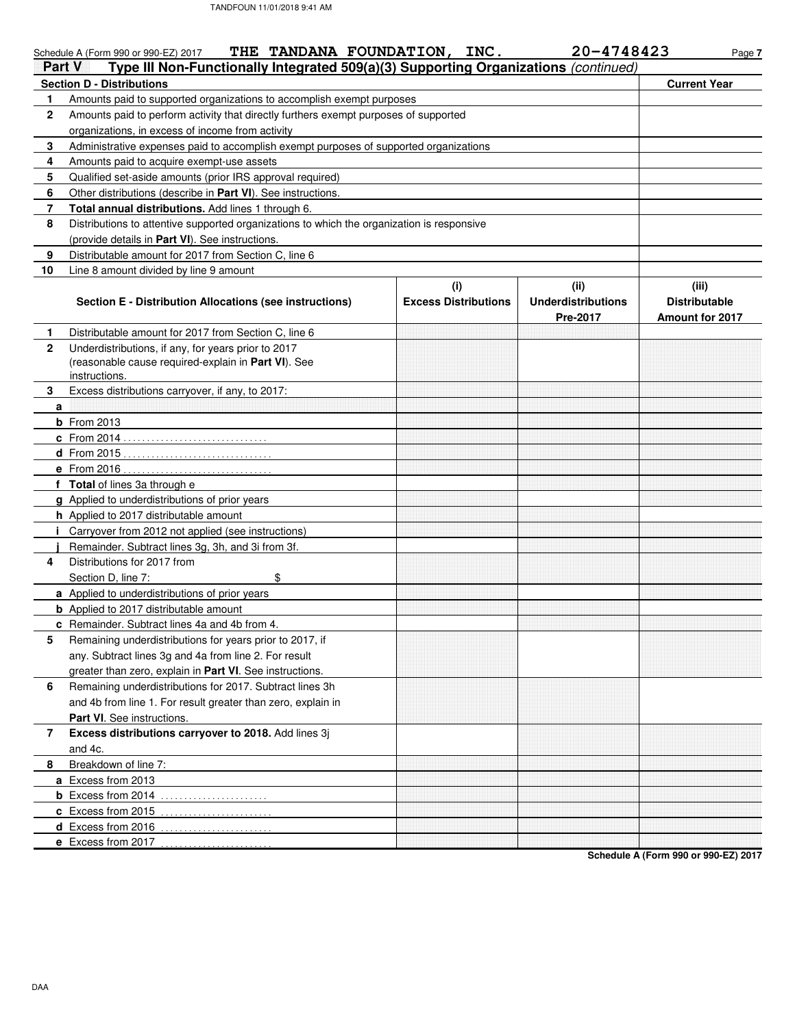|              | THE TANDANA FOUNDATION, INC.<br>Schedule A (Form 990 or 990-EZ) 2017                                  |                             | 20-4748423                | Page 7                 |
|--------------|-------------------------------------------------------------------------------------------------------|-----------------------------|---------------------------|------------------------|
| Part V       | Type III Non-Functionally Integrated 509(a)(3) Supporting Organizations (continued)                   |                             |                           |                        |
|              | <b>Section D - Distributions</b>                                                                      |                             |                           | <b>Current Year</b>    |
| 1            | Amounts paid to supported organizations to accomplish exempt purposes                                 |                             |                           |                        |
| $\mathbf{2}$ | Amounts paid to perform activity that directly furthers exempt purposes of supported                  |                             |                           |                        |
|              | organizations, in excess of income from activity                                                      |                             |                           |                        |
| 3            | Administrative expenses paid to accomplish exempt purposes of supported organizations                 |                             |                           |                        |
| 4            | Amounts paid to acquire exempt-use assets                                                             |                             |                           |                        |
| 5            | Qualified set-aside amounts (prior IRS approval required)                                             |                             |                           |                        |
| 6            | Other distributions (describe in Part VI). See instructions.                                          |                             |                           |                        |
| 7            | Total annual distributions. Add lines 1 through 6.                                                    |                             |                           |                        |
| 8            | Distributions to attentive supported organizations to which the organization is responsive            |                             |                           |                        |
|              | (provide details in Part VI). See instructions.                                                       |                             |                           |                        |
| 9            | Distributable amount for 2017 from Section C, line 6                                                  |                             |                           |                        |
| 10           | Line 8 amount divided by line 9 amount                                                                |                             |                           |                        |
|              |                                                                                                       | (i)                         | (ii)                      | (iii)                  |
|              | Section E - Distribution Allocations (see instructions)                                               | <b>Excess Distributions</b> | <b>Underdistributions</b> | <b>Distributable</b>   |
|              |                                                                                                       |                             | Pre-2017                  | <b>Amount for 2017</b> |
| 1            | Distributable amount for 2017 from Section C, line 6                                                  |                             |                           |                        |
| $\mathbf{2}$ | Underdistributions, if any, for years prior to 2017                                                   |                             |                           |                        |
|              | (reasonable cause required-explain in Part VI). See                                                   |                             |                           |                        |
|              | instructions.                                                                                         |                             |                           |                        |
| 3            | Excess distributions carryover, if any, to 2017:                                                      |                             |                           |                        |
| a            |                                                                                                       |                             |                           |                        |
|              | <b>b</b> From 2013                                                                                    |                             |                           |                        |
|              | <b>c</b> From 2014                                                                                    |                             |                           |                        |
|              | $d$ From 2015                                                                                         |                             |                           |                        |
|              | e From 2016                                                                                           |                             |                           |                        |
|              | f Total of lines 3a through e                                                                         |                             |                           |                        |
|              | g Applied to underdistributions of prior years                                                        |                             |                           |                        |
|              | h Applied to 2017 distributable amount                                                                |                             |                           |                        |
|              | <i>i</i> Carryover from 2012 not applied (see instructions)                                           |                             |                           |                        |
|              | Remainder. Subtract lines 3g, 3h, and 3i from 3f.<br>Distributions for 2017 from                      |                             |                           |                        |
| 4            | \$                                                                                                    |                             |                           |                        |
|              | Section D, line 7:<br>a Applied to underdistributions of prior years                                  |                             |                           |                        |
|              |                                                                                                       |                             |                           |                        |
|              | <b>b</b> Applied to 2017 distributable amount<br><b>c</b> Remainder. Subtract lines 4a and 4b from 4. |                             |                           |                        |
| 5            | Remaining underdistributions for years prior to 2017, if                                              |                             |                           |                        |
|              | any. Subtract lines 3g and 4a from line 2. For result                                                 |                             |                           |                        |
|              | greater than zero, explain in Part VI. See instructions.                                              |                             |                           |                        |
| 6            | Remaining underdistributions for 2017. Subtract lines 3h                                              |                             |                           |                        |
|              | and 4b from line 1. For result greater than zero, explain in                                          |                             |                           |                        |
|              | Part VI. See instructions.                                                                            |                             |                           |                        |
| 7            | Excess distributions carryover to 2018. Add lines 3j                                                  |                             |                           |                        |
|              | and 4c.                                                                                               |                             |                           |                        |
| 8            | Breakdown of line 7:                                                                                  |                             |                           |                        |
|              | a Excess from 2013                                                                                    |                             |                           |                        |
|              | <b>b</b> Excess from 2014 $\ldots$                                                                    |                             |                           |                        |
|              | c Excess from 2015                                                                                    |                             |                           |                        |
|              | d Excess from 2016                                                                                    |                             |                           |                        |
|              | e Excess from 2017                                                                                    |                             |                           |                        |
|              |                                                                                                       |                             |                           |                        |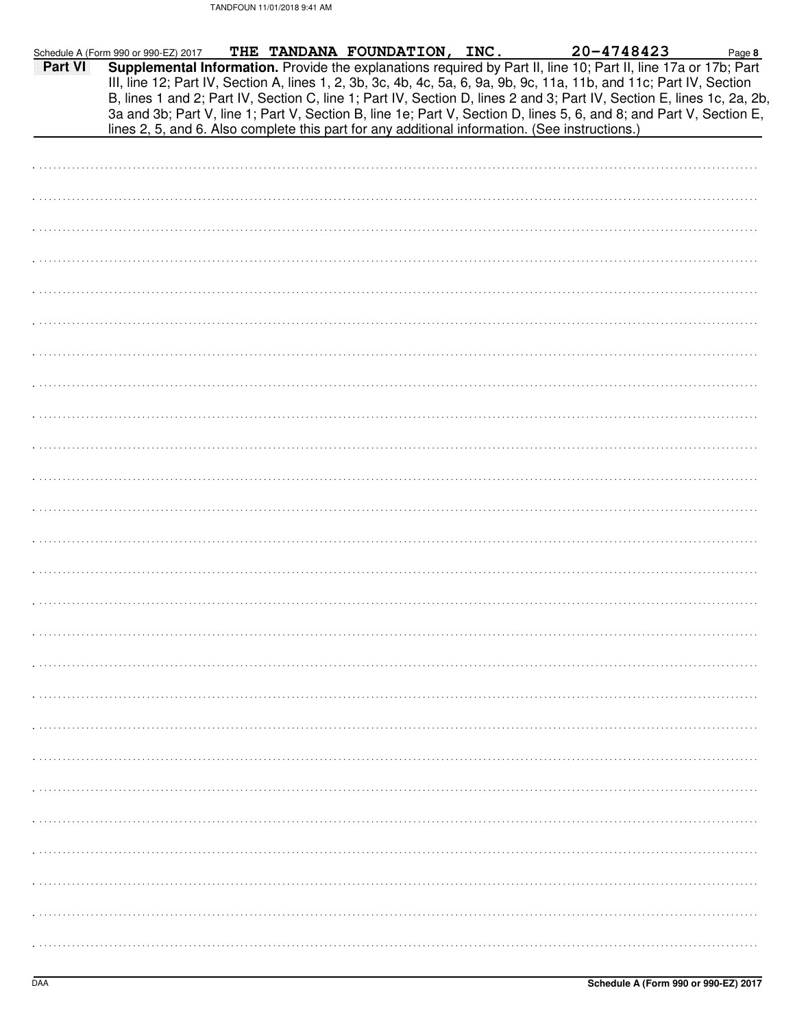| Schedule A (Form 990 or 990-EZ) 2017 |  | THE TANDANA FOUNDATION, INC.                                                                   |  |  | 20-4748423                                                                                                                                                                                                                                    | Page 8 |
|--------------------------------------|--|------------------------------------------------------------------------------------------------|--|--|-----------------------------------------------------------------------------------------------------------------------------------------------------------------------------------------------------------------------------------------------|--------|
| Part VI                              |  |                                                                                                |  |  | Supplemental Information. Provide the explanations required by Part II, line 10; Part II, line 17a or 17b; Part<br>III, line 12; Part IV, Section A, lines 1, 2, 3b, 3c, 4b, 4c, 5a, 6, 9a, 9b, 9c, 11a, 11b, and 11c; Part IV, Section       |        |
|                                      |  | lines 2, 5, and 6. Also complete this part for any additional information. (See instructions.) |  |  | B, lines 1 and 2; Part IV, Section C, line 1; Part IV, Section D, lines 2 and 3; Part IV, Section E, lines 1c, 2a, 2b,<br>3a and 3b; Part V, line 1; Part V, Section B, line 1e; Part V, Section D, lines 5, 6, and 8; and Part V, Section E, |        |
|                                      |  |                                                                                                |  |  |                                                                                                                                                                                                                                               |        |
|                                      |  |                                                                                                |  |  |                                                                                                                                                                                                                                               |        |
|                                      |  |                                                                                                |  |  |                                                                                                                                                                                                                                               |        |
|                                      |  |                                                                                                |  |  |                                                                                                                                                                                                                                               |        |
|                                      |  |                                                                                                |  |  |                                                                                                                                                                                                                                               |        |
|                                      |  |                                                                                                |  |  |                                                                                                                                                                                                                                               |        |
|                                      |  |                                                                                                |  |  |                                                                                                                                                                                                                                               |        |
|                                      |  |                                                                                                |  |  |                                                                                                                                                                                                                                               |        |
|                                      |  |                                                                                                |  |  |                                                                                                                                                                                                                                               |        |
|                                      |  |                                                                                                |  |  |                                                                                                                                                                                                                                               |        |
|                                      |  |                                                                                                |  |  |                                                                                                                                                                                                                                               |        |
|                                      |  |                                                                                                |  |  |                                                                                                                                                                                                                                               |        |
|                                      |  |                                                                                                |  |  |                                                                                                                                                                                                                                               |        |
|                                      |  |                                                                                                |  |  |                                                                                                                                                                                                                                               |        |
|                                      |  |                                                                                                |  |  |                                                                                                                                                                                                                                               |        |
|                                      |  |                                                                                                |  |  |                                                                                                                                                                                                                                               |        |
|                                      |  |                                                                                                |  |  |                                                                                                                                                                                                                                               |        |
|                                      |  |                                                                                                |  |  |                                                                                                                                                                                                                                               |        |
|                                      |  |                                                                                                |  |  |                                                                                                                                                                                                                                               |        |
|                                      |  |                                                                                                |  |  |                                                                                                                                                                                                                                               |        |
|                                      |  |                                                                                                |  |  |                                                                                                                                                                                                                                               |        |
|                                      |  |                                                                                                |  |  |                                                                                                                                                                                                                                               |        |
|                                      |  |                                                                                                |  |  |                                                                                                                                                                                                                                               |        |
|                                      |  |                                                                                                |  |  |                                                                                                                                                                                                                                               |        |
|                                      |  |                                                                                                |  |  |                                                                                                                                                                                                                                               |        |
|                                      |  |                                                                                                |  |  |                                                                                                                                                                                                                                               |        |
|                                      |  |                                                                                                |  |  |                                                                                                                                                                                                                                               |        |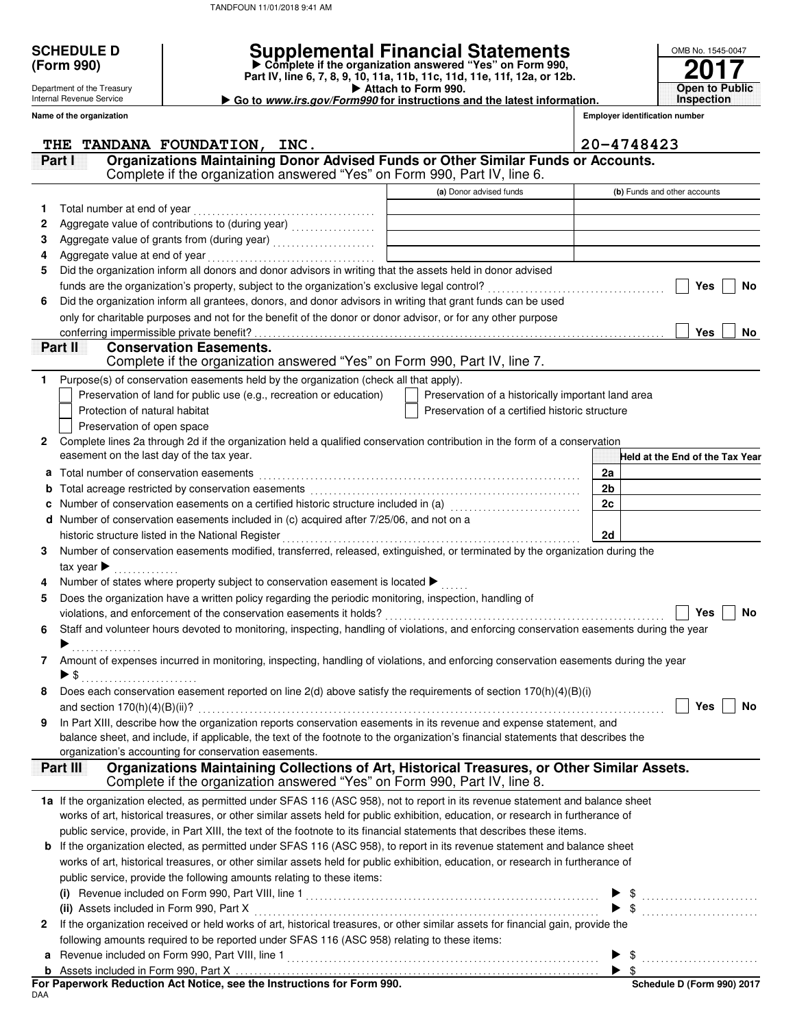|   | <b>SCHEDULE D</b>                               |                                                                                                                                                                                                                                                           | <b>Supplemental Financial Statements</b>                                                        |                                       | OMB No. 1545-0047               |
|---|-------------------------------------------------|-----------------------------------------------------------------------------------------------------------------------------------------------------------------------------------------------------------------------------------------------------------|-------------------------------------------------------------------------------------------------|---------------------------------------|---------------------------------|
|   | (Form 990)                                      |                                                                                                                                                                                                                                                           | Complete if the organization answered "Yes" on Form 990,                                        |                                       |                                 |
|   | Department of the Treasury                      |                                                                                                                                                                                                                                                           | Part IV, line 6, 7, 8, 9, 10, 11a, 11b, 11c, 11d, 11e, 11f, 12a, or 12b.<br>Attach to Form 990. |                                       | <b>Open to Public</b>           |
|   | Internal Revenue Service                        |                                                                                                                                                                                                                                                           | Go to www.irs.gov/Form990 for instructions and the latest information.                          |                                       | <b>Inspection</b>               |
|   | Name of the organization                        |                                                                                                                                                                                                                                                           |                                                                                                 | <b>Employer identification number</b> |                                 |
|   | THE                                             | TANDANA FOUNDATION, INC.                                                                                                                                                                                                                                  |                                                                                                 | 20-4748423                            |                                 |
|   | Partil                                          | Organizations Maintaining Donor Advised Funds or Other Similar Funds or Accounts.                                                                                                                                                                         |                                                                                                 |                                       |                                 |
|   |                                                 | Complete if the organization answered "Yes" on Form 990, Part IV, line 6.                                                                                                                                                                                 |                                                                                                 |                                       |                                 |
|   |                                                 |                                                                                                                                                                                                                                                           | (a) Donor advised funds                                                                         |                                       | (b) Funds and other accounts    |
| 1 | Total number at end of year                     |                                                                                                                                                                                                                                                           |                                                                                                 |                                       |                                 |
| 2 |                                                 | Aggregate value of contributions to (during year) [11] Aggregate value of contributions of the manner of                                                                                                                                                  |                                                                                                 |                                       |                                 |
| 3 |                                                 |                                                                                                                                                                                                                                                           |                                                                                                 |                                       |                                 |
| 4 |                                                 |                                                                                                                                                                                                                                                           |                                                                                                 |                                       |                                 |
| 5 |                                                 | Did the organization inform all donors and donor advisors in writing that the assets held in donor advised                                                                                                                                                |                                                                                                 |                                       |                                 |
|   |                                                 |                                                                                                                                                                                                                                                           |                                                                                                 |                                       | Yes<br><b>No</b>                |
| 6 |                                                 | Did the organization inform all grantees, donors, and donor advisors in writing that grant funds can be used                                                                                                                                              |                                                                                                 |                                       |                                 |
|   |                                                 | only for charitable purposes and not for the benefit of the donor or donor advisor, or for any other purpose                                                                                                                                              |                                                                                                 |                                       | Yes                             |
|   | Part II                                         | <b>Conservation Easements.</b>                                                                                                                                                                                                                            |                                                                                                 |                                       | No                              |
|   |                                                 | Complete if the organization answered "Yes" on Form 990, Part IV, line 7.                                                                                                                                                                                 |                                                                                                 |                                       |                                 |
| 1 |                                                 | Purpose(s) of conservation easements held by the organization (check all that apply).                                                                                                                                                                     |                                                                                                 |                                       |                                 |
|   |                                                 | Preservation of land for public use (e.g., recreation or education)                                                                                                                                                                                       | Preservation of a historically important land area                                              |                                       |                                 |
|   | Protection of natural habitat                   |                                                                                                                                                                                                                                                           | Preservation of a certified historic structure                                                  |                                       |                                 |
|   | Preservation of open space                      |                                                                                                                                                                                                                                                           |                                                                                                 |                                       |                                 |
| 2 |                                                 | Complete lines 2a through 2d if the organization held a qualified conservation contribution in the form of a conservation                                                                                                                                 |                                                                                                 |                                       |                                 |
|   | easement on the last day of the tax year.       |                                                                                                                                                                                                                                                           |                                                                                                 |                                       | Held at the End of the Tax Year |
|   | <b>a</b> Total number of conservation easements |                                                                                                                                                                                                                                                           |                                                                                                 | 2a                                    |                                 |
|   |                                                 | b Total acreage restricted by conservation easements [1] [1] [1] Total acreage restriction of the set of the set of the set of the set of the set of the set of the set of the set of the set of the set of the set of the set                            |                                                                                                 | 2b                                    |                                 |
| c |                                                 | Number of conservation easements on a certified historic structure included in (a) [[[[[[[[[[[[[[[[[[[[[[[]]]]                                                                                                                                            |                                                                                                 | 2c                                    |                                 |
|   |                                                 | d Number of conservation easements included in (c) acquired after 7/25/06, and not on a                                                                                                                                                                   |                                                                                                 |                                       |                                 |
|   |                                                 | Number of conservation easements modified, transferred, released, extinguished, or terminated by the organization during the                                                                                                                              |                                                                                                 | 2d                                    |                                 |
| 3 | tax year $\blacktriangleright$                  |                                                                                                                                                                                                                                                           |                                                                                                 |                                       |                                 |
| 4 |                                                 | Number of states where property subject to conservation easement is located ▶                                                                                                                                                                             |                                                                                                 |                                       |                                 |
| 5 |                                                 | Does the organization have a written policy regarding the periodic monitoring, inspection, handling of                                                                                                                                                    |                                                                                                 |                                       |                                 |
|   |                                                 | violations. and enforcement of the conservation easements it holds?                                                                                                                                                                                       |                                                                                                 |                                       | <b>Yes</b><br><b>No</b>         |
| 6 |                                                 | Staff and volunteer hours devoted to monitoring, inspecting, handling of violations, and enforcing conservation easements during the year                                                                                                                 |                                                                                                 |                                       |                                 |
|   |                                                 |                                                                                                                                                                                                                                                           |                                                                                                 |                                       |                                 |
| 7 |                                                 | Amount of expenses incurred in monitoring, inspecting, handling of violations, and enforcing conservation easements during the year                                                                                                                       |                                                                                                 |                                       |                                 |
|   | $\triangleright$ \$                             |                                                                                                                                                                                                                                                           |                                                                                                 |                                       |                                 |
| 8 |                                                 | Does each conservation easement reported on line 2(d) above satisfy the requirements of section 170(h)(4)(B)(i)                                                                                                                                           |                                                                                                 |                                       |                                 |
|   |                                                 |                                                                                                                                                                                                                                                           |                                                                                                 |                                       | Yes<br><b>No</b>                |
| 9 |                                                 | In Part XIII, describe how the organization reports conservation easements in its revenue and expense statement, and<br>balance sheet, and include, if applicable, the text of the footnote to the organization's financial statements that describes the |                                                                                                 |                                       |                                 |
|   |                                                 | organization's accounting for conservation easements.                                                                                                                                                                                                     |                                                                                                 |                                       |                                 |
|   | <b>Part III</b>                                 | Organizations Maintaining Collections of Art, Historical Treasures, or Other Similar Assets.                                                                                                                                                              |                                                                                                 |                                       |                                 |
|   |                                                 | Complete if the organization answered "Yes" on Form 990, Part IV, line 8.                                                                                                                                                                                 |                                                                                                 |                                       |                                 |
|   |                                                 | 1a If the organization elected, as permitted under SFAS 116 (ASC 958), not to report in its revenue statement and balance sheet                                                                                                                           |                                                                                                 |                                       |                                 |
|   |                                                 | works of art, historical treasures, or other similar assets held for public exhibition, education, or research in furtherance of                                                                                                                          |                                                                                                 |                                       |                                 |
|   |                                                 | public service, provide, in Part XIII, the text of the footnote to its financial statements that describes these items.                                                                                                                                   |                                                                                                 |                                       |                                 |
|   |                                                 | <b>b</b> If the organization elected, as permitted under SFAS 116 (ASC 958), to report in its revenue statement and balance sheet                                                                                                                         |                                                                                                 |                                       |                                 |
|   |                                                 | works of art, historical treasures, or other similar assets held for public exhibition, education, or research in furtherance of                                                                                                                          |                                                                                                 |                                       |                                 |
|   |                                                 | public service, provide the following amounts relating to these items:                                                                                                                                                                                    |                                                                                                 |                                       |                                 |
|   |                                                 |                                                                                                                                                                                                                                                           |                                                                                                 |                                       |                                 |
|   |                                                 |                                                                                                                                                                                                                                                           |                                                                                                 |                                       |                                 |
| 2 |                                                 | If the organization received or held works of art, historical treasures, or other similar assets for financial gain, provide the                                                                                                                          |                                                                                                 |                                       |                                 |
|   |                                                 | following amounts required to be reported under SFAS 116 (ASC 958) relating to these items:                                                                                                                                                               |                                                                                                 |                                       |                                 |
|   |                                                 |                                                                                                                                                                                                                                                           |                                                                                                 |                                       |                                 |
|   |                                                 |                                                                                                                                                                                                                                                           |                                                                                                 |                                       |                                 |

| For Paperwork Reduction Act Notice, see the Instructions for Form 990. |  |
|------------------------------------------------------------------------|--|
| <b>DAA</b>                                                             |  |

**Schedule D (Form 990) 2017**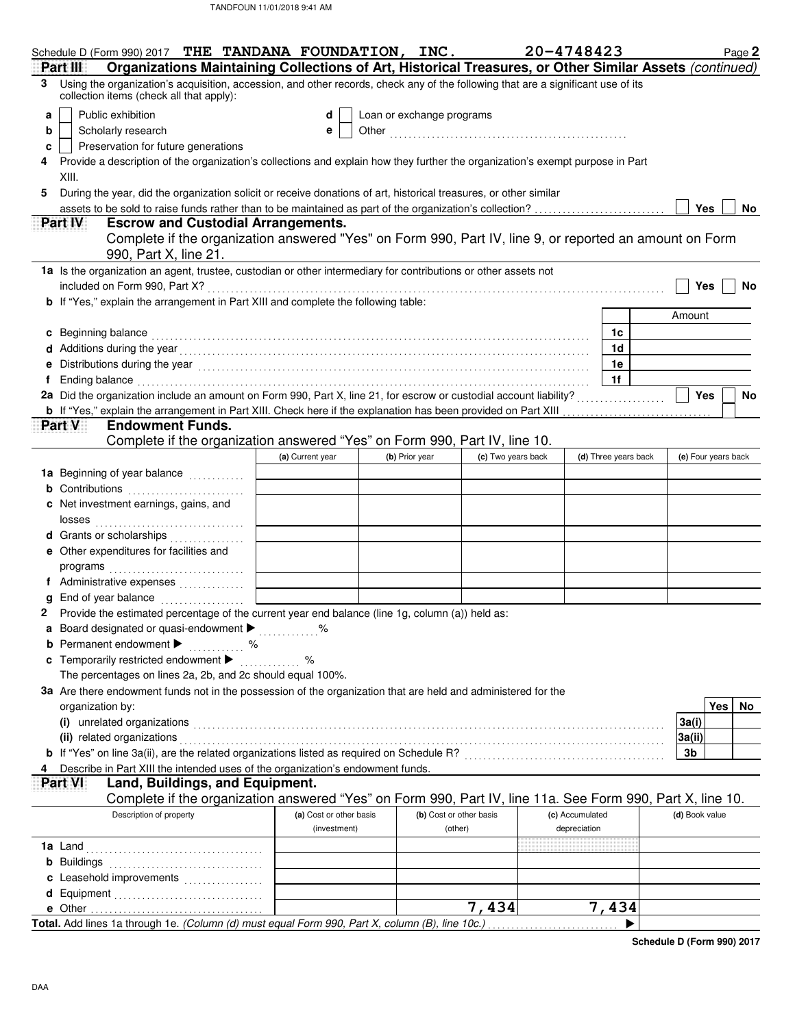|   | Schedule D (Form 990) 2017 THE TANDANA FOUNDATION, INC.                                                                                                                                                                        |  |                         |  |                           |                    | 20-4748423 |                 |                      |  |                | Page 2              |
|---|--------------------------------------------------------------------------------------------------------------------------------------------------------------------------------------------------------------------------------|--|-------------------------|--|---------------------------|--------------------|------------|-----------------|----------------------|--|----------------|---------------------|
|   | Organizations Maintaining Collections of Art, Historical Treasures, or Other Similar Assets (continued)<br>Part III                                                                                                            |  |                         |  |                           |                    |            |                 |                      |  |                |                     |
|   | 3 Using the organization's acquisition, accession, and other records, check any of the following that are a significant use of its<br>collection items (check all that apply):                                                 |  |                         |  |                           |                    |            |                 |                      |  |                |                     |
| a | Public exhibition                                                                                                                                                                                                              |  | d                       |  | Loan or exchange programs |                    |            |                 |                      |  |                |                     |
| b | Scholarly research<br>e                                                                                                                                                                                                        |  |                         |  |                           |                    |            |                 |                      |  |                |                     |
| c | Preservation for future generations                                                                                                                                                                                            |  |                         |  |                           |                    |            |                 |                      |  |                |                     |
|   | Provide a description of the organization's collections and explain how they further the organization's exempt purpose in Part                                                                                                 |  |                         |  |                           |                    |            |                 |                      |  |                |                     |
|   | XIII.                                                                                                                                                                                                                          |  |                         |  |                           |                    |            |                 |                      |  |                |                     |
| 5 | During the year, did the organization solicit or receive donations of art, historical treasures, or other similar                                                                                                              |  |                         |  |                           |                    |            |                 |                      |  |                |                     |
|   | assets to be sold to raise funds rather than to be maintained as part of the organization's collection?<br>Yes<br>No.                                                                                                          |  |                         |  |                           |                    |            |                 |                      |  |                |                     |
|   | <b>Escrow and Custodial Arrangements.</b><br><b>PartIV</b>                                                                                                                                                                     |  |                         |  |                           |                    |            |                 |                      |  |                |                     |
|   | Complete if the organization answered "Yes" on Form 990, Part IV, line 9, or reported an amount on Form<br>990, Part X, line 21.                                                                                               |  |                         |  |                           |                    |            |                 |                      |  |                |                     |
|   | 1a Is the organization an agent, trustee, custodian or other intermediary for contributions or other assets not                                                                                                                |  |                         |  |                           |                    |            |                 |                      |  |                |                     |
|   | included on Form 990, Part X?                                                                                                                                                                                                  |  |                         |  |                           |                    |            |                 |                      |  | Yes            | No                  |
|   | <b>b</b> If "Yes," explain the arrangement in Part XIII and complete the following table:                                                                                                                                      |  |                         |  |                           |                    |            |                 |                      |  |                |                     |
|   |                                                                                                                                                                                                                                |  |                         |  |                           |                    |            |                 |                      |  | Amount         |                     |
|   | c Beginning balance                                                                                                                                                                                                            |  |                         |  |                           |                    |            |                 | 1c                   |  |                |                     |
|   |                                                                                                                                                                                                                                |  |                         |  |                           |                    |            |                 | 1 <sub>d</sub>       |  |                |                     |
|   | Distributions during the year material contact the set of the year material contact the year material contact the year material contact the year material contact the year material contact the year of the year of the year o |  |                         |  |                           |                    |            |                 | 1e                   |  |                |                     |
|   | Ending balance contains and account of the contact of the contact of the contact of the contact of the contact of the contact of the contact of the contact of the contact of the contact of the contact of the contact of the |  |                         |  |                           |                    |            |                 | 1 <sub>f</sub>       |  |                |                     |
|   | 2a Did the organization include an amount on Form 990, Part X, line 21, for escrow or custodial account liability?                                                                                                             |  |                         |  |                           |                    |            |                 |                      |  | Yes            | No                  |
|   | b If "Yes," explain the arrangement in Part XIII. Check here if the explanation has been provided on Part XIII<br><b>Endowment Funds.</b>                                                                                      |  |                         |  |                           |                    |            |                 |                      |  |                |                     |
|   | Part V                                                                                                                                                                                                                         |  |                         |  |                           |                    |            |                 |                      |  |                |                     |
|   | Complete if the organization answered "Yes" on Form 990, Part IV, line 10.                                                                                                                                                     |  | (a) Current year        |  | (b) Prior year            | (c) Two years back |            |                 | (d) Three years back |  |                | (e) Four years back |
|   |                                                                                                                                                                                                                                |  |                         |  |                           |                    |            |                 |                      |  |                |                     |
|   |                                                                                                                                                                                                                                |  |                         |  |                           |                    |            |                 |                      |  |                |                     |
|   |                                                                                                                                                                                                                                |  |                         |  |                           |                    |            |                 |                      |  |                |                     |
|   | c Net investment earnings, gains, and<br>losses                                                                                                                                                                                |  |                         |  |                           |                    |            |                 |                      |  |                |                     |
|   | d Grants or scholarships                                                                                                                                                                                                       |  |                         |  |                           |                    |            |                 |                      |  |                |                     |
|   | e Other expenditures for facilities and                                                                                                                                                                                        |  |                         |  |                           |                    |            |                 |                      |  |                |                     |
|   | programs                                                                                                                                                                                                                       |  |                         |  |                           |                    |            |                 |                      |  |                |                     |
|   |                                                                                                                                                                                                                                |  |                         |  |                           |                    |            |                 |                      |  |                |                     |
|   | End of year balance                                                                                                                                                                                                            |  |                         |  |                           |                    |            |                 |                      |  |                |                     |
|   | Provide the estimated percentage of the current year end balance (line 1g, column (a)) held as:                                                                                                                                |  |                         |  |                           |                    |            |                 |                      |  |                |                     |
|   | Board designated or quasi-endowment > %                                                                                                                                                                                        |  |                         |  |                           |                    |            |                 |                      |  |                |                     |
|   | <b>b</b> Permanent endowment $\blacktriangleright$<br>. %                                                                                                                                                                      |  |                         |  |                           |                    |            |                 |                      |  |                |                     |
|   | c Temporarily restricted endowment >                                                                                                                                                                                           |  |                         |  |                           |                    |            |                 |                      |  |                |                     |
|   | The percentages on lines 2a, 2b, and 2c should equal 100%.                                                                                                                                                                     |  |                         |  |                           |                    |            |                 |                      |  |                |                     |
|   | 3a Are there endowment funds not in the possession of the organization that are held and administered for the                                                                                                                  |  |                         |  |                           |                    |            |                 |                      |  |                |                     |
|   | organization by:                                                                                                                                                                                                               |  |                         |  |                           |                    |            |                 |                      |  |                | Yes<br>No.          |
|   | (i) unrelated organizations                                                                                                                                                                                                    |  |                         |  |                           |                    |            |                 |                      |  | 3a(i)          |                     |
|   | (ii) related organizations                                                                                                                                                                                                     |  |                         |  |                           |                    |            |                 |                      |  | 3a(ii)         |                     |
|   |                                                                                                                                                                                                                                |  |                         |  |                           |                    |            |                 |                      |  | 3b             |                     |
|   | Describe in Part XIII the intended uses of the organization's endowment funds.                                                                                                                                                 |  |                         |  |                           |                    |            |                 |                      |  |                |                     |
|   | Part VI<br>Land, Buildings, and Equipment.                                                                                                                                                                                     |  |                         |  |                           |                    |            |                 |                      |  |                |                     |
|   | Complete if the organization answered "Yes" on Form 990, Part IV, line 11a. See Form 990, Part X, line 10.                                                                                                                     |  |                         |  |                           |                    |            |                 |                      |  |                |                     |
|   | Description of property                                                                                                                                                                                                        |  | (a) Cost or other basis |  | (b) Cost or other basis   |                    |            | (c) Accumulated |                      |  | (d) Book value |                     |
|   |                                                                                                                                                                                                                                |  | (investment)            |  | (other)                   |                    |            | depreciation    |                      |  |                |                     |
|   | <b>1a</b> Land                                                                                                                                                                                                                 |  |                         |  |                           |                    |            |                 |                      |  |                |                     |
|   | <b>b</b> Buildings                                                                                                                                                                                                             |  |                         |  |                           |                    |            |                 |                      |  |                |                     |
|   |                                                                                                                                                                                                                                |  |                         |  |                           |                    |            |                 |                      |  |                |                     |
|   |                                                                                                                                                                                                                                |  |                         |  |                           |                    |            |                 |                      |  |                |                     |
|   |                                                                                                                                                                                                                                |  |                         |  |                           | 7,434              |            |                 | 7,434                |  |                |                     |
|   | Total. Add lines 1a through 1e. (Column (d) must equal Form 990, Part X, column (B), line 10c.)                                                                                                                                |  |                         |  |                           |                    |            |                 |                      |  |                |                     |

**Schedule D (Form 990) 2017**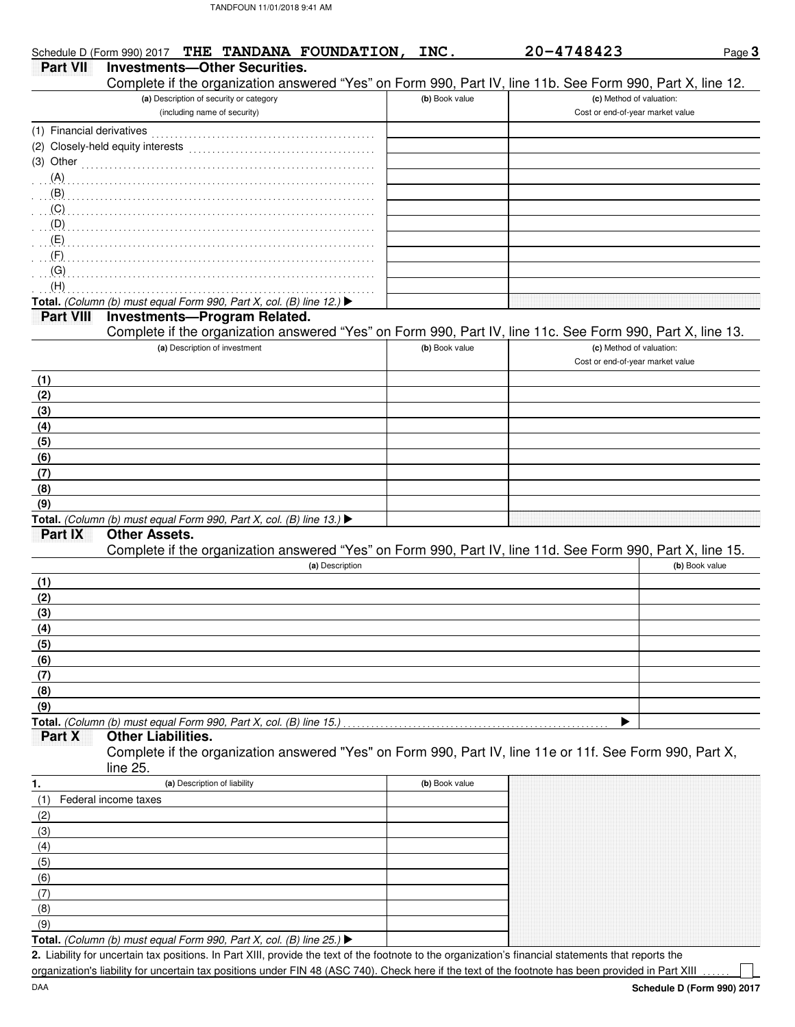|                           | Schedule D (Form 990) 2017 THE TANDANA FOUNDATION,                                                         | INC.           | 20-4748423                       | Page 3         |
|---------------------------|------------------------------------------------------------------------------------------------------------|----------------|----------------------------------|----------------|
| <b>Part VII</b>           | <b>Investments-Other Securities.</b>                                                                       |                |                                  |                |
|                           | Complete if the organization answered "Yes" on Form 990, Part IV, line 11b. See Form 990, Part X, line 12. |                |                                  |                |
|                           | (a) Description of security or category                                                                    | (b) Book value | (c) Method of valuation:         |                |
|                           | (including name of security)                                                                               |                | Cost or end-of-year market value |                |
| (1) Financial derivatives |                                                                                                            |                |                                  |                |
|                           |                                                                                                            |                |                                  |                |
|                           | $(3)$ Other                                                                                                |                |                                  |                |
| $(A)$ .                   |                                                                                                            |                |                                  |                |
| (B)                       |                                                                                                            |                |                                  |                |
|                           |                                                                                                            |                |                                  |                |
|                           |                                                                                                            |                |                                  |                |
|                           |                                                                                                            |                |                                  |                |
| $\cdot$ $(F)$             |                                                                                                            |                |                                  |                |
| $\cdot$ (G)               |                                                                                                            |                |                                  |                |
| (H)                       |                                                                                                            |                |                                  |                |
|                           | Total. (Column (b) must equal Form 990, Part X, col. (B) line 12.) ▶                                       |                |                                  |                |
| Part VIII                 | <b>Investments-Program Related.</b>                                                                        |                |                                  |                |
|                           | Complete if the organization answered "Yes" on Form 990, Part IV, line 11c. See Form 990, Part X, line 13. |                |                                  |                |
|                           | (a) Description of investment                                                                              | (b) Book value | (c) Method of valuation:         |                |
|                           |                                                                                                            |                | Cost or end-of-year market value |                |
| (1)                       |                                                                                                            |                |                                  |                |
| (2)                       |                                                                                                            |                |                                  |                |
| (3)                       |                                                                                                            |                |                                  |                |
| (4)                       |                                                                                                            |                |                                  |                |
| (5)                       |                                                                                                            |                |                                  |                |
| (6)                       |                                                                                                            |                |                                  |                |
| (7)                       |                                                                                                            |                |                                  |                |
| (8)                       |                                                                                                            |                |                                  |                |
| (9)                       |                                                                                                            |                |                                  |                |
|                           | Total. (Column (b) must equal Form 990, Part X, col. (B) line 13.) $\blacktriangleright$                   |                |                                  |                |
| Part IX                   | <b>Other Assets.</b>                                                                                       |                |                                  |                |
|                           | Complete if the organization answered "Yes" on Form 990, Part IV, line 11d. See Form 990, Part X, line 15. |                |                                  |                |
|                           | (a) Description                                                                                            |                |                                  | (b) Book value |
| (1)                       |                                                                                                            |                |                                  |                |
| (2)                       |                                                                                                            |                |                                  |                |
| (3)                       |                                                                                                            |                |                                  |                |
| (4)                       |                                                                                                            |                |                                  |                |
| (5)                       |                                                                                                            |                |                                  |                |
|                           |                                                                                                            |                |                                  |                |
| $\frac{(6)}{(7)}$         |                                                                                                            |                |                                  |                |
| (8)                       |                                                                                                            |                |                                  |                |
| (9)                       |                                                                                                            |                |                                  |                |
|                           | Total. (Column (b) must equal Form 990, Part X, col. (B) line 15.)                                         |                | b                                |                |
| Part X                    | <b>Other Liabilities.</b>                                                                                  |                |                                  |                |
|                           | Complete if the organization answered "Yes" on Form 990, Part IV, line 11e or 11f. See Form 990, Part X,   |                |                                  |                |
|                           | line 25.                                                                                                   |                |                                  |                |
| 1.                        | (a) Description of liability                                                                               | (b) Book value |                                  |                |
| (1)                       | Federal income taxes                                                                                       |                |                                  |                |
| (2)                       |                                                                                                            |                |                                  |                |
|                           |                                                                                                            |                |                                  |                |
| $\frac{(3)}{(4)}$<br>(5)  |                                                                                                            |                |                                  |                |
|                           |                                                                                                            |                |                                  |                |
| (6)                       |                                                                                                            |                |                                  |                |
| (7)                       |                                                                                                            |                |                                  |                |

**Total.** (Column (b) must equal Form 990, Part X, col. (B) line 25.)  $\blacktriangleright$  $(9)$ 

Liability for uncertain tax positions. In Part XIII, provide the text of the footnote to the organization's financial statements that reports the **2.** organization's liability for uncertain tax positions under FIN 48 (ASC 740). Check here if the text of the footnote has been provided in Part XIII

(8)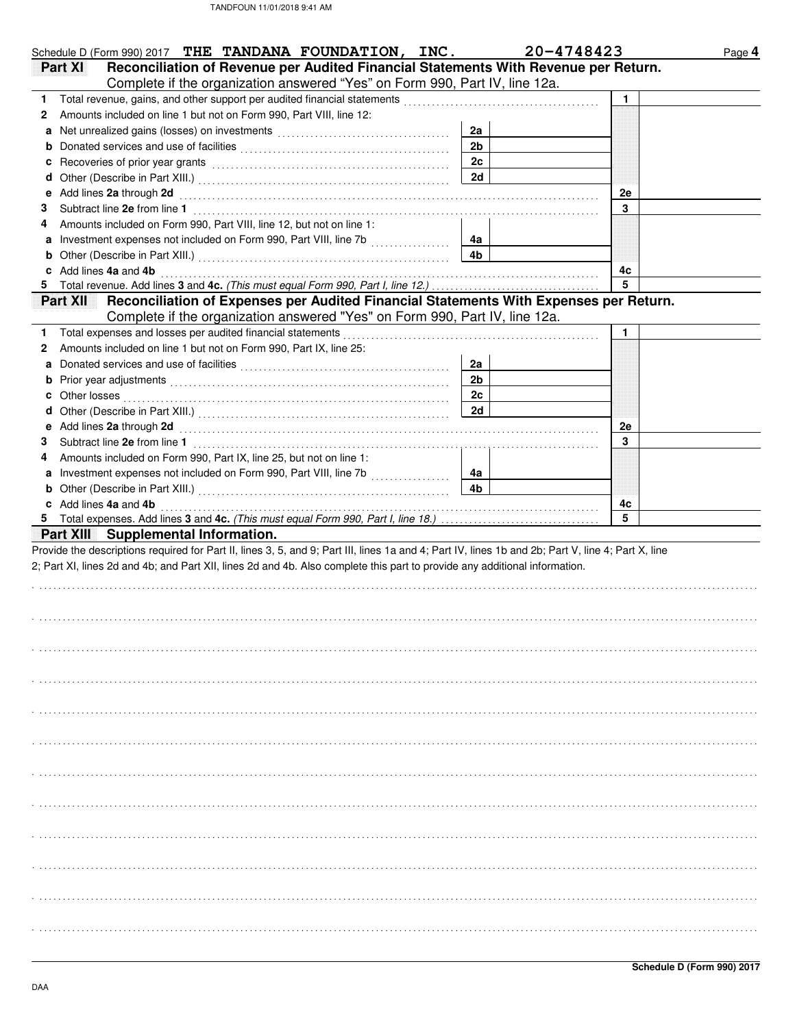|    | Schedule D (Form 990) 2017 THE TANDANA FOUNDATION, INC.                                                                                                                                                                        |                | 20-4748423 | Page 4 |
|----|--------------------------------------------------------------------------------------------------------------------------------------------------------------------------------------------------------------------------------|----------------|------------|--------|
|    | Reconciliation of Revenue per Audited Financial Statements With Revenue per Return.<br>Part XI                                                                                                                                 |                |            |        |
|    | Complete if the organization answered "Yes" on Form 990, Part IV, line 12a.                                                                                                                                                    |                |            |        |
| 1. | Total revenue, gains, and other support per audited financial statements                                                                                                                                                       |                | 1          |        |
| 2  | Amounts included on line 1 but not on Form 990, Part VIII, line 12:                                                                                                                                                            |                |            |        |
| a  |                                                                                                                                                                                                                                | 2a             |            |        |
| b  |                                                                                                                                                                                                                                | 2 <sub>b</sub> |            |        |
| с  |                                                                                                                                                                                                                                | 2c             |            |        |
|    | Recoveries of prior year grants [11] March 1999 (12] March 1999 (13] March 1999 (13] March 1999 (13] March 1999 (13] March 1999 (13] March 1999 (13] March 1999 (13] March 1999 (13] March 1999 (13] March 1999 (13] March 199 | 2d             |            |        |
| d  | Add lines 2a through 2d                                                                                                                                                                                                        |                |            |        |
| е  |                                                                                                                                                                                                                                |                | 2e<br>3    |        |
| 3  |                                                                                                                                                                                                                                |                |            |        |
| 4  | Amounts included on Form 990, Part VIII, line 12, but not on line 1:                                                                                                                                                           |                |            |        |
| a  |                                                                                                                                                                                                                                | 4a             |            |        |
| b  |                                                                                                                                                                                                                                | 4b             |            |        |
|    | Add lines 4a and 4b                                                                                                                                                                                                            |                | 4c         |        |
| 5  | Total revenue. Add lines 3 and 4c. (This must equal Form 990, Part I, line 12.)                                                                                                                                                |                | 5          |        |
|    | Reconciliation of Expenses per Audited Financial Statements With Expenses per Return.<br><u>Part XII</u>                                                                                                                       |                |            |        |
|    | Complete if the organization answered "Yes" on Form 990, Part IV, line 12a.                                                                                                                                                    |                |            |        |
| 1. | Total expenses and losses per audited financial statements                                                                                                                                                                     |                | 1          |        |
| 2  | Amounts included on line 1 but not on Form 990, Part IX, line 25:                                                                                                                                                              |                |            |        |
| a  |                                                                                                                                                                                                                                | 2a             |            |        |
| b  |                                                                                                                                                                                                                                | 2 <sub>b</sub> |            |        |
| c  | Other losses                                                                                                                                                                                                                   | 2c             |            |        |
| d  |                                                                                                                                                                                                                                | 2d             |            |        |
| е  | Add lines 2a through 2d                                                                                                                                                                                                        |                | 2e         |        |
| 3  | Subtract line 2e from line 1                                                                                                                                                                                                   |                | 3          |        |
| 4  | Amounts included on Form 990, Part IX, line 25, but not on line 1:                                                                                                                                                             |                |            |        |
| a  | Investment expenses not included on Form 990, Part VIII, line 7b [                                                                                                                                                             | 4a             |            |        |
| b  |                                                                                                                                                                                                                                | 4b             |            |        |
|    | c Add lines 4a and 4b                                                                                                                                                                                                          |                | 4c         |        |
|    |                                                                                                                                                                                                                                |                | 5          |        |
|    | Part XIII Supplemental Information.                                                                                                                                                                                            |                |            |        |
|    |                                                                                                                                                                                                                                |                |            |        |
|    | Provide the descriptions required for Part II, lines 3, 5, and 9; Part III, lines 1a and 4; Part IV, lines 1b and 2b; Part V, line 4; Part X, line                                                                             |                |            |        |
|    | 2; Part XI, lines 2d and 4b; and Part XII, lines 2d and 4b. Also complete this part to provide any additional information.                                                                                                     |                |            |        |
|    |                                                                                                                                                                                                                                |                |            |        |
|    |                                                                                                                                                                                                                                |                |            |        |
|    |                                                                                                                                                                                                                                |                |            |        |
|    |                                                                                                                                                                                                                                |                |            |        |
|    |                                                                                                                                                                                                                                |                |            |        |
|    |                                                                                                                                                                                                                                |                |            |        |
|    |                                                                                                                                                                                                                                |                |            |        |
|    |                                                                                                                                                                                                                                |                |            |        |
|    |                                                                                                                                                                                                                                |                |            |        |
|    |                                                                                                                                                                                                                                |                |            |        |
|    |                                                                                                                                                                                                                                |                |            |        |
|    |                                                                                                                                                                                                                                |                |            |        |
|    |                                                                                                                                                                                                                                |                |            |        |
|    |                                                                                                                                                                                                                                |                |            |        |
|    |                                                                                                                                                                                                                                |                |            |        |
|    |                                                                                                                                                                                                                                |                |            |        |
|    |                                                                                                                                                                                                                                |                |            |        |
|    |                                                                                                                                                                                                                                |                |            |        |
|    |                                                                                                                                                                                                                                |                |            |        |
|    |                                                                                                                                                                                                                                |                |            |        |
|    |                                                                                                                                                                                                                                |                |            |        |
|    |                                                                                                                                                                                                                                |                |            |        |
|    |                                                                                                                                                                                                                                |                |            |        |
|    |                                                                                                                                                                                                                                |                |            |        |
|    |                                                                                                                                                                                                                                |                |            |        |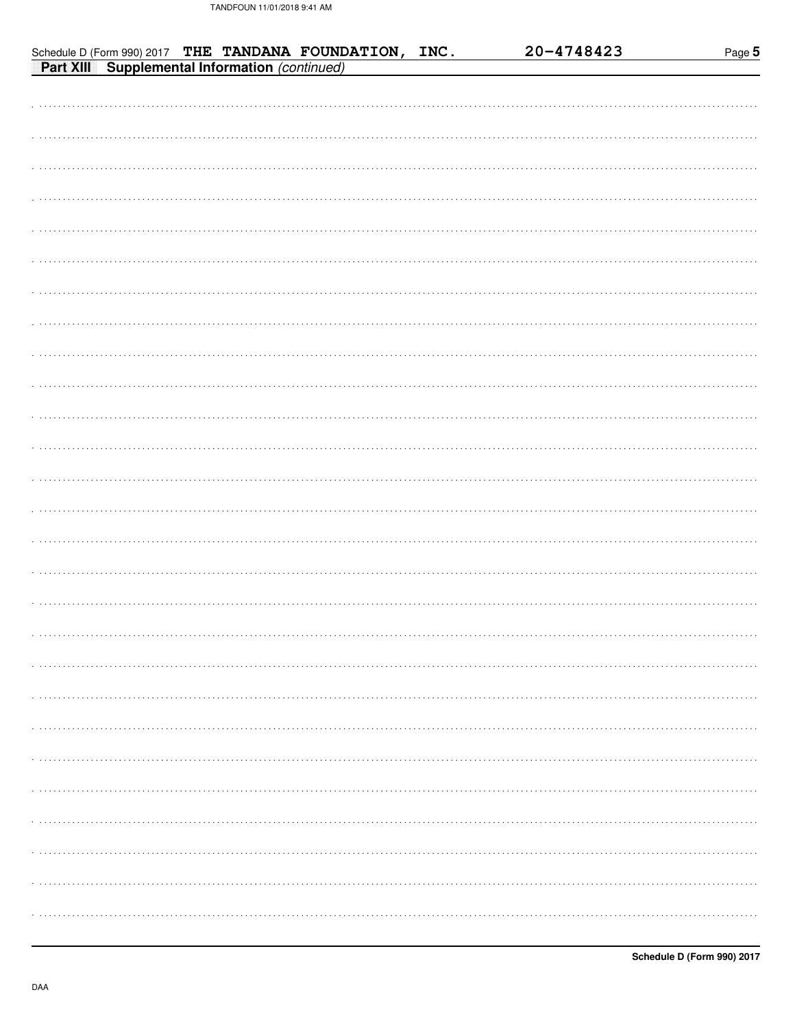| Schedule D (Form 990) 2017 THE TANDANA FOUNDATION, INC.<br><b>Part XIII</b> Supplemental Information (continued) | 20-4748423 | Page 5 |
|------------------------------------------------------------------------------------------------------------------|------------|--------|
|                                                                                                                  |            |        |
|                                                                                                                  |            |        |
|                                                                                                                  |            |        |
|                                                                                                                  |            |        |
|                                                                                                                  |            |        |
|                                                                                                                  |            |        |
|                                                                                                                  |            |        |
|                                                                                                                  |            |        |
|                                                                                                                  |            |        |
|                                                                                                                  |            |        |
|                                                                                                                  |            |        |
|                                                                                                                  |            |        |
|                                                                                                                  |            |        |
|                                                                                                                  |            |        |
|                                                                                                                  |            |        |
|                                                                                                                  |            |        |
|                                                                                                                  |            |        |
|                                                                                                                  |            |        |
|                                                                                                                  |            |        |
|                                                                                                                  |            |        |
|                                                                                                                  |            |        |
|                                                                                                                  |            |        |
|                                                                                                                  |            |        |
|                                                                                                                  |            |        |
|                                                                                                                  |            |        |
|                                                                                                                  |            |        |
|                                                                                                                  |            |        |
|                                                                                                                  |            |        |
|                                                                                                                  |            |        |
|                                                                                                                  |            |        |
|                                                                                                                  |            |        |
|                                                                                                                  |            |        |
|                                                                                                                  |            |        |
|                                                                                                                  |            |        |
|                                                                                                                  |            |        |
|                                                                                                                  |            | .      |
|                                                                                                                  |            |        |
|                                                                                                                  |            |        |
|                                                                                                                  |            |        |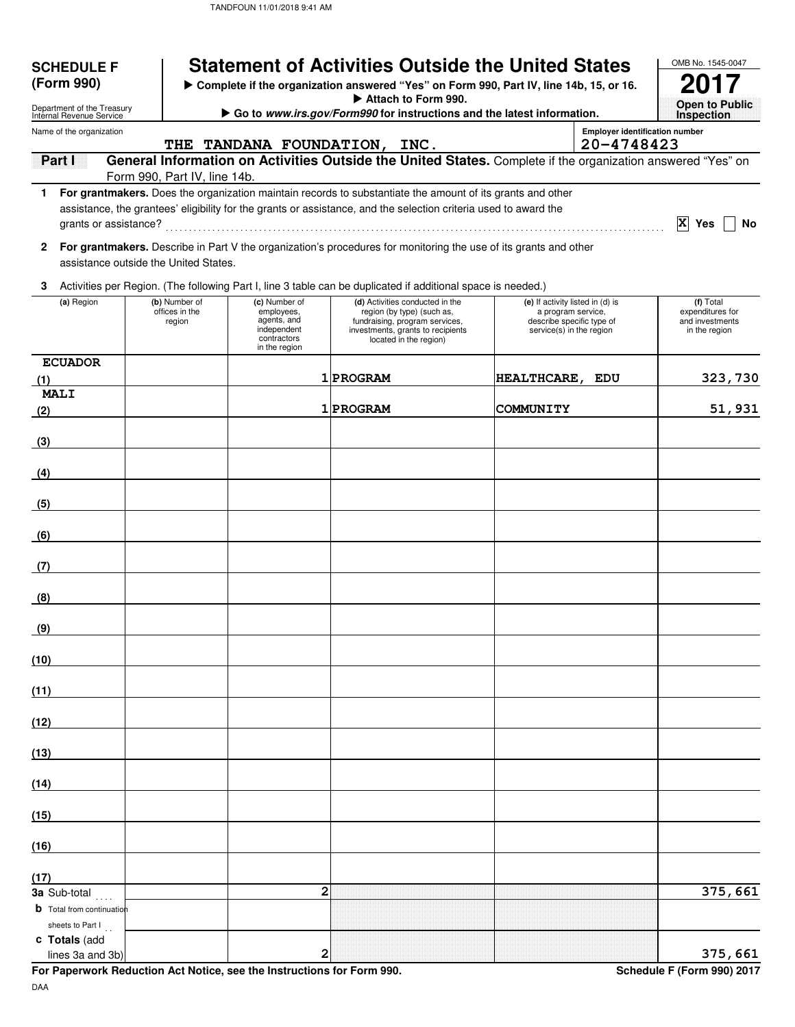| <b>SCHEDULE F</b><br>(Form 990)                              |  | <b>Statement of Activities Outside the United States</b><br>Complete if the organization answered "Yes" on Form 990, Part IV, line 14b, 15, or 16. | OMB No. 1545-0047                                                                         |                                                                                                                                                                                                                                  |                                                                                                                 |                                                     |                                                                   |  |
|--------------------------------------------------------------|--|----------------------------------------------------------------------------------------------------------------------------------------------------|-------------------------------------------------------------------------------------------|----------------------------------------------------------------------------------------------------------------------------------------------------------------------------------------------------------------------------------|-----------------------------------------------------------------------------------------------------------------|-----------------------------------------------------|-------------------------------------------------------------------|--|
| Department of the Treasury<br>Internal Revenue Service       |  |                                                                                                                                                    |                                                                                           | Attach to Form 990.                                                                                                                                                                                                              | Go to www.irs.gov/Form990 for instructions and the latest information.                                          |                                                     |                                                                   |  |
| Name of the organization                                     |  |                                                                                                                                                    |                                                                                           | THE TANDANA FOUNDATION, INC.                                                                                                                                                                                                     |                                                                                                                 | <b>Employer identification number</b><br>20-4748423 | <b>Inspection</b>                                                 |  |
| Part I                                                       |  |                                                                                                                                                    |                                                                                           | General Information on Activities Outside the United States. Complete if the organization answered "Yes" on                                                                                                                      |                                                                                                                 |                                                     |                                                                   |  |
|                                                              |  | Form 990, Part IV, line 14b.                                                                                                                       |                                                                                           | 1 For grantmakers. Does the organization maintain records to substantiate the amount of its grants and other<br>assistance, the grantees' eligibility for the grants or assistance, and the selection criteria used to award the |                                                                                                                 |                                                     | X Yes<br>No                                                       |  |
| 2                                                            |  | assistance outside the United States.                                                                                                              |                                                                                           | For grantmakers. Describe in Part V the organization's procedures for monitoring the use of its grants and other                                                                                                                 |                                                                                                                 |                                                     |                                                                   |  |
| 3                                                            |  |                                                                                                                                                    |                                                                                           | Activities per Region. (The following Part I, line 3 table can be duplicated if additional space is needed.)                                                                                                                     |                                                                                                                 |                                                     |                                                                   |  |
| (a) Region                                                   |  | (b) Number of<br>offices in the<br>region                                                                                                          | (c) Number of<br>employees,<br>agents, and<br>independent<br>contractors<br>in the region | (d) Activities conducted in the<br>region (by type) (such as,<br>fundraising, program services,<br>investments, grants to recipients<br>located in the region)                                                                   | (e) If activity listed in (d) is<br>a program service,<br>describe specific type of<br>service(s) in the region |                                                     | (f) Total<br>expenditures for<br>and investments<br>in the region |  |
| <b>ECUADOR</b><br>(1)                                        |  |                                                                                                                                                    |                                                                                           | 1 PROGRAM                                                                                                                                                                                                                        | HEALTHCARE, EDU                                                                                                 |                                                     | 323,730                                                           |  |
| <b>MALI</b><br>(2)                                           |  |                                                                                                                                                    |                                                                                           | 1 PROGRAM                                                                                                                                                                                                                        | <b>COMMUNITY</b>                                                                                                |                                                     | 51,931                                                            |  |
| (3)                                                          |  |                                                                                                                                                    |                                                                                           |                                                                                                                                                                                                                                  |                                                                                                                 |                                                     |                                                                   |  |
| (4)                                                          |  |                                                                                                                                                    |                                                                                           |                                                                                                                                                                                                                                  |                                                                                                                 |                                                     |                                                                   |  |
| (5)                                                          |  |                                                                                                                                                    |                                                                                           |                                                                                                                                                                                                                                  |                                                                                                                 |                                                     |                                                                   |  |
| (6)                                                          |  |                                                                                                                                                    |                                                                                           |                                                                                                                                                                                                                                  |                                                                                                                 |                                                     |                                                                   |  |
| (7)                                                          |  |                                                                                                                                                    |                                                                                           |                                                                                                                                                                                                                                  |                                                                                                                 |                                                     |                                                                   |  |
| (8)                                                          |  |                                                                                                                                                    |                                                                                           |                                                                                                                                                                                                                                  |                                                                                                                 |                                                     |                                                                   |  |
| (9)                                                          |  |                                                                                                                                                    |                                                                                           |                                                                                                                                                                                                                                  |                                                                                                                 |                                                     |                                                                   |  |
| (10)                                                         |  |                                                                                                                                                    |                                                                                           |                                                                                                                                                                                                                                  |                                                                                                                 |                                                     |                                                                   |  |
| (11)                                                         |  |                                                                                                                                                    |                                                                                           |                                                                                                                                                                                                                                  |                                                                                                                 |                                                     |                                                                   |  |
| (12)                                                         |  |                                                                                                                                                    |                                                                                           |                                                                                                                                                                                                                                  |                                                                                                                 |                                                     |                                                                   |  |
| (13)                                                         |  |                                                                                                                                                    |                                                                                           |                                                                                                                                                                                                                                  |                                                                                                                 |                                                     |                                                                   |  |
| (14)                                                         |  |                                                                                                                                                    |                                                                                           |                                                                                                                                                                                                                                  |                                                                                                                 |                                                     |                                                                   |  |
| (15)                                                         |  |                                                                                                                                                    |                                                                                           |                                                                                                                                                                                                                                  |                                                                                                                 |                                                     |                                                                   |  |
| (16)                                                         |  |                                                                                                                                                    |                                                                                           |                                                                                                                                                                                                                                  |                                                                                                                 |                                                     |                                                                   |  |
| (17)                                                         |  |                                                                                                                                                    |                                                                                           |                                                                                                                                                                                                                                  |                                                                                                                 |                                                     |                                                                   |  |
| 3a Sub-total<br>$\cdots$<br><b>b</b> Total from continuation |  |                                                                                                                                                    | 2                                                                                         |                                                                                                                                                                                                                                  |                                                                                                                 |                                                     | 375,661                                                           |  |
| sheets to Part I<br>c Totals (add<br>lines 3a and 3b)        |  |                                                                                                                                                    | 2                                                                                         |                                                                                                                                                                                                                                  |                                                                                                                 |                                                     | 375,661                                                           |  |

**For Paperwork Reduction Act Notice, see the Instructions for Form 990.** Schedule F (Form 990) 2017

DAA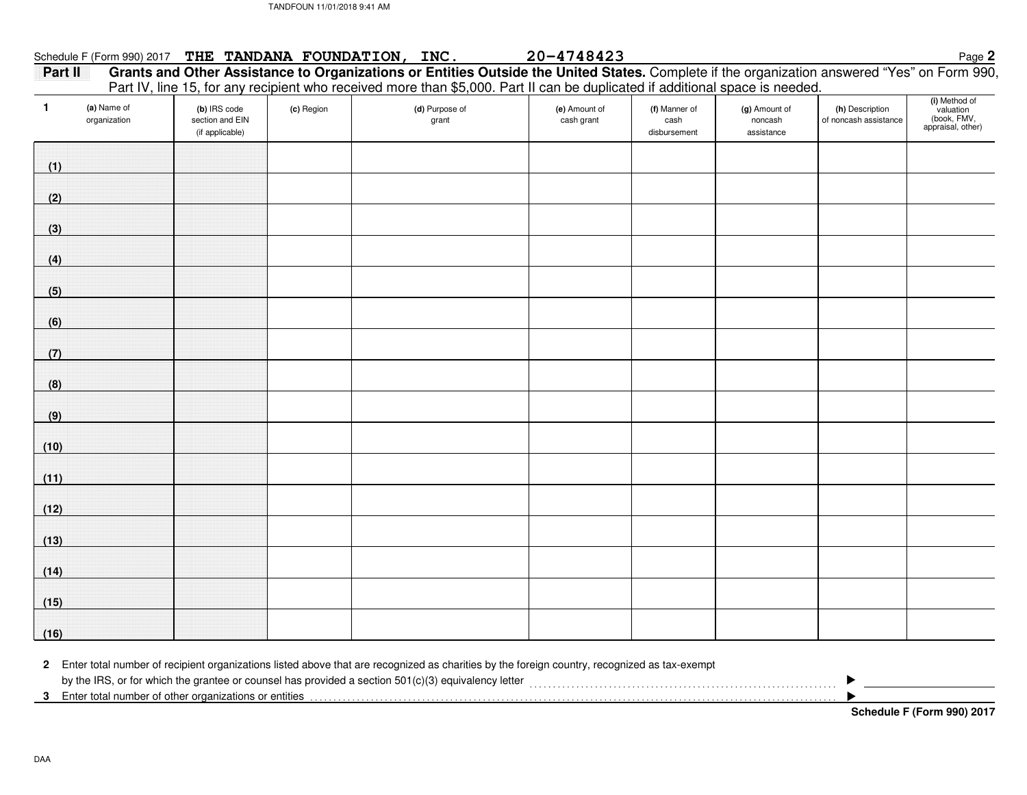### Schedule F (Form 990) 2017 THE TANDANA FOUNDATION, INC.

**Part II Grants and Other Assistance to Organizations or Entities Outside the United States.** Complete if the organization answered "Yes" on Form 990, Page**<sup>2</sup> THE TANDANA FOUNDATION, INC. 20-4748423** Part IV, line 15, for any recipient who received more than \$5,000. Part II can be duplicated if additional space is needed.

| $\mathbf{1}$ | (a) Name of<br>organization | (b) IRS code<br>section and EIN<br>(if applicable) | (c) Region | (d) Purpose of<br>grant | (e) Amount of<br>cash grant | (f) Manner of<br>cash<br>disbursement | (g) Amount of<br>noncash<br>assistance | (h) Description<br>of noncash assistance | (i) Method of<br>valuation<br>(book, FMV,<br>appraisal, other) |
|--------------|-----------------------------|----------------------------------------------------|------------|-------------------------|-----------------------------|---------------------------------------|----------------------------------------|------------------------------------------|----------------------------------------------------------------|
| (1)          |                             |                                                    |            |                         |                             |                                       |                                        |                                          |                                                                |
| (2)          |                             |                                                    |            |                         |                             |                                       |                                        |                                          |                                                                |
| (3)          |                             |                                                    |            |                         |                             |                                       |                                        |                                          |                                                                |
| (4)          |                             |                                                    |            |                         |                             |                                       |                                        |                                          |                                                                |
| (5)          |                             |                                                    |            |                         |                             |                                       |                                        |                                          |                                                                |
| (6)          |                             |                                                    |            |                         |                             |                                       |                                        |                                          |                                                                |
| (7)          |                             |                                                    |            |                         |                             |                                       |                                        |                                          |                                                                |
| (8)          |                             |                                                    |            |                         |                             |                                       |                                        |                                          |                                                                |
| (9)          |                             |                                                    |            |                         |                             |                                       |                                        |                                          |                                                                |
| (10)         |                             |                                                    |            |                         |                             |                                       |                                        |                                          |                                                                |
| (11)         |                             |                                                    |            |                         |                             |                                       |                                        |                                          |                                                                |
| (12)         |                             |                                                    |            |                         |                             |                                       |                                        |                                          |                                                                |
| (13)         |                             |                                                    |            |                         |                             |                                       |                                        |                                          |                                                                |
| (14)         |                             |                                                    |            |                         |                             |                                       |                                        |                                          |                                                                |
| (15)         |                             |                                                    |            |                         |                             |                                       |                                        |                                          |                                                                |
| (16)         |                             |                                                    |            |                         |                             |                                       |                                        |                                          |                                                                |

**2**Enter total number of recipient organizations listed above that are recognized as charities by the foreign country, recognized as tax-exempt

**3** Enter total number of other organizations or entities . . . . . . . . . . . . . . . . . . . . . . . . . . . . . . . . . . . . . . . . . . . . . . . . . . . . . . . . . . . . . . . . . . . . . . . . . . . . . . . . . . . . . . . . . . . . . . . . . . . . . . . . . . . . . . . . .by the IRS, or for which the grantee or counsel has provided a section 501(c)(3) equivalency letter<br>
and their content content content content content content content content content content of the spread a sect

- $\blacktriangleright$ 

**Schedule F (Form 990) 2017**

DAA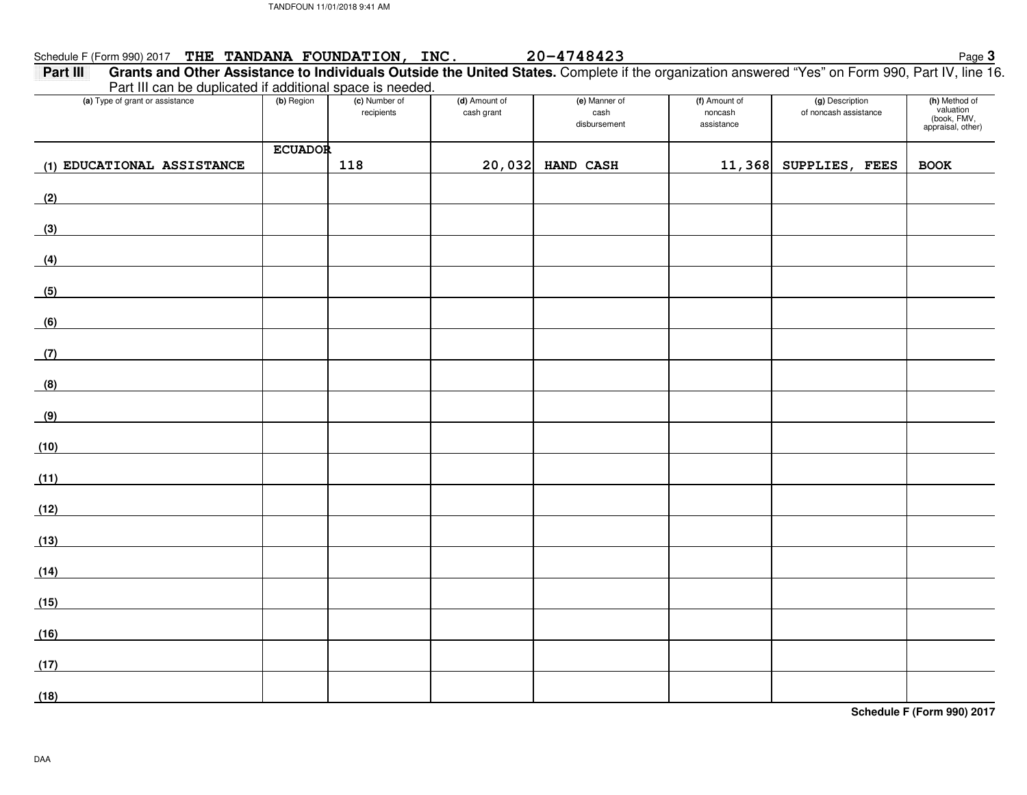# Schedule F (Form 990) 2017 Page**<sup>3</sup>THE TANDANA FOUNDATION, INC. 20-4748423**

 **Grants and Other Assistance to Individuals Outside the United States.** Complete if the organization answered "Yes" on Form 990, Part IV, line 16. **Part III**Part III can be duplicated if additional space is needed.

| <b>Later can be deprodice</b> if additional space is necacul-<br>(a) Type of grant or assistance                             | (b) Region     | (c) Number of<br>recipients | (d) Amount of<br>cash grant | (e) Manner of<br>cash<br>disbursement | (f) Amount of<br>noncash<br>assistance | (g) Description<br>of noncash assistance | (h) Method of<br>valuation<br>(book, FMV,<br>appraisal, other) |
|------------------------------------------------------------------------------------------------------------------------------|----------------|-----------------------------|-----------------------------|---------------------------------------|----------------------------------------|------------------------------------------|----------------------------------------------------------------|
| (1) EDUCATIONAL ASSISTANCE                                                                                                   | <b>ECUADOR</b> | 118                         | 20,032                      | <b>HAND CASH</b>                      |                                        | 11,368 SUPPLIES, FEES                    | <b>BOOK</b>                                                    |
| (2)                                                                                                                          |                |                             |                             |                                       |                                        |                                          |                                                                |
|                                                                                                                              |                |                             |                             |                                       |                                        |                                          |                                                                |
| (3)<br><u> 1989 - Johann Barnett, fransk politiker (</u>                                                                     |                |                             |                             |                                       |                                        |                                          |                                                                |
| (4)                                                                                                                          |                |                             |                             |                                       |                                        |                                          |                                                                |
| (5)                                                                                                                          |                |                             |                             |                                       |                                        |                                          |                                                                |
| (6)                                                                                                                          |                |                             |                             |                                       |                                        |                                          |                                                                |
| (7)                                                                                                                          |                |                             |                             |                                       |                                        |                                          |                                                                |
| (8)                                                                                                                          |                |                             |                             |                                       |                                        |                                          |                                                                |
| (9)<br><u> 1989 - Jan Barnett, politik e</u>                                                                                 |                |                             |                             |                                       |                                        |                                          |                                                                |
| (10)<br><u> 1980 - Jan Barbarat, prima prima prima prima prima prima prima prima prima prima prima prima prima prima pri</u> |                |                             |                             |                                       |                                        |                                          |                                                                |
| (11)                                                                                                                         |                |                             |                             |                                       |                                        |                                          |                                                                |
|                                                                                                                              |                |                             |                             |                                       |                                        |                                          |                                                                |
| (12)                                                                                                                         |                |                             |                             |                                       |                                        |                                          |                                                                |
| (13)                                                                                                                         |                |                             |                             |                                       |                                        |                                          |                                                                |
| (14)                                                                                                                         |                |                             |                             |                                       |                                        |                                          |                                                                |
| (15)                                                                                                                         |                |                             |                             |                                       |                                        |                                          |                                                                |
| (16)                                                                                                                         |                |                             |                             |                                       |                                        |                                          |                                                                |
| (17)                                                                                                                         |                |                             |                             |                                       |                                        |                                          |                                                                |
| (18)                                                                                                                         |                |                             |                             |                                       |                                        |                                          |                                                                |

**Schedule F (Form 990) 2017**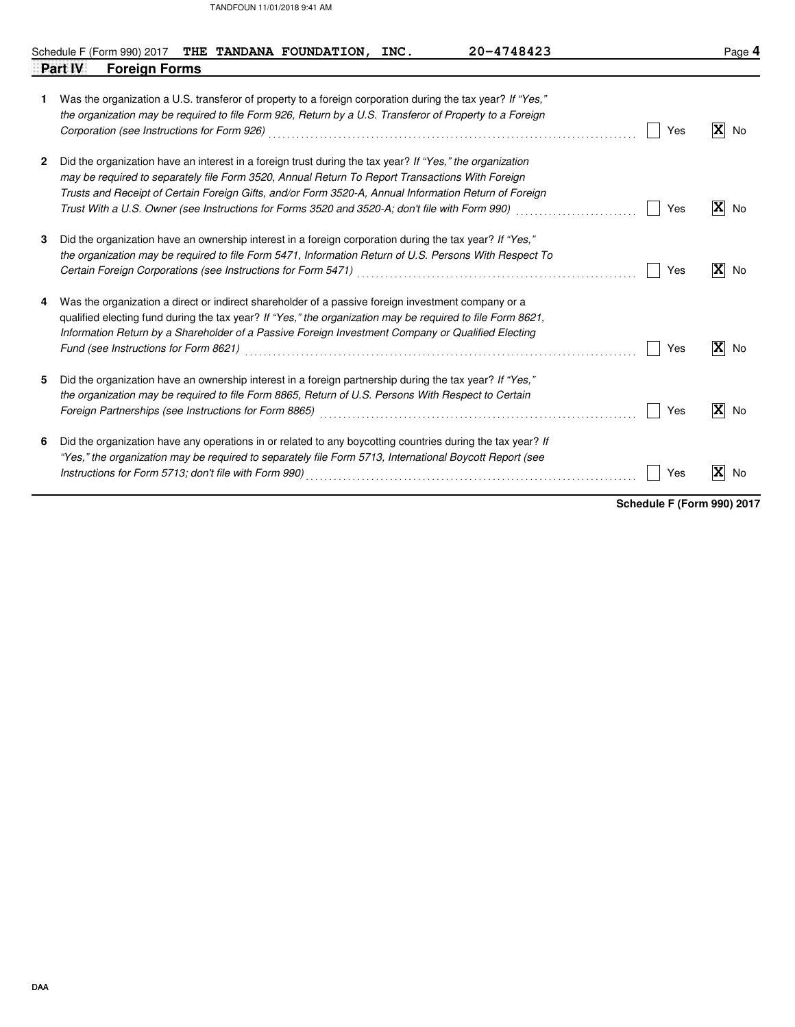|              |         |                      |  | Schedule F (Form 990) 2017 THE TANDANA FOUNDATION, INC.                                                                                                                                                                                                                                                                                                                                                                |  | 20-4748423 |  |     |              | Page 4            |
|--------------|---------|----------------------|--|------------------------------------------------------------------------------------------------------------------------------------------------------------------------------------------------------------------------------------------------------------------------------------------------------------------------------------------------------------------------------------------------------------------------|--|------------|--|-----|--------------|-------------------|
|              | Part IV | <b>Foreign Forms</b> |  |                                                                                                                                                                                                                                                                                                                                                                                                                        |  |            |  |     |              |                   |
| 1.           |         |                      |  | Was the organization a U.S. transferor of property to a foreign corporation during the tax year? If "Yes,"<br>the organization may be required to file Form 926, Return by a U.S. Transferor of Property to a Foreign                                                                                                                                                                                                  |  |            |  | Yes | $\mathbf{x}$ | No                |
| $\mathbf{2}$ |         |                      |  | Did the organization have an interest in a foreign trust during the tax year? If "Yes," the organization<br>may be required to separately file Form 3520, Annual Return To Report Transactions With Foreign<br>Trusts and Receipt of Certain Foreign Gifts, and/or Form 3520-A, Annual Information Return of Foreign<br>Trust With a U.S. Owner (see Instructions for Forms 3520 and 3520-A; don't file with Form 990) |  |            |  | Yes | $\mathbf{x}$ | No                |
| 3            |         |                      |  | Did the organization have an ownership interest in a foreign corporation during the tax year? If "Yes,"<br>the organization may be required to file Form 5471, Information Return of U.S. Persons With Respect To                                                                                                                                                                                                      |  |            |  | Yes | $\mathbf{x}$ | No                |
|              |         |                      |  | Was the organization a direct or indirect shareholder of a passive foreign investment company or a<br>qualified electing fund during the tax year? If "Yes," the organization may be required to file Form 8621,<br>Information Return by a Shareholder of a Passive Foreign Investment Company or Qualified Electing                                                                                                  |  |            |  | Yes | $\mathbf{x}$ | No                |
| 5            |         |                      |  | Did the organization have an ownership interest in a foreign partnership during the tax year? If "Yes,"<br>the organization may be required to file Form 8865, Return of U.S. Persons With Respect to Certain<br>Foreign Partnerships (see Instructions for Form 8865) [11] Consumer Consumer Consumer Consumer Consumer Consum                                                                                        |  |            |  | Yes |              | $ \mathbf{X} $ No |
| 6            |         |                      |  | Did the organization have any operations in or related to any boycotting countries during the tax year? If<br>"Yes," the organization may be required to separately file Form 5713, International Boycott Report (see                                                                                                                                                                                                  |  |            |  | Yes | X            | No                |

**Schedule F (Form 990) 2017**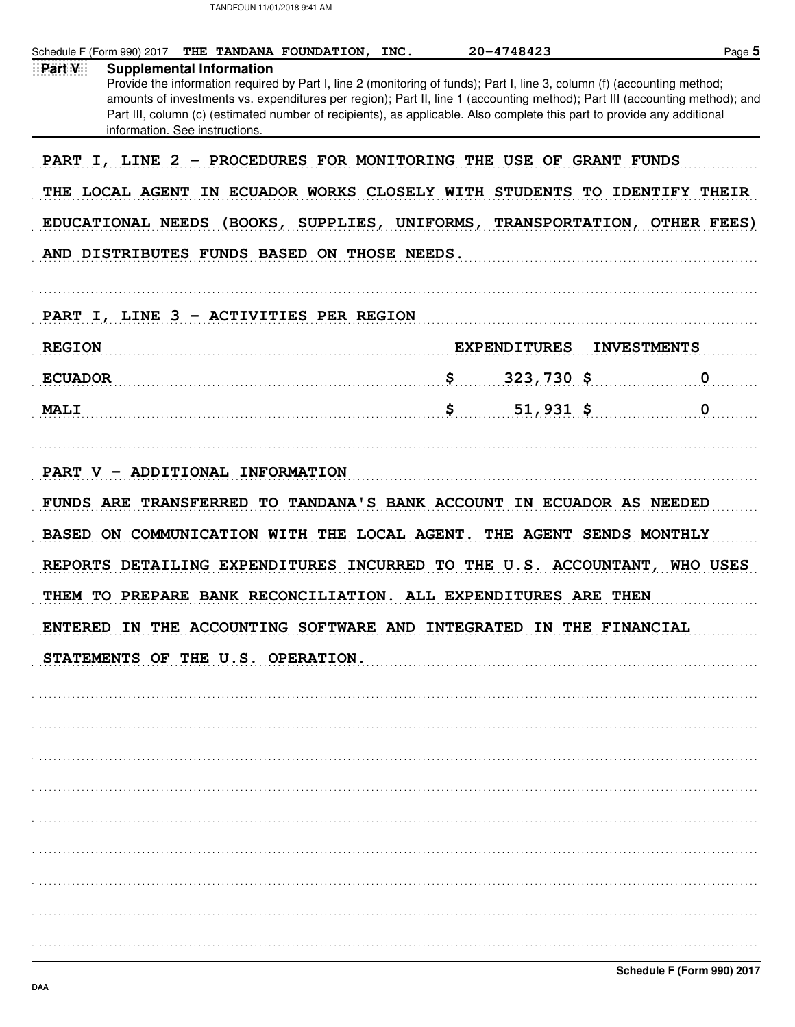Schedule F (Form 990) 2017 THE TANDANA FOUNDATION, INC. 20-4748423 Page 5 **Supplemental Information** Part V Provide the information required by Part I, line 2 (monitoring of funds); Part I, line 3, column (f) (accounting method; amounts of investments vs. expenditures per region); Part II, line 1 (accounting method); Part III (accounting method); and Part III, column (c) (estimated number of recipients), as applicable. Also complete this part to provide any additional information. See instructions. PART I, LINE 2 - PROCEDURES FOR MONITORING THE USE OF GRANT FUNDS THE LOCAL AGENT IN ECUADOR WORKS CLOSELY WITH STUDENTS TO IDENTIFY THEIR EDUCATIONAL NEEDS (BOOKS, SUPPLIES, UNIFORMS, TRANSPORTATION, OTHER FEES) AND DISTRIBUTES FUNDS BASED ON THOSE NEEDS. PART I, LINE 3 - ACTIVITIES PER REGION **EXPENDITURES REGION INVESTMENTS ECUADOR** \$  $323,730$  \$ 0  $\begin{bmatrix} 0 & 0 \\ 0 & 0 \end{bmatrix}$ **MALI**  $51,931$ \$ PART V - ADDITIONAL INFORMATION FUNDS ARE TRANSFERRED TO TANDANA'S BANK ACCOUNT IN ECUADOR AS NEEDED BASED ON COMMUNICATION WITH THE LOCAL AGENT. THE AGENT SENDS MONTHLY REPORTS DETAILING EXPENDITURES INCURRED TO THE U.S. ACCOUNTANT, WHO USES THEM TO PREPARE BANK RECONCILIATION. ALL EXPENDITURES ARE THEN ENTERED IN THE ACCOUNTING SOFTWARE AND INTEGRATED IN THE FINANCIAL STATEMENTS OF THE U.S. OPERATION.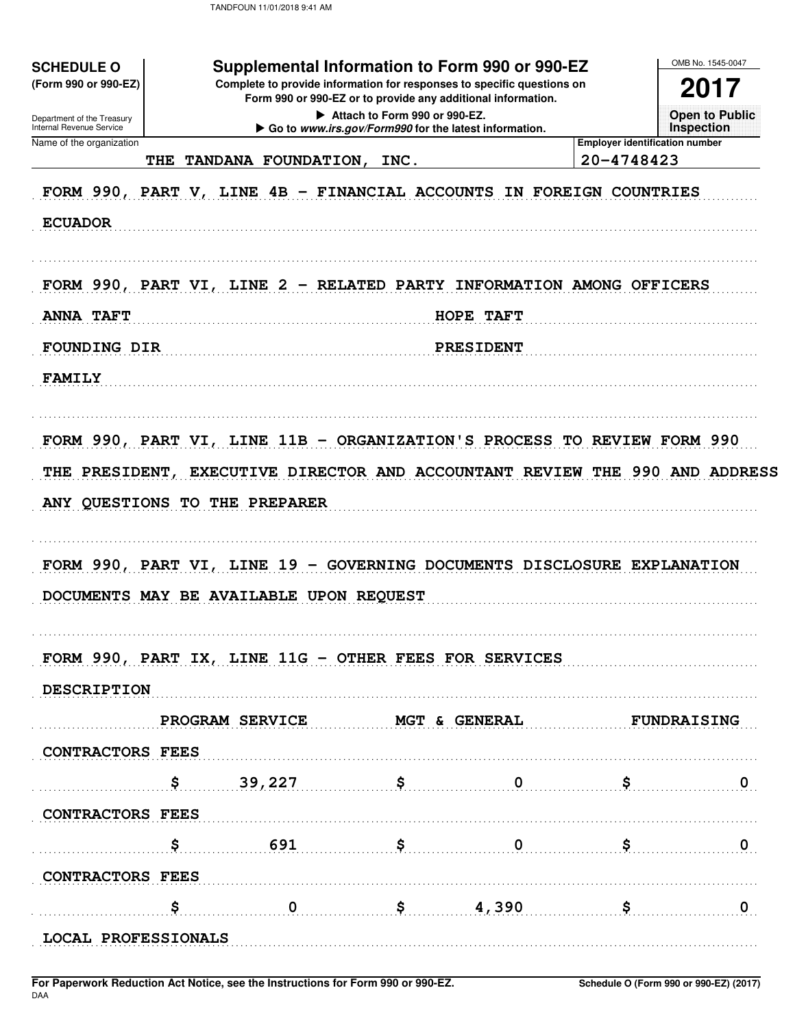| (Form 990 or 990-EZ)<br>Department of the Treasury   | Supplemental Information to Form 990 or 990-EZ<br><b>SCHEDULE O</b><br>Complete to provide information for responses to specific questions on<br>Form 990 or 990-EZ or to provide any additional information.<br>Attach to Form 990 or 990-EZ. |                                                       |                         |                                                     |                                            |  |  |  |
|------------------------------------------------------|------------------------------------------------------------------------------------------------------------------------------------------------------------------------------------------------------------------------------------------------|-------------------------------------------------------|-------------------------|-----------------------------------------------------|--------------------------------------------|--|--|--|
| Internal Revenue Service<br>Name of the organization |                                                                                                                                                                                                                                                | Go to www.irs.gov/Form990 for the latest information. |                         |                                                     | <b>Open to Public</b><br><b>Inspection</b> |  |  |  |
| THE                                                  | TANDANA FOUNDATION,                                                                                                                                                                                                                            | INC.                                                  |                         | <b>Employer identification number</b><br>20-4748423 |                                            |  |  |  |
|                                                      | FORM 990, PART V, LINE 4B - FINANCIAL ACCOUNTS IN FOREIGN COUNTRIES                                                                                                                                                                            |                                                       |                         |                                                     |                                            |  |  |  |
| <b>ECUADOR</b>                                       |                                                                                                                                                                                                                                                |                                                       |                         |                                                     |                                            |  |  |  |
|                                                      | FORM 990, PART VI, LINE 2 - RELATED PARTY INFORMATION AMONG OFFICERS                                                                                                                                                                           |                                                       |                         |                                                     |                                            |  |  |  |
| <b>ANNA TAFT</b>                                     | HOPE TAFT                                                                                                                                                                                                                                      |                                                       |                         |                                                     |                                            |  |  |  |
| <b>FOUNDING DIR</b>                                  |                                                                                                                                                                                                                                                |                                                       | PRESIDENT               |                                                     |                                            |  |  |  |
| <b>FAMILY</b>                                        |                                                                                                                                                                                                                                                |                                                       |                         |                                                     |                                            |  |  |  |
|                                                      | FORM 990, PART VI, LINE 11B - ORGANIZATION'S PROCESS TO REVIEW FORM 990                                                                                                                                                                        |                                                       |                         |                                                     |                                            |  |  |  |
|                                                      |                                                                                                                                                                                                                                                |                                                       |                         |                                                     |                                            |  |  |  |
|                                                      | THE PRESIDENT, EXECUTIVE DIRECTOR AND ACCOUNTANT REVIEW THE 990 AND ADDRESS                                                                                                                                                                    |                                                       |                         |                                                     |                                            |  |  |  |
|                                                      | ANY QUESTIONS TO THE PREPARER                                                                                                                                                                                                                  |                                                       |                         |                                                     |                                            |  |  |  |
|                                                      | FORM 990, PART VI, LINE 19 - GOVERNING DOCUMENTS DISCLOSURE EXPLANATION                                                                                                                                                                        |                                                       |                         |                                                     |                                            |  |  |  |
|                                                      | DOCUMENTS MAY BE AVAILABLE UPON REQUEST                                                                                                                                                                                                        |                                                       |                         |                                                     |                                            |  |  |  |
|                                                      | FORM 990, PART IX, LINE 11G - OTHER FEES FOR SERVICES                                                                                                                                                                                          |                                                       |                         |                                                     |                                            |  |  |  |
| DESCRIPTION                                          |                                                                                                                                                                                                                                                |                                                       |                         |                                                     |                                            |  |  |  |
|                                                      | <b>PROGRAM SERVICE</b>                                                                                                                                                                                                                         | <b>MGT &amp; GENERAL</b>                              |                         |                                                     | <b>FUNDRAISING</b>                         |  |  |  |
| <b>CONTRACTORS FEES</b>                              |                                                                                                                                                                                                                                                |                                                       |                         |                                                     |                                            |  |  |  |
| Ş.                                                   | 39,227                                                                                                                                                                                                                                         | S.                                                    | $\overline{\mathbf{0}}$ | \$                                                  |                                            |  |  |  |
| <b>CONTRACTORS FEES</b>                              |                                                                                                                                                                                                                                                |                                                       |                         |                                                     |                                            |  |  |  |
| S.                                                   | 691                                                                                                                                                                                                                                            | \$                                                    | $\mathbf 0$             | S.                                                  |                                            |  |  |  |
| <b>CONTRACTORS FEES</b>                              |                                                                                                                                                                                                                                                |                                                       |                         |                                                     |                                            |  |  |  |
| s                                                    | $\mathbf 0$                                                                                                                                                                                                                                    |                                                       | \$4,390                 | \$                                                  | 0                                          |  |  |  |